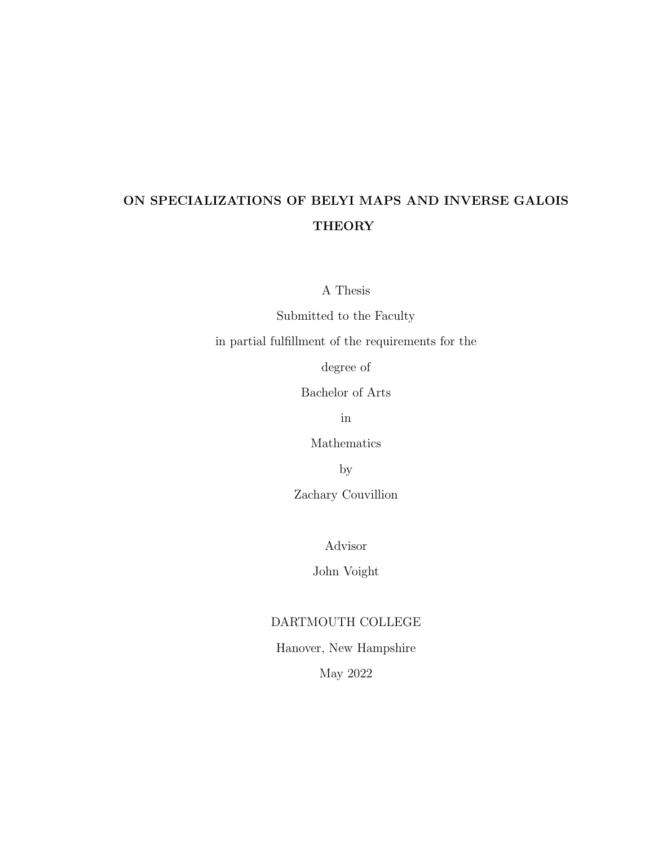#### ON SPECIALIZATIONS OF BELYI MAPS AND INVERSE GALOIS **THEORY**

A Thesis

Submitted to the Faculty

in partial fulfillment of the requirements for the

degree of

Bachelor of Arts

in

Mathematics

by

Zachary Couvillion

Advisor

John Voight

#### DARTMOUTH COLLEGE

#### Hanover, New Hampshire

May 2022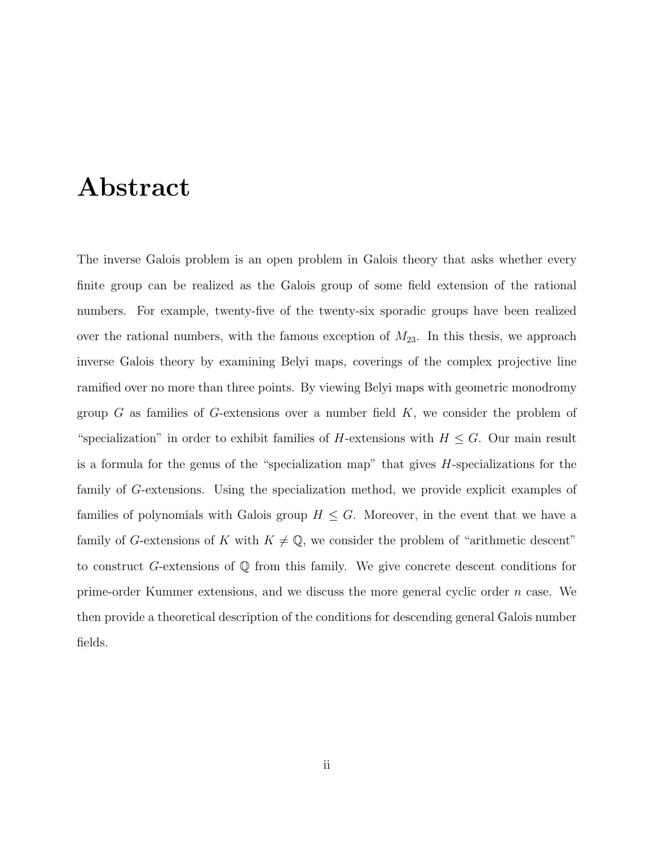## <span id="page-2-0"></span>Abstract

The inverse Galois problem is an open problem in Galois theory that asks whether every finite group can be realized as the Galois group of some field extension of the rational numbers. For example, twenty-five of the twenty-six sporadic groups have been realized over the rational numbers, with the famous exception of  $M_{23}$ . In this thesis, we approach inverse Galois theory by examining Belyi maps, coverings of the complex projective line ramified over no more than three points. By viewing Belyi maps with geometric monodromy group  $G$  as families of  $G$ -extensions over a number field  $K$ , we consider the problem of "specialization" in order to exhibit families of H-extensions with  $H \leq G$ . Our main result is a formula for the genus of the "specialization map" that gives H-specializations for the family of G-extensions. Using the specialization method, we provide explicit examples of families of polynomials with Galois group  $H \leq G$ . Moreover, in the event that we have a family of G-extensions of K with  $K \neq \mathbb{Q}$ , we consider the problem of "arithmetic descent" to construct G-extensions of Q from this family. We give concrete descent conditions for prime-order Kummer extensions, and we discuss the more general cyclic order n case. We then provide a theoretical description of the conditions for descending general Galois number fields.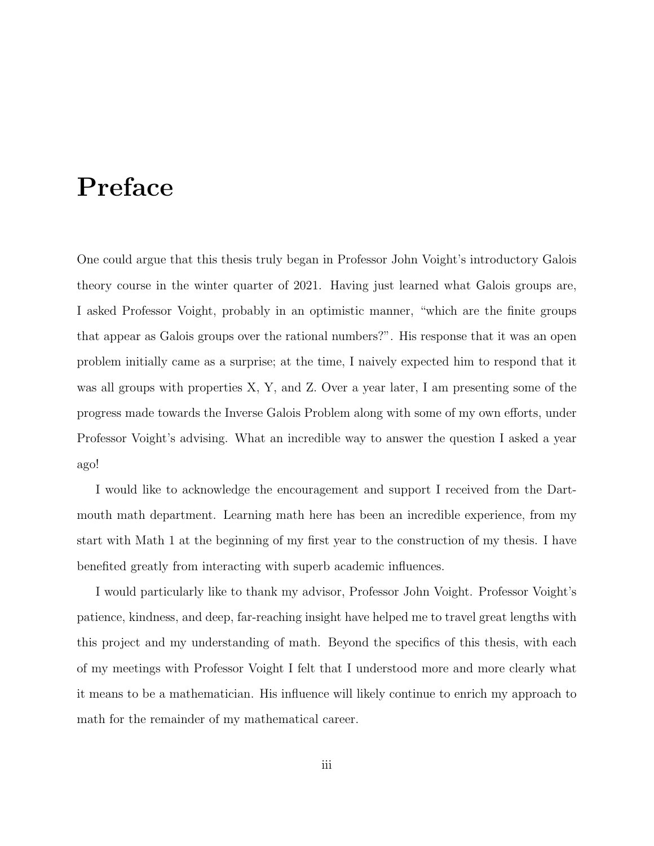## <span id="page-3-0"></span>Preface

One could argue that this thesis truly began in Professor John Voight's introductory Galois theory course in the winter quarter of 2021. Having just learned what Galois groups are, I asked Professor Voight, probably in an optimistic manner, "which are the finite groups that appear as Galois groups over the rational numbers?". His response that it was an open problem initially came as a surprise; at the time, I naively expected him to respond that it was all groups with properties X, Y, and Z. Over a year later, I am presenting some of the progress made towards the Inverse Galois Problem along with some of my own efforts, under Professor Voight's advising. What an incredible way to answer the question I asked a year ago!

I would like to acknowledge the encouragement and support I received from the Dartmouth math department. Learning math here has been an incredible experience, from my start with Math 1 at the beginning of my first year to the construction of my thesis. I have benefited greatly from interacting with superb academic influences.

I would particularly like to thank my advisor, Professor John Voight. Professor Voight's patience, kindness, and deep, far-reaching insight have helped me to travel great lengths with this project and my understanding of math. Beyond the specifics of this thesis, with each of my meetings with Professor Voight I felt that I understood more and more clearly what it means to be a mathematician. His influence will likely continue to enrich my approach to math for the remainder of my mathematical career.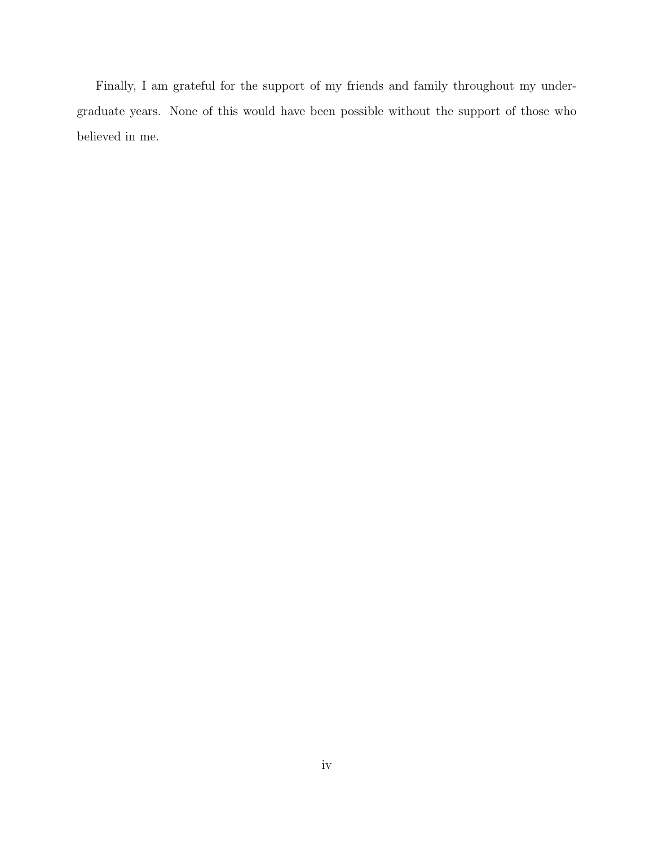Finally, I am grateful for the support of my friends and family throughout my undergraduate years. None of this would have been possible without the support of those who believed in me.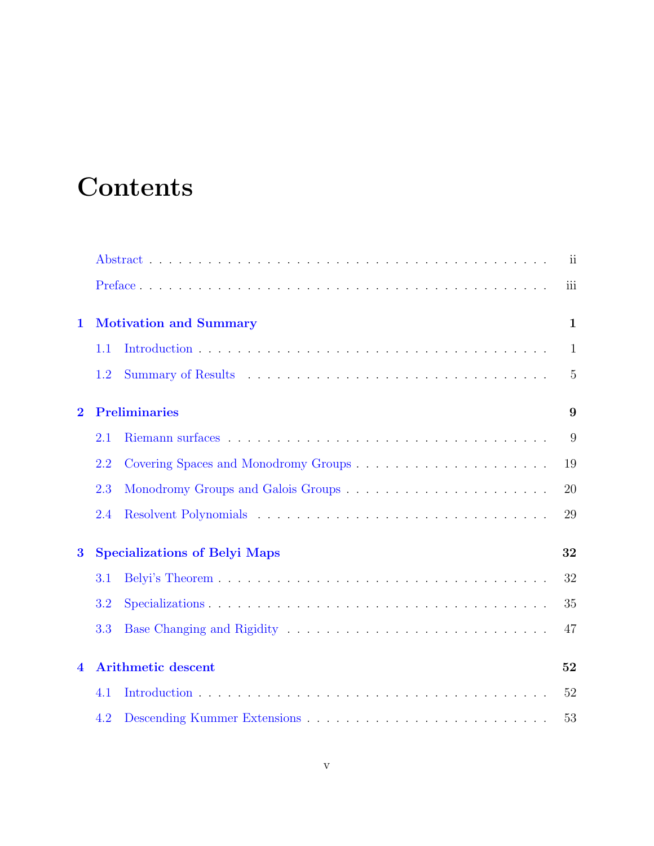# **Contents**

|                  |                                            |                                                                                                                   | $\overline{\mathbf{u}}$ |  |  |  |
|------------------|--------------------------------------------|-------------------------------------------------------------------------------------------------------------------|-------------------------|--|--|--|
|                  |                                            |                                                                                                                   | iii                     |  |  |  |
| $\mathbf{1}$     |                                            | <b>Motivation and Summary</b>                                                                                     | $\mathbf{1}$            |  |  |  |
|                  | 1.1                                        |                                                                                                                   | $\mathbf{1}$            |  |  |  |
|                  | 1.2                                        |                                                                                                                   | 5                       |  |  |  |
| $\mathbf{2}$     | <b>Preliminaries</b><br>9                  |                                                                                                                   |                         |  |  |  |
|                  | 2.1                                        |                                                                                                                   | 9                       |  |  |  |
|                  | 2.2                                        |                                                                                                                   | 19                      |  |  |  |
|                  | 2.3                                        |                                                                                                                   | 20                      |  |  |  |
|                  | 2.4                                        |                                                                                                                   | 29                      |  |  |  |
| $\bf{3}$         | <b>Specializations of Belyi Maps</b><br>32 |                                                                                                                   |                         |  |  |  |
|                  | 3.1                                        |                                                                                                                   | 32                      |  |  |  |
|                  | 3.2                                        | $Specializations \dots \dots \dots \dots \dots \dots \dots \dots \dots \dots \dots \dots \dots \dots \dots \dots$ | 35                      |  |  |  |
|                  | 3.3                                        |                                                                                                                   | 47                      |  |  |  |
| $\blacktriangle$ |                                            | <b>Arithmetic descent</b>                                                                                         | 52                      |  |  |  |
|                  | 4.1                                        |                                                                                                                   | 52                      |  |  |  |
|                  | 4.2                                        |                                                                                                                   | 53                      |  |  |  |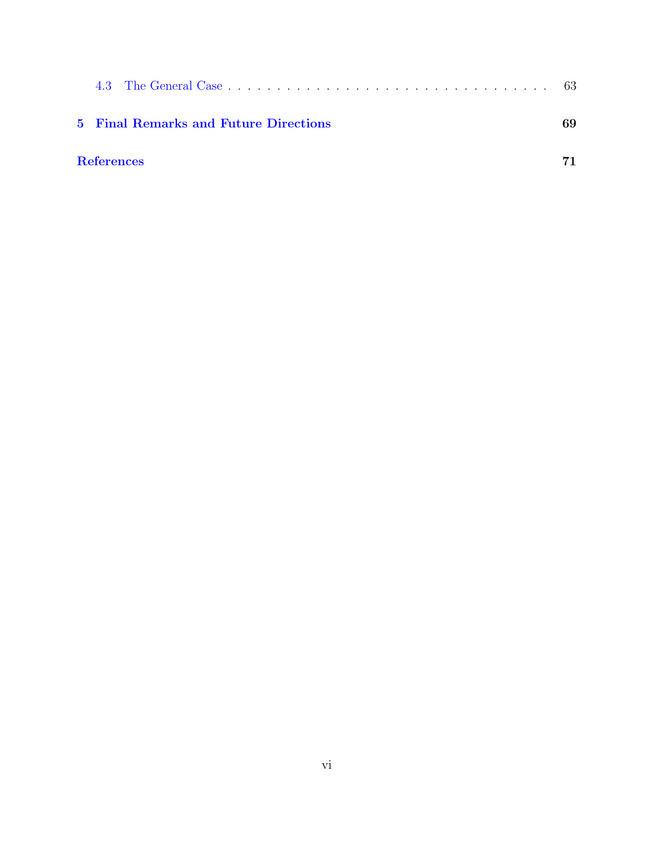| 5 Final Remarks and Future Directions | 69 |
|---------------------------------------|----|
| <b>References</b>                     |    |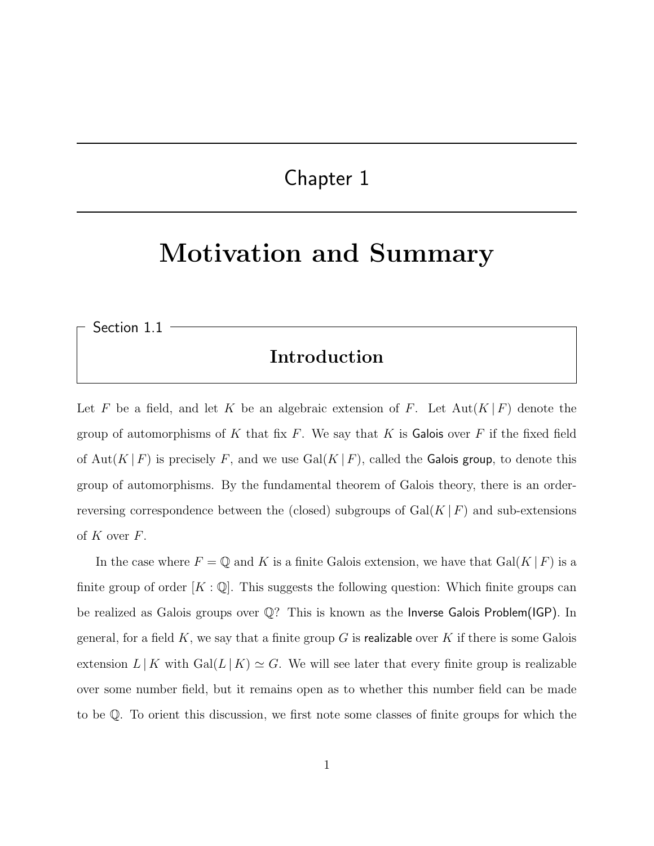### Chapter 1

# <span id="page-7-0"></span>Motivation and Summary

<span id="page-7-1"></span>Section 1.1

#### Introduction

Let F be a field, and let K be an algebraic extension of F. Let  $Aut(K \mid F)$  denote the group of automorphisms of K that fix F. We say that K is Galois over F if the fixed field of Aut(K|F) is precisely F, and we use  $Gal(K|F)$ , called the Galois group, to denote this group of automorphisms. By the fundamental theorem of Galois theory, there is an orderreversing correspondence between the (closed) subgroups of  $Gal(K|F)$  and sub-extensions of  $K$  over  $F$ .

In the case where  $F = \mathbb{Q}$  and K is a finite Galois extension, we have that  $Gal(K | F)$  is a finite group of order  $[K : \mathbb{Q}]$ . This suggests the following question: Which finite groups can be realized as Galois groups over Q? This is known as the Inverse Galois Problem(IGP). In general, for a field  $K$ , we say that a finite group G is realizable over K if there is some Galois extension  $L | K$  with  $Gal(L | K) \simeq G$ . We will see later that every finite group is realizable over some number field, but it remains open as to whether this number field can be made to be Q. To orient this discussion, we first note some classes of finite groups for which the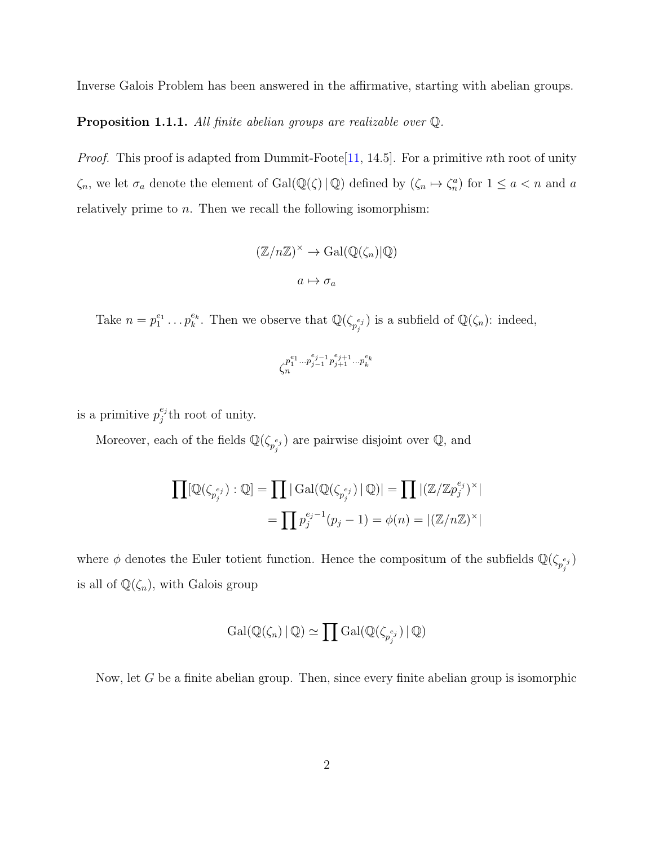Inverse Galois Problem has been answered in the affirmative, starting with abelian groups.

Proposition 1.1.1. All finite abelian groups are realizable over  $\mathbb Q$ .

*Proof.* This proof is adapted from Dummit-Foote [\[11,](#page-78-0) 14.5]. For a primitive nth root of unity  $\zeta_n$ , we let  $\sigma_a$  denote the element of  $Gal(\mathbb{Q}(\zeta) \mid \mathbb{Q})$  defined by  $(\zeta_n \mapsto \zeta_n^a)$  for  $1 \leq a < n$  and a relatively prime to  $n$ . Then we recall the following isomorphism:

$$
(\mathbb{Z}/n\mathbb{Z})^{\times} \to \text{Gal}(\mathbb{Q}(\zeta_n)|\mathbb{Q})
$$

$$
a \mapsto \sigma_a
$$

Take  $n = p_1^{e_1} \dots p_k^{e_k}$ . Then we observe that  $\mathbb{Q}(\zeta_{p_j}^{e_j})$  is a subfield of  $\mathbb{Q}(\zeta_n)$ : indeed,

$$
\zeta_n^{p_1^{e_1}...p_{j-1}^{e_{j-1}}p_{j+1}^{e_{j+1}}...p_k^{e_k}}
$$

is a primitive  $p_i^{e_j}$  $j^{e_j}$ th root of unity.

Moreover, each of the fields  $\mathbb{Q}(\zeta_{p_j^{e_j}})$  are pairwise disjoint over  $\mathbb{Q}$ , and

$$
\prod [\mathbb{Q}(\zeta_{p_j^{e_j}}) : \mathbb{Q}] = \prod |\text{Gal}(\mathbb{Q}(\zeta_{p_j^{e_j}}) | \mathbb{Q})| = \prod |\mathbb{Z}/\mathbb{Z}p_j^{e_j}\rangle^{\times}|
$$

$$
= \prod p_j^{e_j - 1}(p_j - 1) = \phi(n) = |(\mathbb{Z}/n\mathbb{Z})^{\times}|
$$

where  $\phi$  denotes the Euler totient function. Hence the compositum of the subfields  $\mathbb{Q}(\zeta_{p_j^{e_j}})$ is all of  $\mathbb{Q}(\zeta_n),$  with Galois group

$$
\mathrm{Gal}(\mathbb{Q}(\zeta_n) \,|\, \mathbb{Q}) \simeq \prod \mathrm{Gal}(\mathbb{Q}(\zeta_{p_j^{e_j}}) \,|\, \mathbb{Q})
$$

Now, let G be a finite abelian group. Then, since every finite abelian group is isomorphic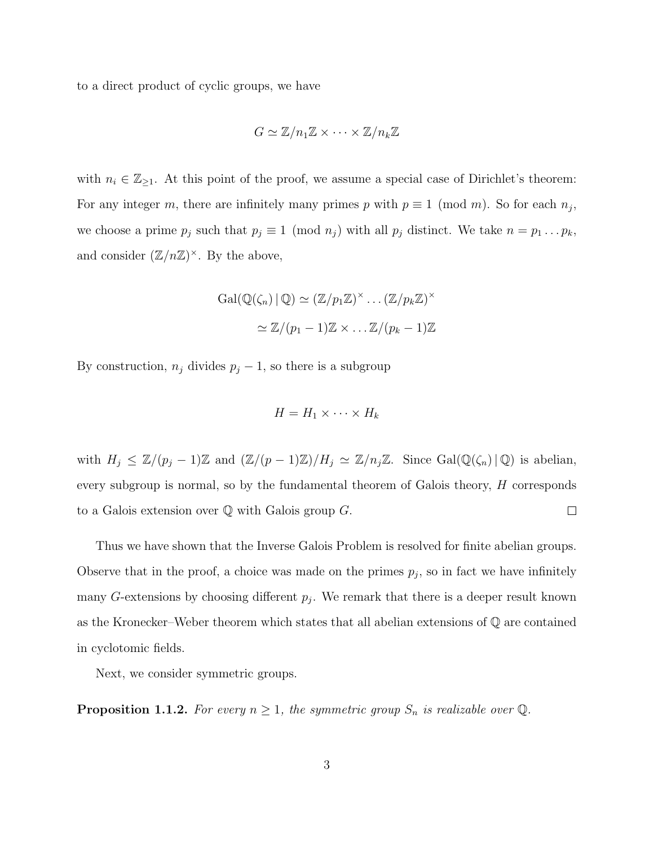to a direct product of cyclic groups, we have

$$
G \simeq \mathbb{Z}/n_1\mathbb{Z} \times \cdots \times \mathbb{Z}/n_k\mathbb{Z}
$$

with  $n_i \in \mathbb{Z}_{\geq 1}$ . At this point of the proof, we assume a special case of Dirichlet's theorem: For any integer m, there are infinitely many primes p with  $p \equiv 1 \pmod{m}$ . So for each  $n_j$ , we choose a prime  $p_j$  such that  $p_j \equiv 1 \pmod{n_j}$  with all  $p_j$  distinct. We take  $n = p_1 \dots p_k$ , and consider  $(\mathbb{Z}/n\mathbb{Z})^{\times}$ . By the above,

$$
Gal(\mathbb{Q}(\zeta_n) \mid \mathbb{Q}) \simeq (\mathbb{Z}/p_1\mathbb{Z})^\times \dots (\mathbb{Z}/p_k\mathbb{Z})^\times
$$

$$
\simeq \mathbb{Z}/(p_1 - 1)\mathbb{Z} \times \dots \mathbb{Z}/(p_k - 1)\mathbb{Z}
$$

By construction,  $n_j$  divides  $p_j - 1$ , so there is a subgroup

$$
H = H_1 \times \cdots \times H_k
$$

with  $H_j \leq \mathbb{Z}/(p_j-1)\mathbb{Z}$  and  $(\mathbb{Z}/(p-1)\mathbb{Z})/H_j \simeq \mathbb{Z}/n_j\mathbb{Z}$ . Since  $Gal(\mathbb{Q}(\zeta_n) | \mathbb{Q})$  is abelian, every subgroup is normal, so by the fundamental theorem of Galois theory, H corresponds  $\Box$ to a Galois extension over  $\mathbb Q$  with Galois group  $G$ .

Thus we have shown that the Inverse Galois Problem is resolved for finite abelian groups. Observe that in the proof, a choice was made on the primes  $p_j$ , so in fact we have infinitely many G-extensions by choosing different  $p_j$ . We remark that there is a deeper result known as the Kronecker–Weber theorem which states that all abelian extensions of Q are contained in cyclotomic fields.

Next, we consider symmetric groups.

<span id="page-9-0"></span>**Proposition 1.1.2.** For every  $n \geq 1$ , the symmetric group  $S_n$  is realizable over Q.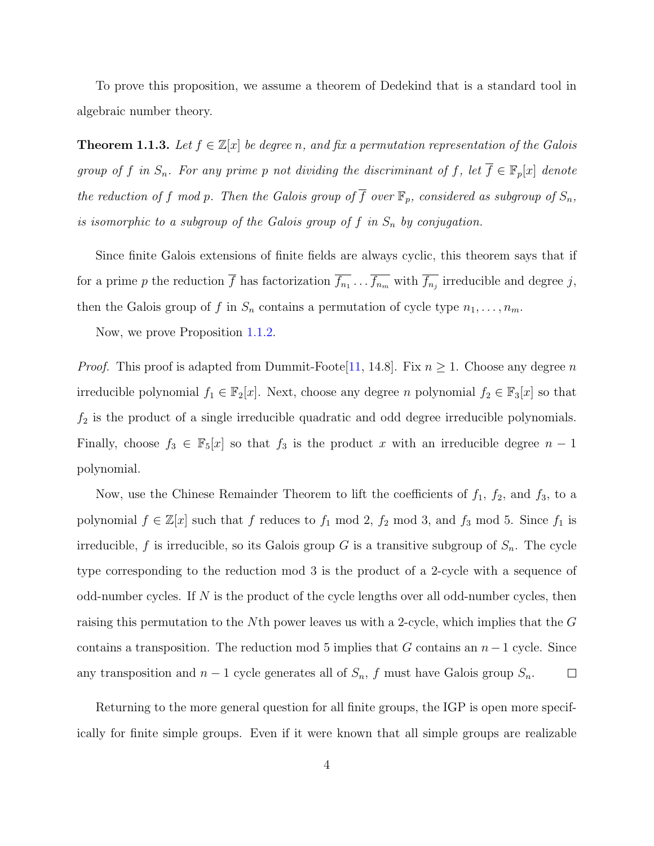To prove this proposition, we assume a theorem of Dedekind that is a standard tool in algebraic number theory.

**Theorem 1.1.3.** Let  $f \in \mathbb{Z}[x]$  be degree n, and fix a permutation representation of the Galois group of f in  $S_n$ . For any prime p not dividing the discriminant of f, let  $\overline{f} \in \mathbb{F}_p[x]$  denote the reduction of f mod p. Then the Galois group of  $\overline{f}$  over  $\mathbb{F}_p$ , considered as subgroup of  $S_n$ , is isomorphic to a subgroup of the Galois group of f in  $S_n$  by conjugation.

Since finite Galois extensions of finite fields are always cyclic, this theorem says that if for a prime p the reduction f has factorization  $f_{n_1} \ldots f_{n_m}$  with  $f_{n_j}$  irreducible and degree j, then the Galois group of f in  $S_n$  contains a permutation of cycle type  $n_1, \ldots, n_m$ .

Now, we prove Proposition [1.1.2.](#page-9-0)

*Proof.* This proof is adapted from Dummit-Foote[\[11,](#page-78-0) 14.8]. Fix  $n \geq 1$ . Choose any degree n irreducible polynomial  $f_1 \in \mathbb{F}_2[x]$ . Next, choose any degree n polynomial  $f_2 \in \mathbb{F}_3[x]$  so that  $f_2$  is the product of a single irreducible quadratic and odd degree irreducible polynomials. Finally, choose  $f_3 \in \mathbb{F}_5[x]$  so that  $f_3$  is the product x with an irreducible degree  $n-1$ polynomial.

Now, use the Chinese Remainder Theorem to lift the coefficients of  $f_1$ ,  $f_2$ , and  $f_3$ , to a polynomial  $f \in \mathbb{Z}[x]$  such that f reduces to  $f_1 \mod 2$ ,  $f_2 \mod 3$ , and  $f_3 \mod 5$ . Since  $f_1$  is irreducible, f is irreducible, so its Galois group G is a transitive subgroup of  $S_n$ . The cycle type corresponding to the reduction mod 3 is the product of a 2-cycle with a sequence of odd-number cycles. If  $N$  is the product of the cycle lengths over all odd-number cycles, then raising this permutation to the Nth power leaves us with a 2-cycle, which implies that the G contains a transposition. The reduction mod 5 implies that G contains an  $n-1$  cycle. Since any transposition and  $n-1$  cycle generates all of  $S_n$ , f must have Galois group  $S_n$ .  $\Box$ 

Returning to the more general question for all finite groups, the IGP is open more specifically for finite simple groups. Even if it were known that all simple groups are realizable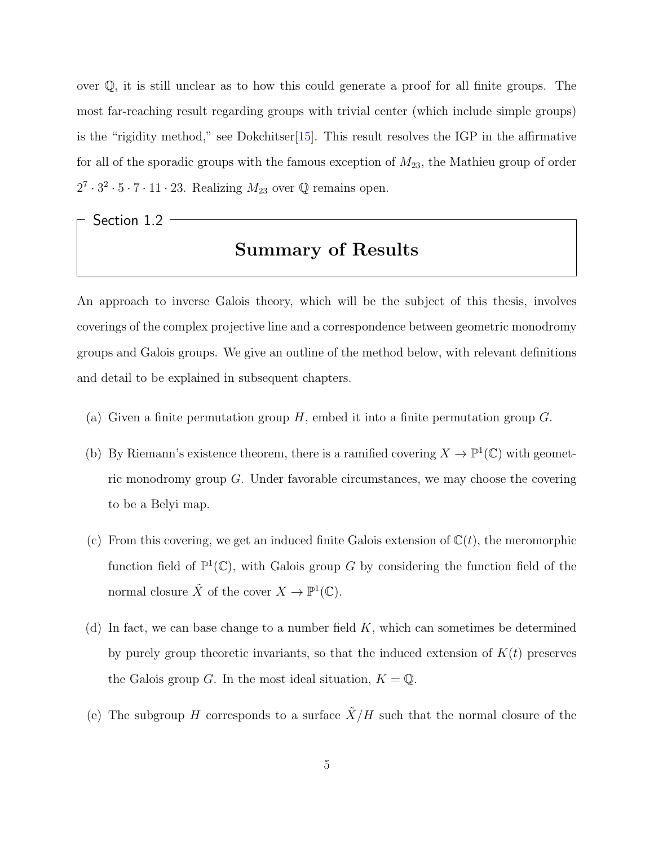over Q, it is still unclear as to how this could generate a proof for all finite groups. The most far-reaching result regarding groups with trivial center (which include simple groups) is the "rigidity method," see Dokchitser  $[15]$ . This result resolves the IGP in the affirmative for all of the sporadic groups with the famous exception of  $M_{23}$ , the Mathieu group of order  $2^7 \cdot 3^2 \cdot 5 \cdot 7 \cdot 11 \cdot 23$ . Realizing  $M_{23}$  over  $\mathbb Q$  remains open.

<span id="page-11-0"></span>Section 1.2

### Summary of Results

An approach to inverse Galois theory, which will be the subject of this thesis, involves coverings of the complex projective line and a correspondence between geometric monodromy groups and Galois groups. We give an outline of the method below, with relevant definitions and detail to be explained in subsequent chapters.

- (a) Given a finite permutation group  $H$ , embed it into a finite permutation group  $G$ .
- (b) By Riemann's existence theorem, there is a ramified covering  $X \to \mathbb{P}^1(\mathbb{C})$  with geometric monodromy group G. Under favorable circumstances, we may choose the covering to be a Belyi map.
- (c) From this covering, we get an induced finite Galois extension of  $\mathbb{C}(t)$ , the meromorphic function field of  $\mathbb{P}^1(\mathbb{C})$ , with Galois group G by considering the function field of the normal closure  $\tilde{X}$  of the cover  $X \to \mathbb{P}^1(\mathbb{C})$ .
- (d) In fact, we can base change to a number field  $K$ , which can sometimes be determined by purely group theoretic invariants, so that the induced extension of  $K(t)$  preserves the Galois group G. In the most ideal situation,  $K = \mathbb{Q}$ .
- (e) The subgroup H corresponds to a surface  $\tilde{X}/H$  such that the normal closure of the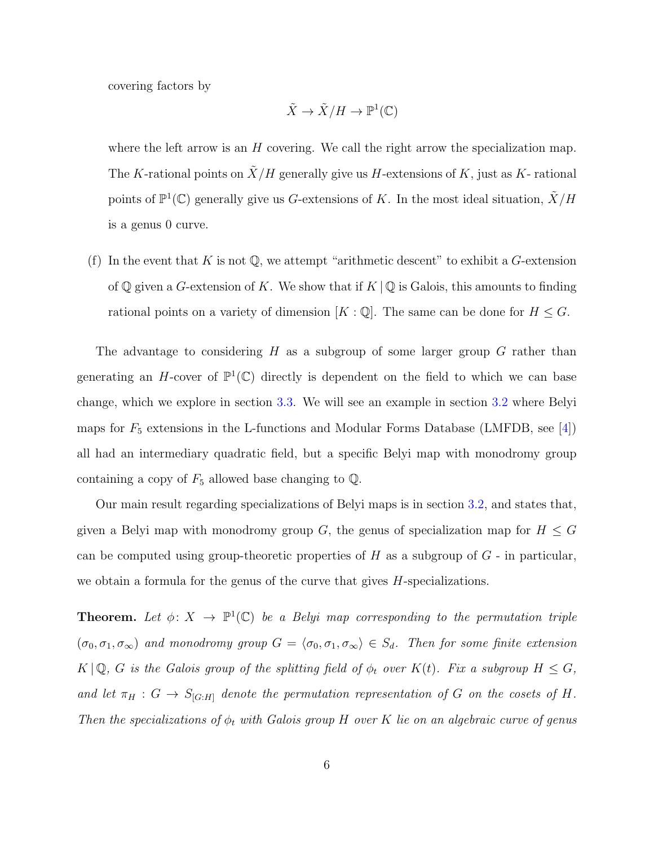covering factors by

$$
\tilde{X} \to \tilde{X}/H \to \mathbb{P}^1(\mathbb{C})
$$

where the left arrow is an  $H$  covering. We call the right arrow the specialization map. The K-rational points on  $\tilde{X}/H$  generally give us H-extensions of K, just as K- rational points of  $\mathbb{P}^1(\mathbb{C})$  generally give us G-extensions of K. In the most ideal situation,  $\tilde{X}/H$ is a genus 0 curve.

(f) In the event that K is not  $\mathbb{Q}$ , we attempt "arithmetic descent" to exhibit a G-extension of Q given a G-extension of K. We show that if  $K \mid \mathbb{Q}$  is Galois, this amounts to finding rational points on a variety of dimension  $[K:\mathbb{Q}]$ . The same can be done for  $H \leq G$ .

The advantage to considering H as a subgroup of some larger group  $G$  rather than generating an H-cover of  $\mathbb{P}^1(\mathbb{C})$  directly is dependent on the field to which we can base change, which we explore in section [3.3.](#page-53-0) We will see an example in section [3.2](#page-41-0) where Belyi maps for  $F_5$  extensions in the L-functions and Modular Forms Database (LMFDB, see [\[4\]](#page-77-0)) all had an intermediary quadratic field, but a specific Belyi map with monodromy group containing a copy of  $F_5$  allowed base changing to  $\mathbb{Q}$ .

Our main result regarding specializations of Belyi maps is in section [3.2,](#page-41-0) and states that, given a Belyi map with monodromy group G, the genus of specialization map for  $H \leq G$ can be computed using group-theoretic properties of  $H$  as a subgroup of  $G$  - in particular, we obtain a formula for the genus of the curve that gives H-specializations.

**Theorem.** Let  $\phi: X \to \mathbb{P}^1(\mathbb{C})$  be a Belyi map corresponding to the permutation triple  $(\sigma_0, \sigma_1, \sigma_\infty)$  and monodromy group  $G = \langle \sigma_0, \sigma_1, \sigma_\infty \rangle \in S_d$ . Then for some finite extension  $K \mid \mathbb{Q}$ , G is the Galois group of the splitting field of  $\phi_t$  over  $K(t)$ . Fix a subgroup  $H \leq G$ , and let  $\pi_H : G \to S_{[G:H]}$  denote the permutation representation of G on the cosets of H. Then the specializations of  $\phi_t$  with Galois group H over K lie on an algebraic curve of genus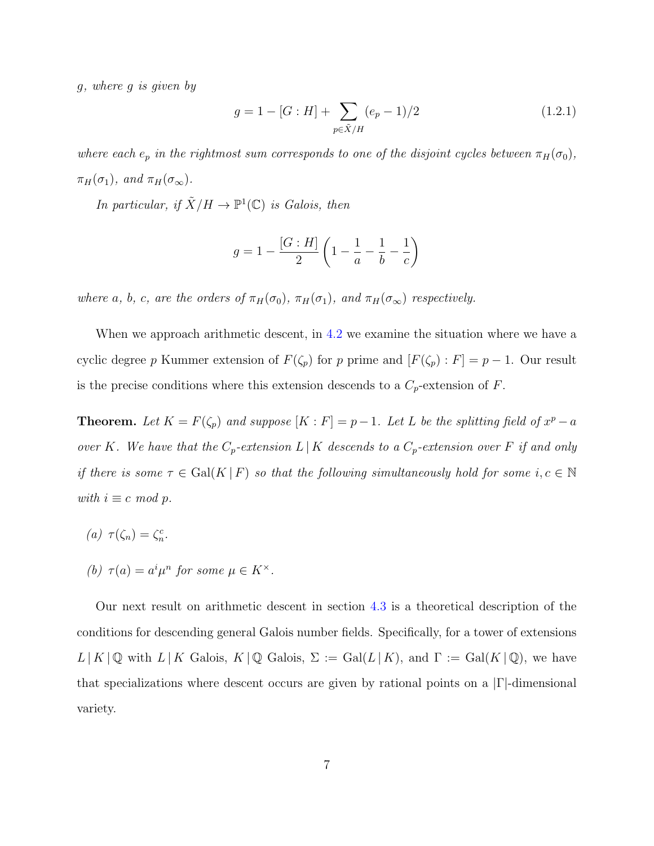g, where g is given by

$$
g = 1 - [G : H] + \sum_{p \in \tilde{X}/H} (e_p - 1)/2
$$
 (1.2.1)

where each  $e_p$  in the rightmost sum corresponds to one of the disjoint cycles between  $\pi_H(\sigma_0)$ ,  $\pi_H(\sigma_1)$ , and  $\pi_H(\sigma_\infty)$ .

In particular, if  $\tilde{X}/H \to \mathbb{P}^1(\mathbb{C})$  is Galois, then

$$
g = 1 - \frac{[G:H]}{2} \left( 1 - \frac{1}{a} - \frac{1}{b} - \frac{1}{c} \right)
$$

where a, b, c, are the orders of  $\pi_H(\sigma_0)$ ,  $\pi_H(\sigma_1)$ , and  $\pi_H(\sigma_{\infty})$  respectively.

When we approach arithmetic descent, in [4.2](#page-59-0) we examine the situation where we have a cyclic degree p Kummer extension of  $F(\zeta_p)$  for p prime and  $[F(\zeta_p): F] = p - 1$ . Our result is the precise conditions where this extension descends to a  $C_p$ -extension of F.

**Theorem.** Let  $K = F(\zeta_p)$  and suppose  $[K : F] = p - 1$ . Let L be the splitting field of  $x^p - a$ over K. We have that the  $C_p$ -extension  $L | K$  descends to a  $C_p$ -extension over F if and only if there is some  $\tau \in \text{Gal}(K \mid F)$  so that the following simultaneously hold for some  $i, c \in \mathbb{N}$ with  $i \equiv c \mod p$ .

- (a)  $\tau(\zeta_n) = \zeta_n^c$ .
- (b)  $\tau(a) = a^i \mu^n$  for some  $\mu \in K^{\times}$ .

Our next result on arithmetic descent in section [4.3](#page-69-0) is a theoretical description of the conditions for descending general Galois number fields. Specifically, for a tower of extensions  $L | K | \mathbb{Q}$  with  $L | K$  Galois,  $K | \mathbb{Q}$  Galois,  $\Sigma := \text{Gal}(L | K)$ , and  $\Gamma := \text{Gal}(K | \mathbb{Q})$ , we have that specializations where descent occurs are given by rational points on a  $|\Gamma|$ -dimensional variety.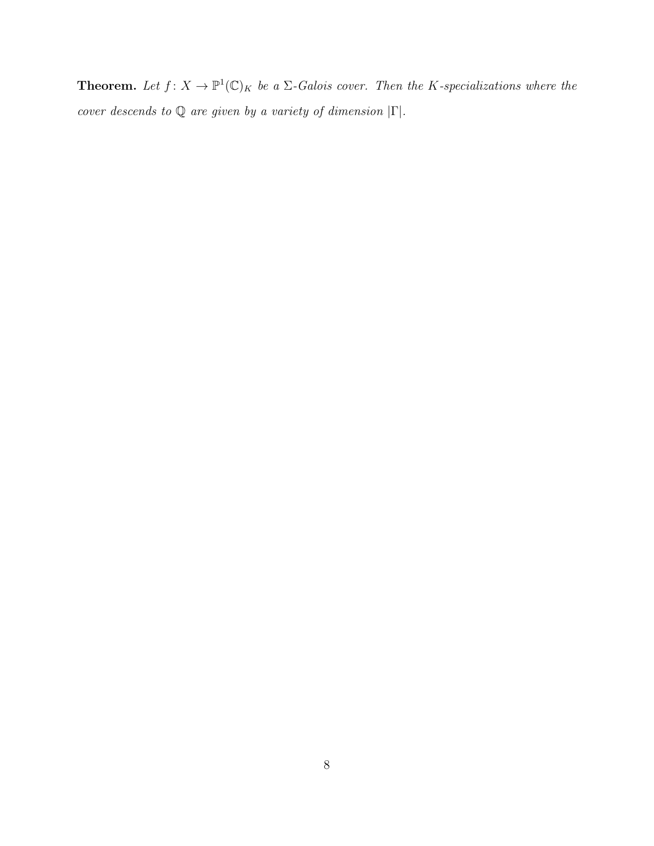**Theorem.** Let  $f: X \to \mathbb{P}^1(\mathbb{C})_K$  be a  $\Sigma$ -Galois cover. Then the K-specializations where the cover descends to  $\mathbb Q$  are given by a variety of dimension  $|\Gamma|.$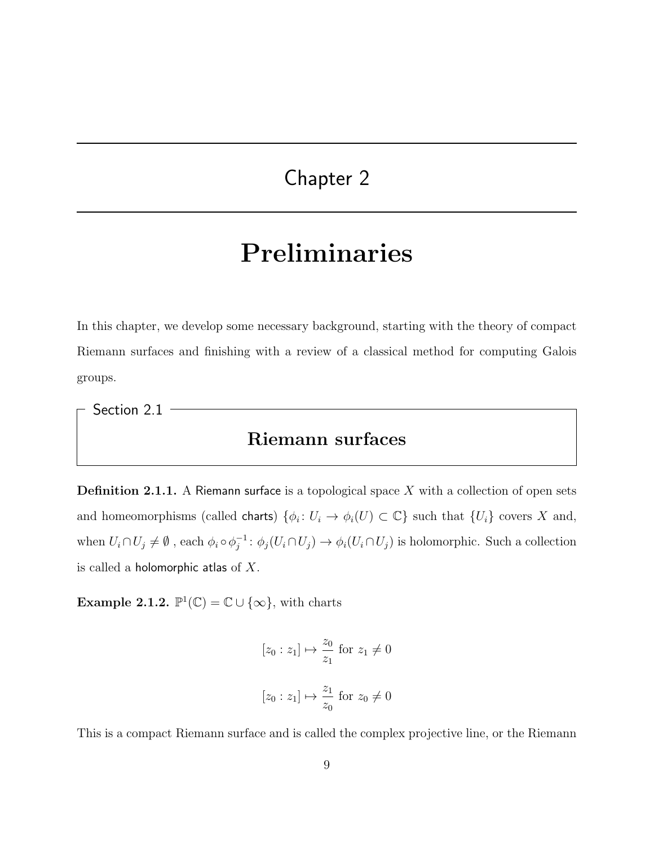### <span id="page-15-0"></span>Chapter 2

# Preliminaries

In this chapter, we develop some necessary background, starting with the theory of compact Riemann surfaces and finishing with a review of a classical method for computing Galois groups.

<span id="page-15-1"></span>Section 2.1

#### Riemann surfaces

**Definition 2.1.1.** A Riemann surface is a topological space  $X$  with a collection of open sets and homeomorphisms (called charts)  $\{\phi_i: U_i \to \phi_i(U) \subset \mathbb{C}\}\$  such that  $\{U_i\}$  covers X and, when  $U_i \cap U_j \neq \emptyset$ , each  $\phi_i \circ \phi_i^{-1}$  $j^{-1}$ :  $\phi_j(U_i \cap U_j) \to \phi_i(U_i \cap U_j)$  is holomorphic. Such a collection is called a holomorphic atlas of  $X$ .

**Example 2.1.2.**  $\mathbb{P}^1(\mathbb{C}) = \mathbb{C} \cup \{\infty\}$ , with charts

$$
[z_0 : z_1] \mapsto \frac{z_0}{z_1} \text{ for } z_1 \neq 0
$$

$$
[z_0 : z_1] \mapsto \frac{z_1}{z_0} \text{ for } z_0 \neq 0
$$

This is a compact Riemann surface and is called the complex projective line, or the Riemann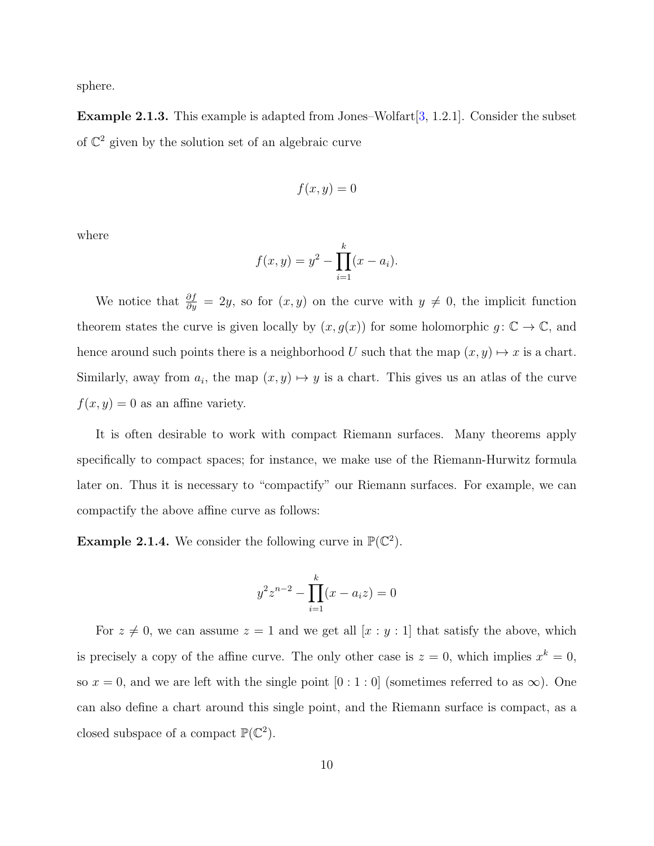sphere.

**Example 2.1.3.** This example is adapted from Jones–Wolfart  $[3, 1.2.1]$  $[3, 1.2.1]$ . Consider the subset of  $\mathbb{C}^2$  given by the solution set of an algebraic curve

$$
f(x,y)=0
$$

where

$$
f(x, y) = y^2 - \prod_{i=1}^{k} (x - a_i).
$$

We notice that  $\frac{\partial f}{\partial y} = 2y$ , so for  $(x, y)$  on the curve with  $y \neq 0$ , the implicit function theorem states the curve is given locally by  $(x, g(x))$  for some holomorphic  $g: \mathbb{C} \to \mathbb{C}$ , and hence around such points there is a neighborhood U such that the map  $(x, y) \mapsto x$  is a chart. Similarly, away from  $a_i$ , the map  $(x, y) \mapsto y$  is a chart. This gives us an atlas of the curve  $f(x, y) = 0$  as an affine variety.

It is often desirable to work with compact Riemann surfaces. Many theorems apply specifically to compact spaces; for instance, we make use of the Riemann-Hurwitz formula later on. Thus it is necessary to "compactify" our Riemann surfaces. For example, we can compactify the above affine curve as follows:

<span id="page-16-0"></span>**Example 2.1.4.** We consider the following curve in  $\mathbb{P}(\mathbb{C}^2)$ .

$$
y^{2}z^{n-2} - \prod_{i=1}^{k} (x - a_{i}z) = 0
$$

For  $z \neq 0$ , we can assume  $z = 1$  and we get all  $[x : y : 1]$  that satisfy the above, which is precisely a copy of the affine curve. The only other case is  $z = 0$ , which implies  $x^k = 0$ , so  $x = 0$ , and we are left with the single point  $[0:1:0]$  (sometimes referred to as  $\infty$ ). One can also define a chart around this single point, and the Riemann surface is compact, as a closed subspace of a compact  $\mathbb{P}(\mathbb{C}^2)$ .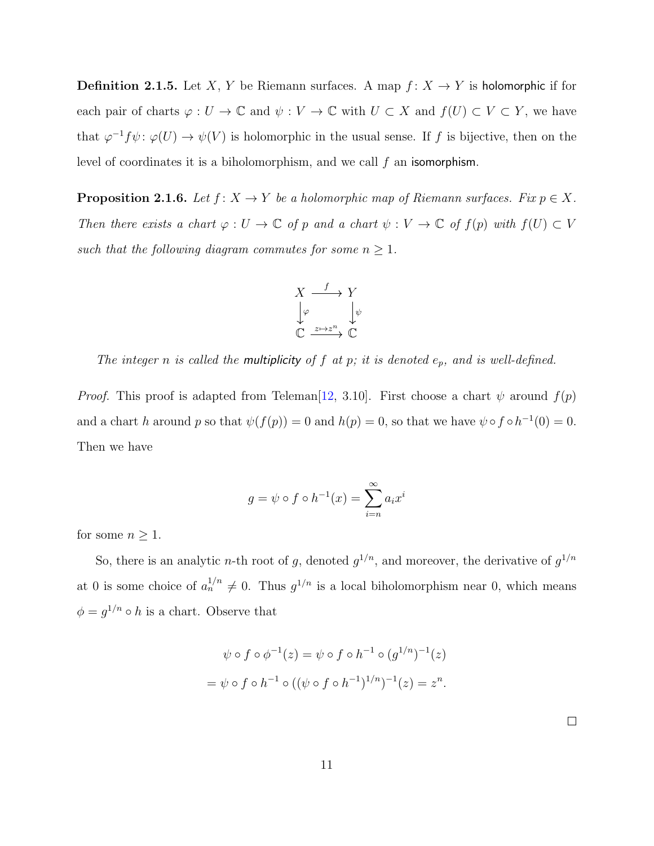**Definition 2.1.5.** Let X, Y be Riemann surfaces. A map  $f: X \to Y$  is holomorphic if for each pair of charts  $\varphi: U \to \mathbb{C}$  and  $\psi: V \to \mathbb{C}$  with  $U \subset X$  and  $f(U) \subset V \subset Y$ , we have that  $\varphi^{-1} f \psi \colon \varphi(U) \to \psi(V)$  is holomorphic in the usual sense. If f is bijective, then on the level of coordinates it is a biholomorphism, and we call  $f$  an isomorphism.

**Proposition 2.1.6.** Let  $f: X \to Y$  be a holomorphic map of Riemann surfaces. Fix  $p \in X$ . Then there exists a chart  $\varphi : U \to \mathbb{C}$  of p and a chart  $\psi : V \to \mathbb{C}$  of  $f(p)$  with  $f(U) \subset V$ such that the following diagram commutes for some  $n \geq 1$ .



The integer n is called the multiplicity of  $f$  at  $p$ ; it is denoted  $e_p$ , and is well-defined.

*Proof.* This proof is adapted from Teleman<sup>[12</sup>, 3.10]. First choose a chart  $\psi$  around  $f(p)$ and a chart h around p so that  $\psi(f(p)) = 0$  and  $h(p) = 0$ , so that we have  $\psi \circ f \circ h^{-1}(0) = 0$ . Then we have

$$
g = \psi \circ f \circ h^{-1}(x) = \sum_{i=n}^{\infty} a_i x^i
$$

for some  $n \geq 1$ .

So, there is an analytic *n*-th root of g, denoted  $g^{1/n}$ , and moreover, the derivative of  $g^{1/n}$ at 0 is some choice of  $a_n^{1/n} \neq 0$ . Thus  $g^{1/n}$  is a local biholomorphism near 0, which means  $\phi = g^{1/n} \circ h$  is a chart. Observe that

$$
\psi \circ f \circ \phi^{-1}(z) = \psi \circ f \circ h^{-1} \circ (g^{1/n})^{-1}(z)
$$

$$
= \psi \circ f \circ h^{-1} \circ ((\psi \circ f \circ h^{-1})^{1/n})^{-1}(z) = z^n.
$$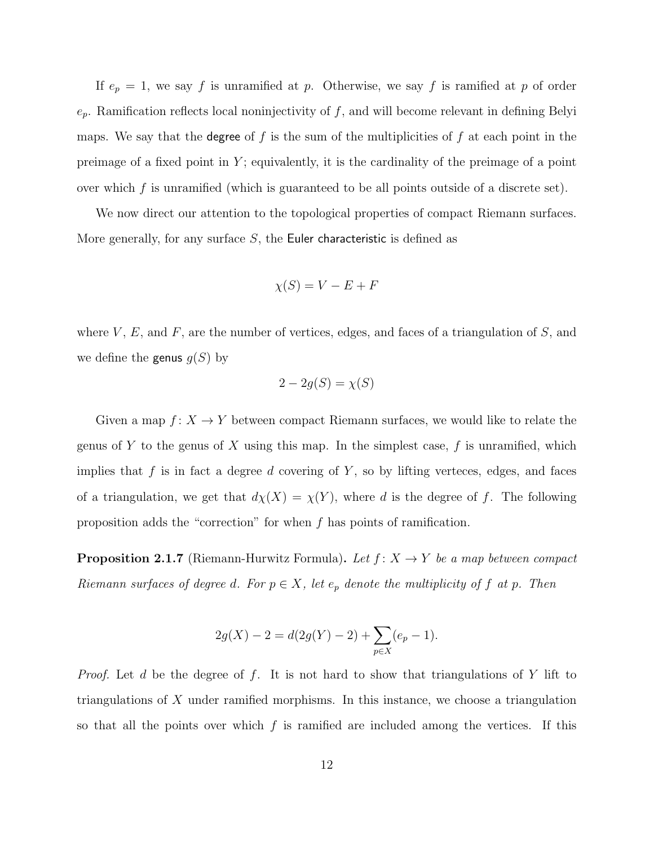If  $e_p = 1$ , we say f is unramified at p. Otherwise, we say f is ramified at p of order  $e_p$ . Ramification reflects local noninjectivity of f, and will become relevant in defining Belyi maps. We say that the degree of f is the sum of the multiplicities of f at each point in the preimage of a fixed point in  $Y$ ; equivalently, it is the cardinality of the preimage of a point over which  $f$  is unramified (which is guaranteed to be all points outside of a discrete set).

We now direct our attention to the topological properties of compact Riemann surfaces. More generally, for any surface  $S$ , the Euler characteristic is defined as

$$
\chi(S) = V - E + F
$$

where  $V, E$ , and  $F$ , are the number of vertices, edges, and faces of a triangulation of  $S$ , and we define the genus  $g(S)$  by

$$
2 - 2g(S) = \chi(S)
$$

Given a map  $f: X \to Y$  between compact Riemann surfaces, we would like to relate the genus of Y to the genus of X using this map. In the simplest case,  $f$  is unramified, which implies that  $f$  is in fact a degree  $d$  covering of  $Y$ , so by lifting verteces, edges, and faces of a triangulation, we get that  $d\chi(X) = \chi(Y)$ , where d is the degree of f. The following proposition adds the "correction" for when  $f$  has points of ramification.

**Proposition 2.1.7** (Riemann-Hurwitz Formula). Let  $f: X \rightarrow Y$  be a map between compact Riemann surfaces of degree d. For  $p \in X$ , let  $e_p$  denote the multiplicity of f at p. Then

$$
2g(X) - 2 = d(2g(Y) - 2) + \sum_{p \in X} (e_p - 1).
$$

*Proof.* Let d be the degree of f. It is not hard to show that triangulations of Y lift to triangulations of  $X$  under ramified morphisms. In this instance, we choose a triangulation so that all the points over which  $f$  is ramified are included among the vertices. If this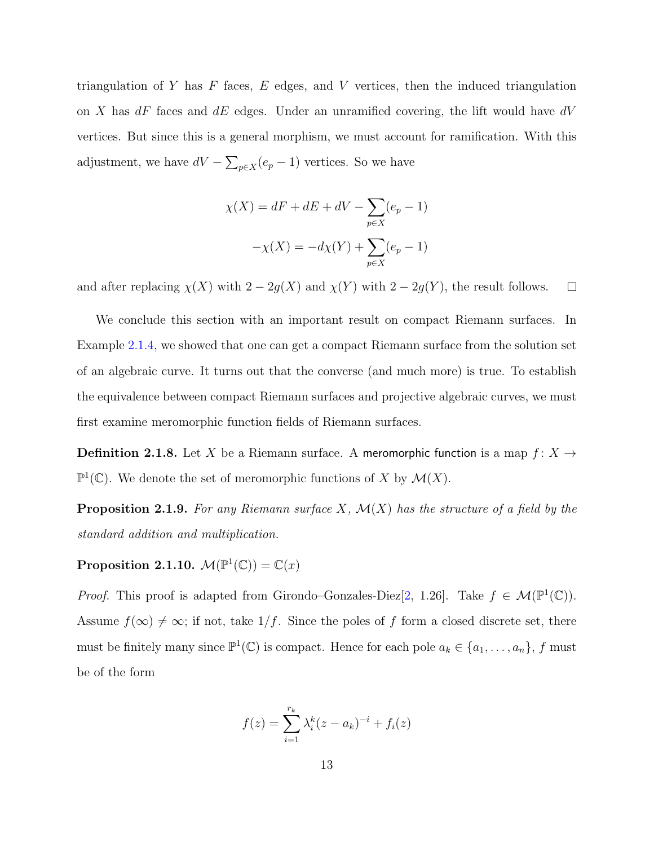triangulation of Y has  $F$  faces,  $E$  edges, and V vertices, then the induced triangulation on X has  $dF$  faces and  $dE$  edges. Under an unramified covering, the lift would have  $dV$ vertices. But since this is a general morphism, we must account for ramification. With this adjustment, we have  $dV - \sum_{p \in X} (e_p - 1)$  vertices. So we have

$$
\chi(X) = dF + dE + dV - \sum_{p \in X} (e_p - 1)
$$

$$
-\chi(X) = -d\chi(Y) + \sum_{p \in X} (e_p - 1)
$$

and after replacing  $\chi(X)$  with  $2 - 2g(X)$  and  $\chi(Y)$  with  $2 - 2g(Y)$ , the result follows.  $\Box$ 

We conclude this section with an important result on compact Riemann surfaces. In Example [2.1.4,](#page-16-0) we showed that one can get a compact Riemann surface from the solution set of an algebraic curve. It turns out that the converse (and much more) is true. To establish the equivalence between compact Riemann surfaces and projective algebraic curves, we must first examine meromorphic function fields of Riemann surfaces.

**Definition 2.1.8.** Let X be a Riemann surface. A meromorphic function is a map  $f: X \rightarrow$  $\mathbb{P}^1(\mathbb{C})$ . We denote the set of meromorphic functions of X by  $\mathcal{M}(X)$ .

**Proposition 2.1.9.** For any Riemann surface  $X$ ,  $\mathcal{M}(X)$  has the structure of a field by the standard addition and multiplication.

Proposition 2.1.10.  $\mathcal{M}(\mathbb{P}^1(\mathbb{C})) = \mathbb{C}(x)$ 

*Proof.* This proof is adapted from Girondo–Gonzales-Diez $[2, 1.26]$  $[2, 1.26]$ . Take  $f \in \mathcal{M}(\mathbb{P}^1(\mathbb{C}))$ . Assume  $f(\infty) \neq \infty$ ; if not, take  $1/f$ . Since the poles of f form a closed discrete set, there must be finitely many since  $\mathbb{P}^1(\mathbb{C})$  is compact. Hence for each pole  $a_k \in \{a_1, \ldots, a_n\}$ , f must be of the form

$$
f(z) = \sum_{i=1}^{r_k} \lambda_i^k (z - a_k)^{-i} + f_i(z)
$$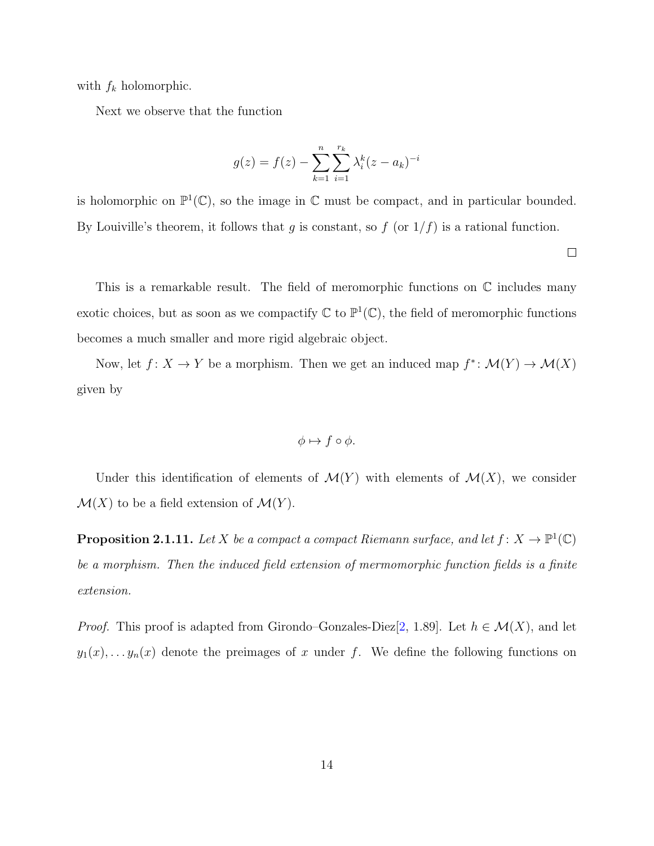with  $f_k$  holomorphic.

Next we observe that the function

$$
g(z) = f(z) - \sum_{k=1}^{n} \sum_{i=1}^{r_k} \lambda_i^k (z - a_k)^{-i}
$$

is holomorphic on  $\mathbb{P}^1(\mathbb{C})$ , so the image in  $\mathbb C$  must be compact, and in particular bounded. By Louiville's theorem, it follows that g is constant, so  $f$  (or  $1/f$ ) is a rational function.

This is a remarkable result. The field of meromorphic functions on  $\mathbb C$  includes many exotic choices, but as soon as we compactify  $\mathbb C$  to  $\mathbb P^1(\mathbb C)$ , the field of meromorphic functions becomes a much smaller and more rigid algebraic object.

Now, let  $f: X \to Y$  be a morphism. Then we get an induced map  $f^* : \mathcal{M}(Y) \to \mathcal{M}(X)$ given by

$$
\phi \mapsto f \circ \phi.
$$

Under this identification of elements of  $\mathcal{M}(Y)$  with elements of  $\mathcal{M}(X)$ , we consider  $\mathcal{M}(X)$  to be a field extension of  $\mathcal{M}(Y)$ .

<span id="page-20-0"></span>**Proposition 2.1.11.** Let X be a compact a compact Riemann surface, and let  $f: X \to \mathbb{P}^1(\mathbb{C})$ be a morphism. Then the induced field extension of mermomorphic function fields is a finite extension.

*Proof.* This proof is adapted from Girondo–Gonzales-Diez $[2, 1.89]$  $[2, 1.89]$ . Let  $h \in \mathcal{M}(X)$ , and let  $y_1(x), \ldots, y_n(x)$  denote the preimages of x under f. We define the following functions on

 $\Box$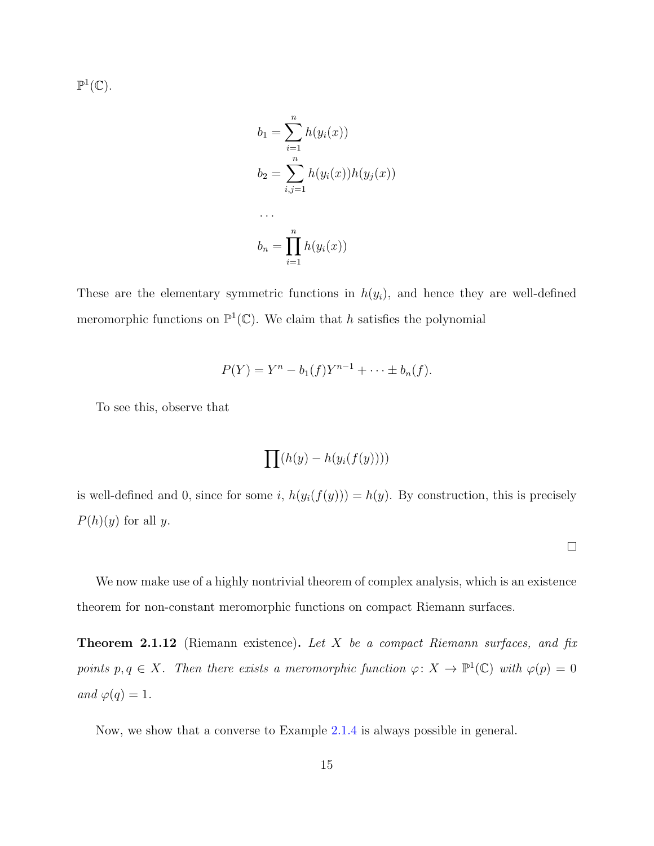$\mathbb{P}^1(\mathbb{C})$ .

$$
b_1 = \sum_{i=1}^n h(y_i(x))
$$
  
\n
$$
b_2 = \sum_{i,j=1}^n h(y_i(x))h(y_j(x))
$$
  
\n...  
\n
$$
b_n = \prod_{i=1}^n h(y_i(x))
$$

These are the elementary symmetric functions in  $h(y_i)$ , and hence they are well-defined meromorphic functions on  $\mathbb{P}^1(\mathbb{C})$ . We claim that h satisfies the polynomial

$$
P(Y) = Y^{n} - b_{1}(f)Y^{n-1} + \cdots \pm b_{n}(f).
$$

To see this, observe that

$$
\prod (h(y) - h(y_i(f(y))))
$$

is well-defined and 0, since for some i,  $h(y_i(f(y))) = h(y)$ . By construction, this is precisely  $P(h)(y)$  for all y.

 $\Box$ 

We now make use of a highly nontrivial theorem of complex analysis, which is an existence theorem for non-constant meromorphic functions on compact Riemann surfaces.

**Theorem 2.1.12** (Riemann existence). Let  $X$  be a compact Riemann surfaces, and fix points  $p, q \in X$ . Then there exists a meromorphic function  $\varphi \colon X \to \mathbb{P}^1(\mathbb{C})$  with  $\varphi(p) = 0$ and  $\varphi(q) = 1$ .

Now, we show that a converse to Example [2.1.4](#page-16-0) is always possible in general.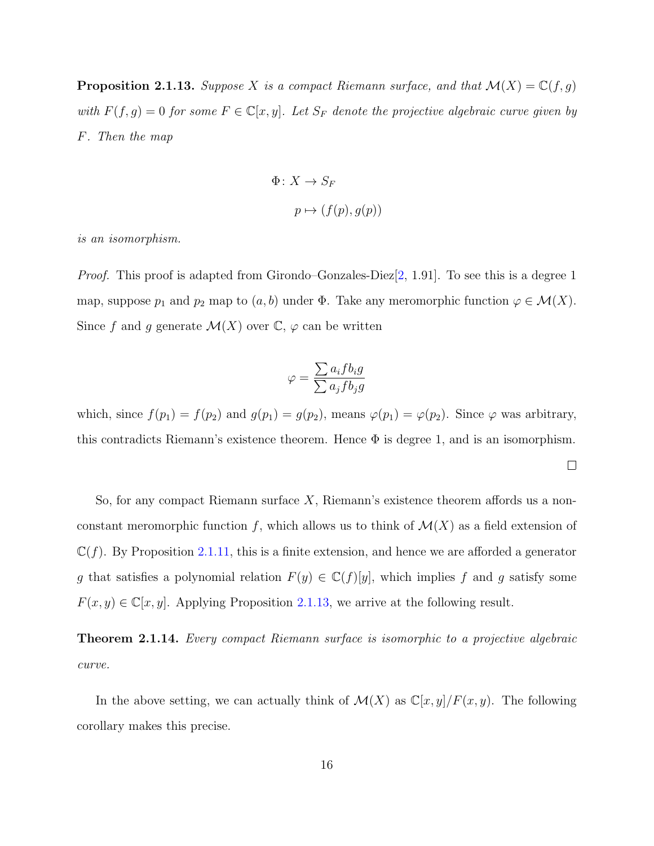<span id="page-22-0"></span>**Proposition 2.1.13.** Suppose X is a compact Riemann surface, and that  $\mathcal{M}(X) = \mathbb{C}(f,g)$ with  $F(f, g) = 0$  for some  $F \in \mathbb{C}[x, y]$ . Let  $S_F$  denote the projective algebraic curve given by F. Then the map

$$
\Phi \colon X \to S_F
$$

$$
p \mapsto (f(p), g(p))
$$

is an isomorphism.

*Proof.* This proof is adapted from Girondo–Gonzales-Diez $[2, 1.91]$  $[2, 1.91]$ . To see this is a degree 1 map, suppose  $p_1$  and  $p_2$  map to  $(a, b)$  under  $\Phi$ . Take any meromorphic function  $\varphi \in \mathcal{M}(X)$ . Since f and g generate  $\mathcal{M}(X)$  over  $\mathbb{C}, \varphi$  can be written

$$
\varphi = \frac{\sum a_i f b_i g}{\sum a_j f b_j g}
$$

which, since  $f(p_1) = f(p_2)$  and  $g(p_1) = g(p_2)$ , means  $\varphi(p_1) = \varphi(p_2)$ . Since  $\varphi$  was arbitrary, this contradicts Riemann's existence theorem. Hence  $\Phi$  is degree 1, and is an isomorphism.

 $\Box$ 

So, for any compact Riemann surface X, Riemann's existence theorem affords us a nonconstant meromorphic function f, which allows us to think of  $\mathcal{M}(X)$  as a field extension of  $\mathbb{C}(f)$ . By Proposition [2.1.11,](#page-20-0) this is a finite extension, and hence we are afforded a generator g that satisfies a polynomial relation  $F(y) \in \mathbb{C}(f)[y]$ , which implies f and g satisfy some  $F(x, y) \in \mathbb{C}[x, y]$ . Applying Proposition [2.1.13,](#page-22-0) we arrive at the following result.

Theorem 2.1.14. Every compact Riemann surface is isomorphic to a projective algebraic curve.

In the above setting, we can actually think of  $\mathcal{M}(X)$  as  $\mathbb{C}[x,y]/F(x,y)$ . The following corollary makes this precise.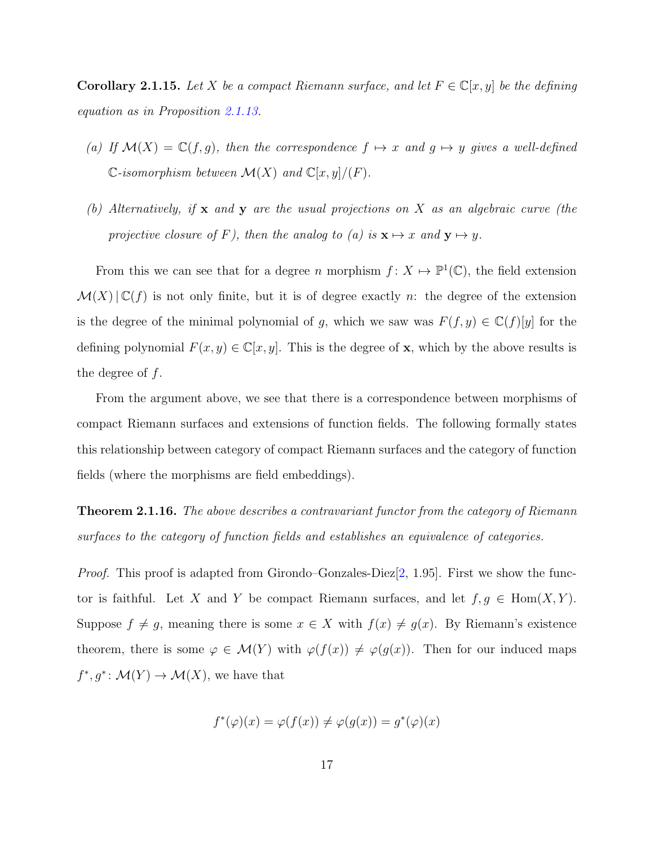<span id="page-23-0"></span>Corollary 2.1.15. Let X be a compact Riemann surface, and let  $F \in \mathbb{C}[x, y]$  be the defining equation as in Proposition [2.1.13.](#page-22-0)

- (a) If  $\mathcal{M}(X) = \mathbb{C}(f, g)$ , then the correspondence  $f \mapsto x$  and  $g \mapsto y$  gives a well-defined  $\mathbb{C}\text{-}isomorphism between } \mathcal{M}(X) \text{ and } \mathbb{C}[x,y]/(F).$
- (b) Alternatively, if  $x$  and  $y$  are the usual projections on  $X$  as an algebraic curve (the projective closure of F), then the analog to (a) is  $\mathbf{x} \mapsto x$  and  $\mathbf{y} \mapsto y$ .

From this we can see that for a degree n morphism  $f: X \mapsto \mathbb{P}^1(\mathbb{C})$ , the field extension  $\mathcal{M}(X)|\mathbb{C}(f)$  is not only finite, but it is of degree exactly n: the degree of the extension is the degree of the minimal polynomial of g, which we saw was  $F(f, y) \in \mathbb{C}(f)[y]$  for the defining polynomial  $F(x, y) \in \mathbb{C}[x, y]$ . This is the degree of **x**, which by the above results is the degree of  $f$ .

From the argument above, we see that there is a correspondence between morphisms of compact Riemann surfaces and extensions of function fields. The following formally states this relationship between category of compact Riemann surfaces and the category of function fields (where the morphisms are field embeddings).

**Theorem 2.1.16.** The above describes a contravariant functor from the category of Riemann surfaces to the category of function fields and establishes an equivalence of categories.

*Proof.* This proof is adapted from Girondo–Gonzales-Diez $[2, 1.95]$  $[2, 1.95]$ . First we show the functor is faithful. Let X and Y be compact Riemann surfaces, and let  $f, g \in \text{Hom}(X, Y)$ . Suppose  $f \neq g$ , meaning there is some  $x \in X$  with  $f(x) \neq g(x)$ . By Riemann's existence theorem, there is some  $\varphi \in \mathcal{M}(Y)$  with  $\varphi(f(x)) \neq \varphi(g(x))$ . Then for our induced maps  $f^*, g^*: \mathcal{M}(Y) \to \mathcal{M}(X)$ , we have that

$$
f^*(\varphi)(x) = \varphi(f(x)) \neq \varphi(g(x)) = g^*(\varphi)(x)
$$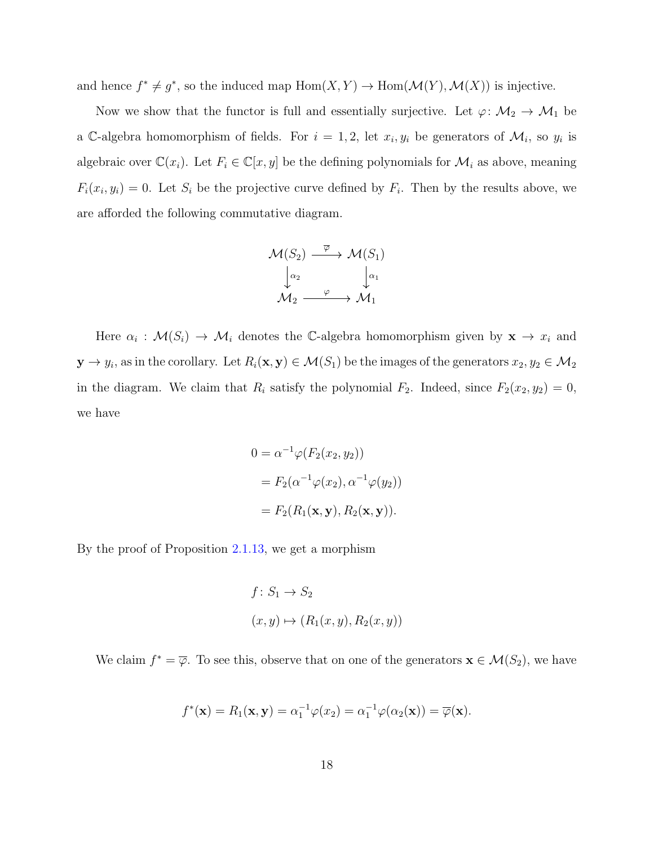and hence  $f^* \neq g^*$ , so the induced map  $Hom(X, Y) \to Hom(\mathcal{M}(Y), \mathcal{M}(X))$  is injective.

Now we show that the functor is full and essentially surjective. Let  $\varphi \colon \mathcal{M}_2 \to \mathcal{M}_1$  be a C-algebra homomorphism of fields. For  $i = 1, 2$ , let  $x_i, y_i$  be generators of  $\mathcal{M}_i$ , so  $y_i$  is algebraic over  $\mathbb{C}(x_i)$ . Let  $F_i \in \mathbb{C}[x, y]$  be the defining polynomials for  $\mathcal{M}_i$  as above, meaning  $F_i(x_i, y_i) = 0$ . Let  $S_i$  be the projective curve defined by  $F_i$ . Then by the results above, we are afforded the following commutative diagram.

$$
\mathcal{M}(S_2) \xrightarrow{\overline{\varphi}} \mathcal{M}(S_1)
$$

$$
\downarrow^{\alpha_2} \qquad \downarrow^{\alpha_1}
$$

$$
\mathcal{M}_2 \xrightarrow{\varphi} \mathcal{M}_1
$$

Here  $\alpha_i : \mathcal{M}(S_i) \to \mathcal{M}_i$  denotes the C-algebra homomorphism given by  $\mathbf{x} \to x_i$  and  $y \to y_i$ , as in the corollary. Let  $R_i(\mathbf{x},\mathbf{y}) \in \mathcal{M}(S_1)$  be the images of the generators  $x_2,y_2 \in \mathcal{M}_2$ in the diagram. We claim that  $R_i$  satisfy the polynomial  $F_2$ . Indeed, since  $F_2(x_2, y_2) = 0$ , we have

$$
0 = \alpha^{-1} \varphi(F_2(x_2, y_2))
$$
  
=  $F_2(\alpha^{-1} \varphi(x_2), \alpha^{-1} \varphi(y_2))$   
=  $F_2(R_1(\mathbf{x}, \mathbf{y}), R_2(\mathbf{x}, \mathbf{y})).$ 

By the proof of Proposition [2.1.13,](#page-22-0) we get a morphism

$$
f: S_1 \to S_2
$$

$$
(x, y) \mapsto (R_1(x, y), R_2(x, y))
$$

We claim  $f^* = \overline{\varphi}$ . To see this, observe that on one of the generators  $\mathbf{x} \in \mathcal{M}(S_2)$ , we have

$$
f^*(\mathbf{x}) = R_1(\mathbf{x}, \mathbf{y}) = \alpha_1^{-1} \varphi(x_2) = \alpha_1^{-1} \varphi(\alpha_2(\mathbf{x})) = \overline{\varphi}(\mathbf{x}).
$$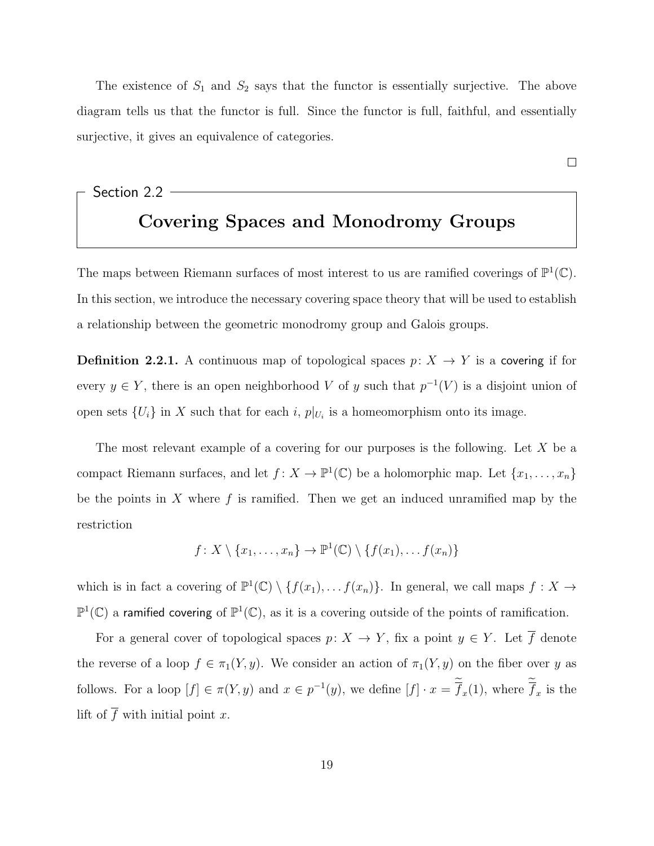The existence of  $S_1$  and  $S_2$  says that the functor is essentially surjective. The above diagram tells us that the functor is full. Since the functor is full, faithful, and essentially surjective, it gives an equivalence of categories.

### <span id="page-25-0"></span>Section 2.2 Covering Spaces and Monodromy Groups

The maps between Riemann surfaces of most interest to us are ramified coverings of  $\mathbb{P}^1(\mathbb{C})$ . In this section, we introduce the necessary covering space theory that will be used to establish a relationship between the geometric monodromy group and Galois groups.

**Definition 2.2.1.** A continuous map of topological spaces  $p: X \rightarrow Y$  is a covering if for every  $y \in Y$ , there is an open neighborhood V of y such that  $p^{-1}(V)$  is a disjoint union of open sets  $\{U_i\}$  in X such that for each i,  $p|_{U_i}$  is a homeomorphism onto its image.

The most relevant example of a covering for our purposes is the following. Let  $X$  be a compact Riemann surfaces, and let  $f: X \to \mathbb{P}^1(\mathbb{C})$  be a holomorphic map. Let  $\{x_1, \ldots, x_n\}$ be the points in X where  $f$  is ramified. Then we get an induced unramified map by the restriction

$$
f: X \setminus \{x_1, \ldots, x_n\} \to \mathbb{P}^1(\mathbb{C}) \setminus \{f(x_1), \ldots, f(x_n)\}\
$$

which is in fact a covering of  $\mathbb{P}^1(\mathbb{C}) \setminus \{f(x_1), \ldots f(x_n)\}\.$  In general, we call maps  $f : X \to Y$  $\mathbb{P}^1(\mathbb{C})$  a ramified covering of  $\mathbb{P}^1(\mathbb{C})$ , as it is a covering outside of the points of ramification.

For a general cover of topological spaces  $p: X \to Y$ , fix a point  $y \in Y$ . Let  $\overline{f}$  denote the reverse of a loop  $f \in \pi_1(Y, y)$ . We consider an action of  $\pi_1(Y, y)$  on the fiber over y as follows. For a loop  $[f] \in \pi(Y, y)$  and  $x \in p^{-1}(y)$ , we define  $[f] \cdot x = \overline{f}_x(1)$ , where  $\overline{f}_x$  is the lift of  $\overline{f}$  with initial point x.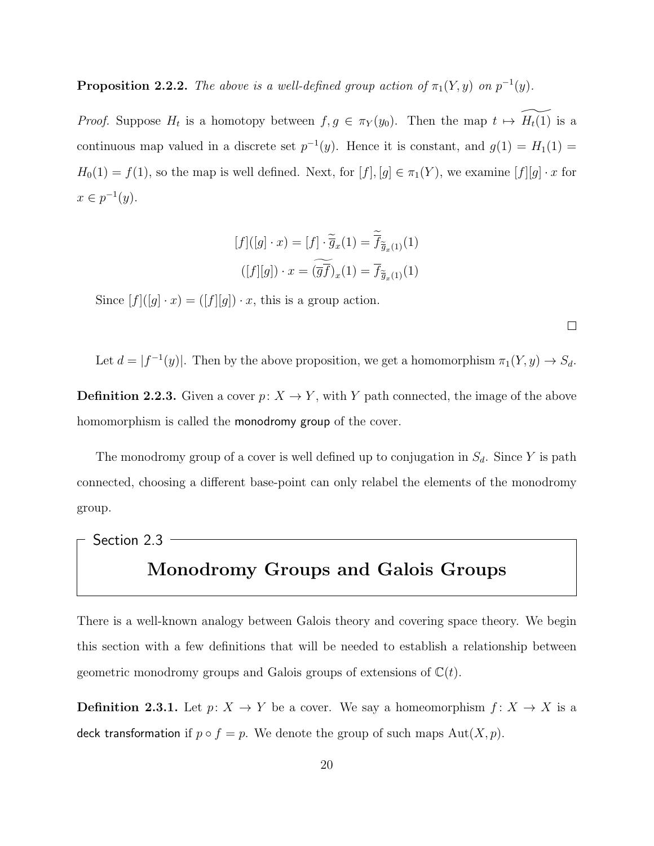#### **Proposition 2.2.2.** The above is a well-defined group action of  $\pi_1(Y, y)$  on  $p^{-1}(y)$ .

*Proof.* Suppose  $H_t$  is a homotopy between  $f, g \in \pi_Y(y_0)$ . Then the map  $t \mapsto \widetilde{H_t(1)}$  is a continuous map valued in a discrete set  $p^{-1}(y)$ . Hence it is constant, and  $g(1) = H_1(1) =$  $H_0(1) = f(1)$ , so the map is well defined. Next, for  $[f], [g] \in \pi_1(Y)$ , we examine  $[f][g] \cdot x$  for  $x \in p^{-1}(y)$ .

$$
[f]([g] \cdot x) = [f] \cdot \overline{\widetilde{g}}_x(1) = \overline{\widetilde{f}}_{\widetilde{g}_x(1)}(1)
$$

$$
([f][g]) \cdot x = (\overline{g}\widetilde{f})_x(1) = \overline{f}_{\widetilde{g}_x(1)}(1)
$$

Since  $[f]([g] \cdot x) = ([f][g]) \cdot x$ , this is a group action.

Let  $d = |f^{-1}(y)|$ . Then by the above proposition, we get a homomorphism  $\pi_1(Y, y) \to S_d$ .

**Definition 2.2.3.** Given a cover  $p: X \to Y$ , with Y path connected, the image of the above homomorphism is called the monodromy group of the cover.

The monodromy group of a cover is well defined up to conjugation in  $S_d$ . Since Y is path connected, choosing a different base-point can only relabel the elements of the monodromy group.

## <span id="page-26-0"></span>Section 2.3 Monodromy Groups and Galois Groups

There is a well-known analogy between Galois theory and covering space theory. We begin this section with a few definitions that will be needed to establish a relationship between geometric monodromy groups and Galois groups of extensions of  $\mathbb{C}(t)$ .

**Definition 2.3.1.** Let  $p: X \to Y$  be a cover. We say a homeomorphism  $f: X \to X$  is a deck transformation if  $p \circ f = p$ . We denote the group of such maps  $Aut(X, p)$ .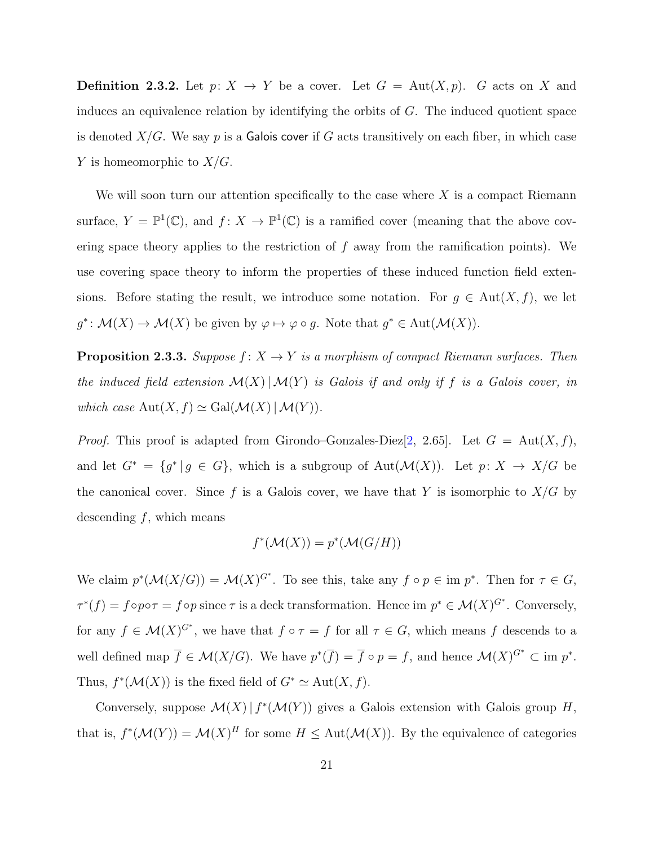**Definition 2.3.2.** Let  $p: X \to Y$  be a cover. Let  $G = Aut(X, p)$ . G acts on X and induces an equivalence relation by identifying the orbits of G. The induced quotient space is denoted  $X/G$ . We say p is a Galois cover if G acts transitively on each fiber, in which case Y is homeomorphic to  $X/G$ .

We will soon turn our attention specifically to the case where  $X$  is a compact Riemann surface,  $Y = \mathbb{P}^1(\mathbb{C})$ , and  $f: X \to \mathbb{P}^1(\mathbb{C})$  is a ramified cover (meaning that the above covering space theory applies to the restriction of  $f$  away from the ramification points). We use covering space theory to inform the properties of these induced function field extensions. Before stating the result, we introduce some notation. For  $g \in Aut(X, f)$ , we let  $g^*: \mathcal{M}(X) \to \mathcal{M}(X)$  be given by  $\varphi \mapsto \varphi \circ g$ . Note that  $g^* \in \text{Aut}(\mathcal{M}(X))$ .

**Proposition 2.3.3.** Suppose  $f: X \to Y$  is a morphism of compact Riemann surfaces. Then the induced field extension  $\mathcal{M}(X)|\mathcal{M}(Y)$  is Galois if and only if f is a Galois cover, in which case  $\text{Aut}(X, f) \simeq \text{Gal}(\mathcal{M}(X) | \mathcal{M}(Y)).$ 

*Proof.* This proof is adapted from Girondo–Gonzales-Diez $[2, 2.65]$  $[2, 2.65]$ . Let  $G = \text{Aut}(X, f)$ , and let  $G^* = \{g^* | g \in G\}$ , which is a subgroup of  $Aut(M(X))$ . Let  $p: X \to X/G$  be the canonical cover. Since f is a Galois cover, we have that Y is isomorphic to  $X/G$  by descending  $f$ , which means

$$
f^*(\mathcal{M}(X)) = p^*(\mathcal{M}(G/H))
$$

We claim  $p^*(\mathcal{M}(X/G)) = \mathcal{M}(X)^{G^*}$ . To see this, take any  $f \circ p \in \text{im } p^*$ . Then for  $\tau \in G$ ,  $\tau^*(f) = f \circ p \circ \tau = f \circ p$  since  $\tau$  is a deck transformation. Hence im  $p^* \in \mathcal{M}(X)^{G^*}$ . Conversely, for any  $f \in \mathcal{M}(X)^{G^*}$ , we have that  $f \circ \tau = f$  for all  $\tau \in G$ , which means f descends to a well defined map  $\overline{f} \in \mathcal{M}(X/G)$ . We have  $p^*(\overline{f}) = \overline{f} \circ p = f$ , and hence  $\mathcal{M}(X)^{G^*} \subset \text{im } p^*$ . Thus,  $f^*(\mathcal{M}(X))$  is the fixed field of  $G^* \simeq \text{Aut}(X, f)$ .

Conversely, suppose  $\mathcal{M}(X) | f^*(\mathcal{M}(Y))$  gives a Galois extension with Galois group H, that is,  $f^*(\mathcal{M}(Y)) = \mathcal{M}(X)^H$  for some  $H \leq \text{Aut}(\mathcal{M}(X))$ . By the equivalence of categories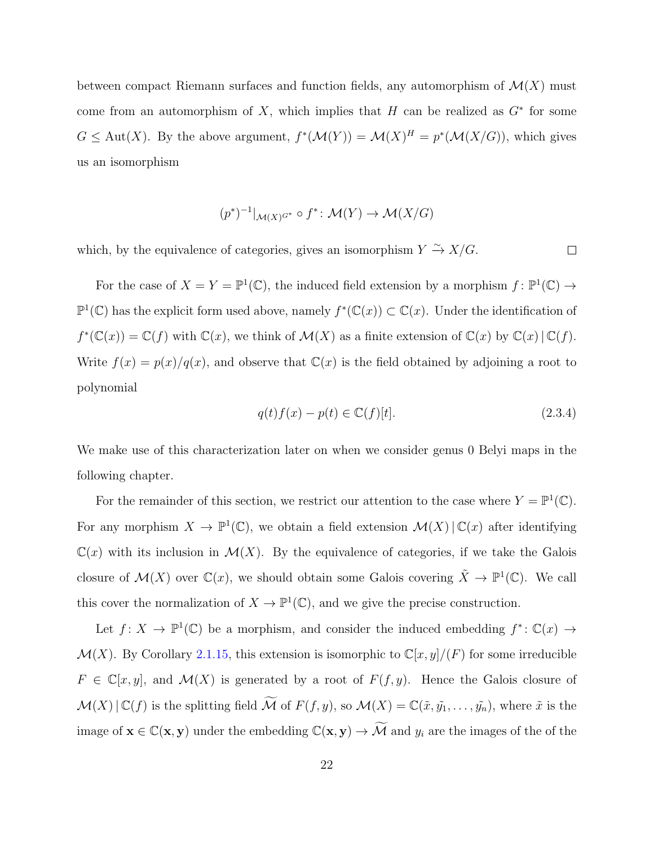between compact Riemann surfaces and function fields, any automorphism of  $\mathcal{M}(X)$  must come from an automorphism of X, which implies that H can be realized as  $G^*$  for some  $G \leq \text{Aut}(X)$ . By the above argument,  $f^*(\mathcal{M}(Y)) = \mathcal{M}(X)^H = p^*(\mathcal{M}(X/G))$ , which gives us an isomorphism

$$
(p^*)^{-1}|_{\mathcal{M}(X)^{G^*}} \circ f^* \colon \mathcal{M}(Y) \to \mathcal{M}(X/G)
$$

which, by the equivalence of categories, gives an isomorphism  $Y \stackrel{\sim}{\rightarrow} X/G$ .

For the case of  $X = Y = \mathbb{P}^1(\mathbb{C})$ , the induced field extension by a morphism  $f: \mathbb{P}^1(\mathbb{C}) \to$  $\mathbb{P}^1(\mathbb{C})$  has the explicit form used above, namely  $f^*(\mathbb{C}(x)) \subset \mathbb{C}(x)$ . Under the identification of  $f^*(\mathbb{C}(x)) = \mathbb{C}(f)$  with  $\mathbb{C}(x)$ , we think of  $\mathcal{M}(X)$  as a finite extension of  $\mathbb{C}(x)$  by  $\mathbb{C}(x) | \mathbb{C}(f)$ . Write  $f(x) = p(x)/q(x)$ , and observe that  $\mathbb{C}(x)$  is the field obtained by adjoining a root to polynomial

$$
q(t)f(x) - p(t) \in \mathbb{C}(f)[t].
$$
\n(2.3.4)

 $\Box$ 

We make use of this characterization later on when we consider genus 0 Belyi maps in the following chapter.

For the remainder of this section, we restrict our attention to the case where  $Y = \mathbb{P}^1(\mathbb{C})$ . For any morphism  $X \to \mathbb{P}^1(\mathbb{C})$ , we obtain a field extension  $\mathcal{M}(X) | \mathbb{C}(x)$  after identifying  $\mathbb{C}(x)$  with its inclusion in  $\mathcal{M}(X)$ . By the equivalence of categories, if we take the Galois closure of  $\mathcal{M}(X)$  over  $\mathbb{C}(x)$ , we should obtain some Galois covering  $\tilde{X} \to \mathbb{P}^1(\mathbb{C})$ . We call this cover the normalization of  $X \to \mathbb{P}^1(\mathbb{C})$ , and we give the precise construction.

Let  $f: X \to \mathbb{P}^1(\mathbb{C})$  be a morphism, and consider the induced embedding  $f^* \colon \mathbb{C}(x) \to$  $\mathcal{M}(X)$ . By Corollary [2.1.15,](#page-23-0) this extension is isomorphic to  $\mathbb{C}[x,y]/(F)$  for some irreducible  $F \in \mathbb{C}[x, y]$ , and  $\mathcal{M}(X)$  is generated by a root of  $F(f, y)$ . Hence the Galois closure of  $\mathcal{M}(X)|\mathbb{C}(f)$  is the splitting field  $\widetilde{\mathcal{M}}$  of  $F(f, y)$ , so  $\mathcal{M}(X) = \mathbb{C}(\tilde{x}, \tilde{y_1}, \ldots, \tilde{y_n})$ , where  $\tilde{x}$  is the image of  $\mathbf{x} \in \mathbb{C}(\mathbf{x}, \mathbf{y})$  under the embedding  $\mathbb{C}(\mathbf{x}, \mathbf{y}) \to \widetilde{\mathcal{M}}$  and  $y_i$  are the images of the of the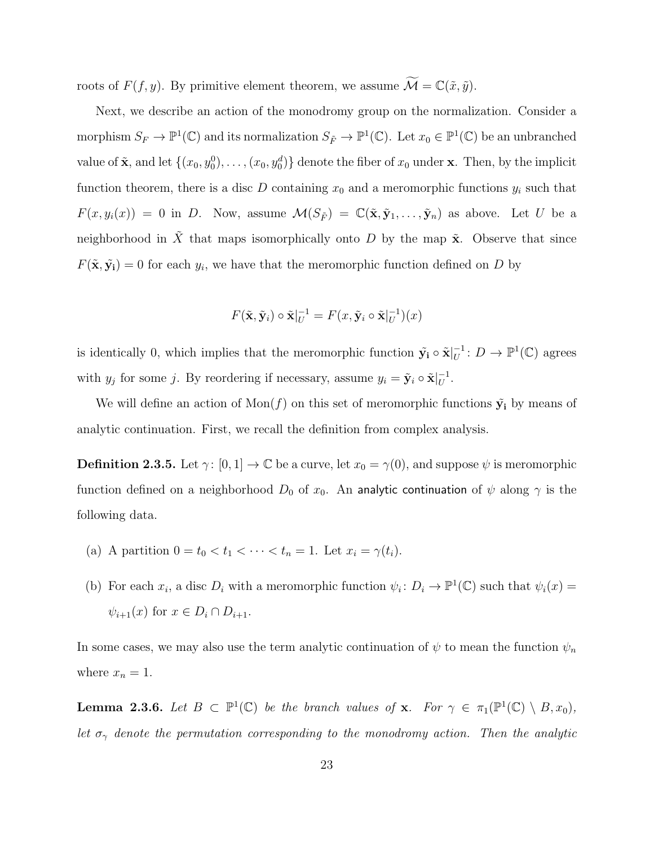roots of  $F(f, y)$ . By primitive element theorem, we assume  $\widetilde{\mathcal{M}} = \mathbb{C}(\tilde{x}, \tilde{y})$ .

Next, we describe an action of the monodromy group on the normalization. Consider a morphism  $S_F \to \mathbb{P}^1(\mathbb{C})$  and its normalization  $S_{\tilde{F}} \to \mathbb{P}^1(\mathbb{C})$ . Let  $x_0 \in \mathbb{P}^1(\mathbb{C})$  be an unbranched value of  $\tilde{\mathbf{x}}$ , and let  $\{(x_0, y_0^0), \ldots, (x_0, y_0^d)\}$  denote the fiber of  $x_0$  under  $\mathbf{x}$ . Then, by the implicit function theorem, there is a disc  $D$  containing  $x_0$  and a meromorphic functions  $y_i$  such that  $F(x, y_i(x)) = 0$  in D. Now, assume  $\mathcal{M}(S_{\tilde{F}}) = \mathbb{C}(\tilde{\mathbf{x}}, \tilde{\mathbf{y}}_1, \dots, \tilde{\mathbf{y}}_n)$  as above. Let U be a neighborhood in  $\tilde{X}$  that maps isomorphically onto D by the map  $\tilde{\mathbf{x}}$ . Observe that since  $F(\tilde{\mathbf{x}}, \tilde{\mathbf{y}}_i) = 0$  for each  $y_i$ , we have that the meromorphic function defined on D by

$$
F(\tilde{\mathbf{x}}, \tilde{\mathbf{y}}_i) \circ \tilde{\mathbf{x}}|_{U}^{-1} = F(x, \tilde{\mathbf{y}}_i \circ \tilde{\mathbf{x}}|_{U}^{-1})(x)
$$

is identically 0, which implies that the meromorphic function  $\tilde{\mathbf{y}}_i \circ \tilde{\mathbf{x}}|_{U}^{-1}$  $U^{-1}: D \to \mathbb{P}^1(\mathbb{C})$  agrees with  $y_j$  for some j. By reordering if necessary, assume  $y_i = \tilde{y}_i \circ \tilde{x}|_{U}^{-1}$  $\overline{U}^1$ .

We will define an action of  $\text{Mon}(f)$  on this set of meromorphic functions  $\tilde{\mathbf{y}}_i$  by means of analytic continuation. First, we recall the definition from complex analysis.

**Definition 2.3.5.** Let  $\gamma: [0, 1] \to \mathbb{C}$  be a curve, let  $x_0 = \gamma(0)$ , and suppose  $\psi$  is meromorphic function defined on a neighborhood  $D_0$  of  $x_0$ . An analytic continuation of  $\psi$  along  $\gamma$  is the following data.

- (a) A partition  $0 = t_0 < t_1 < \cdots < t_n = 1$ . Let  $x_i = \gamma(t_i)$ .
- (b) For each  $x_i$ , a disc  $D_i$  with a meromorphic function  $\psi_i: D_i \to \mathbb{P}^1(\mathbb{C})$  such that  $\psi_i(x) =$  $\psi_{i+1}(x)$  for  $x \in D_i \cap D_{i+1}$ .

In some cases, we may also use the term analytic continuation of  $\psi$  to mean the function  $\psi_n$ where  $x_n = 1$ .

<span id="page-29-0"></span>**Lemma 2.3.6.** Let  $B \subset \mathbb{P}^1(\mathbb{C})$  be the branch values of **x**. For  $\gamma \in \pi_1(\mathbb{P}^1(\mathbb{C}) \setminus B, x_0)$ , let  $\sigma_{\gamma}$  denote the permutation corresponding to the monodromy action. Then the analytic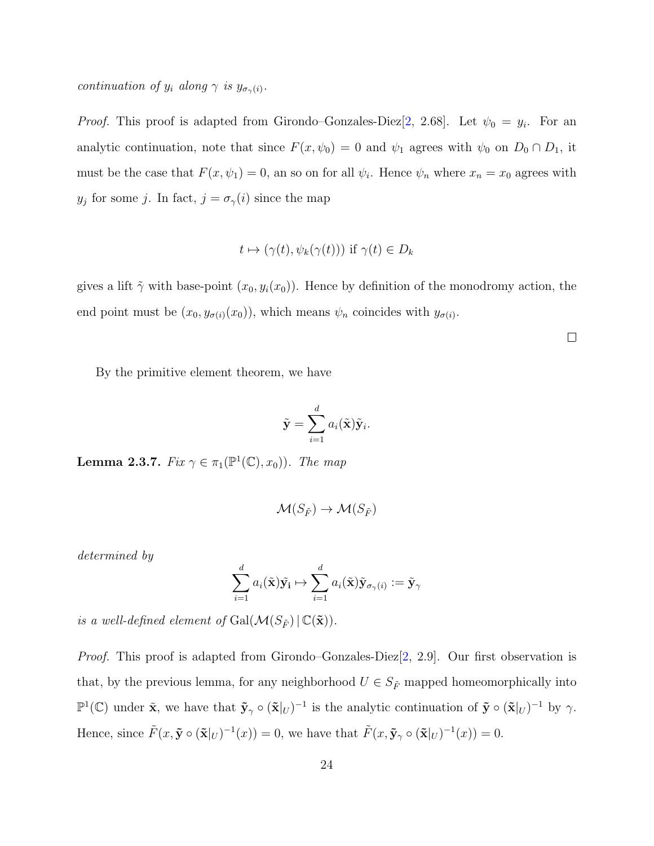continuation of  $y_i$  along  $\gamma$  is  $y_{\sigma_{\gamma}(i)}$ .

*Proof.* This proof is adapted from Girondo–Gonzales-Diez $[2, 2.68]$  $[2, 2.68]$ . Let  $\psi_0 = y_i$ . For an analytic continuation, note that since  $F(x, \psi_0) = 0$  and  $\psi_1$  agrees with  $\psi_0$  on  $D_0 \cap D_1$ , it must be the case that  $F(x, \psi_1) = 0$ , an so on for all  $\psi_i$ . Hence  $\psi_n$  where  $x_n = x_0$  agrees with  $y_j$  for some j. In fact,  $j = \sigma_\gamma(i)$  since the map

$$
t \mapsto (\gamma(t), \psi_k(\gamma(t)))
$$
 if  $\gamma(t) \in D_k$ 

gives a lift  $\tilde{\gamma}$  with base-point  $(x_0, y_i(x_0))$ . Hence by definition of the monodromy action, the end point must be  $(x_0, y_{\sigma(i)}(x_0))$ , which means  $\psi_n$  coincides with  $y_{\sigma(i)}$ .

 $\Box$ 

By the primitive element theorem, we have

$$
\tilde{\mathbf{y}} = \sum_{i=1}^d a_i(\tilde{\mathbf{x}})\tilde{\mathbf{y}}_i.
$$

<span id="page-30-0"></span>**Lemma 2.3.7.** Fix  $\gamma \in \pi_1(\mathbb{P}^1(\mathbb{C}), x_0)$ ). The map

$$
\mathcal{M}(S_{\tilde{F}}) \to \mathcal{M}(S_{\tilde{F}})
$$

determined by

$$
\sum_{i=1}^d a_i(\tilde{\mathbf{x}})\tilde{\mathbf{y_i}} \mapsto \sum_{i=1}^d a_i(\tilde{\mathbf{x}})\tilde{\mathbf{y}}_{\sigma_\gamma(i)} := \tilde{\mathbf{y}}_\gamma
$$

is a well-defined element of  $Gal(\mathcal{M}(S_{\tilde{F}}) | \mathbb{C}(\tilde{\mathbf{x}})).$ 

Proof. This proof is adapted from Girondo–Gonzales-Diez[\[2,](#page-77-2) 2.9]. Our first observation is that, by the previous lemma, for any neighborhood  $U \in S_{\tilde{F}}$  mapped homeomorphically into  $\mathbb{P}^1(\mathbb{C})$  under  $\tilde{\mathbf{x}}$ , we have that  $\tilde{\mathbf{y}} \circ (\tilde{\mathbf{x}}|_U)^{-1}$  is the analytic continuation of  $\tilde{\mathbf{y}} \circ (\tilde{\mathbf{x}}|_U)^{-1}$  by  $\gamma$ . Hence, since  $\tilde{F}(x, \tilde{\mathbf{y}} \circ (\tilde{\mathbf{x}}|_U)^{-1}(x)) = 0$ , we have that  $\tilde{F}(x, \tilde{\mathbf{y}}_{\gamma} \circ (\tilde{\mathbf{x}}|_U)^{-1}(x)) = 0$ .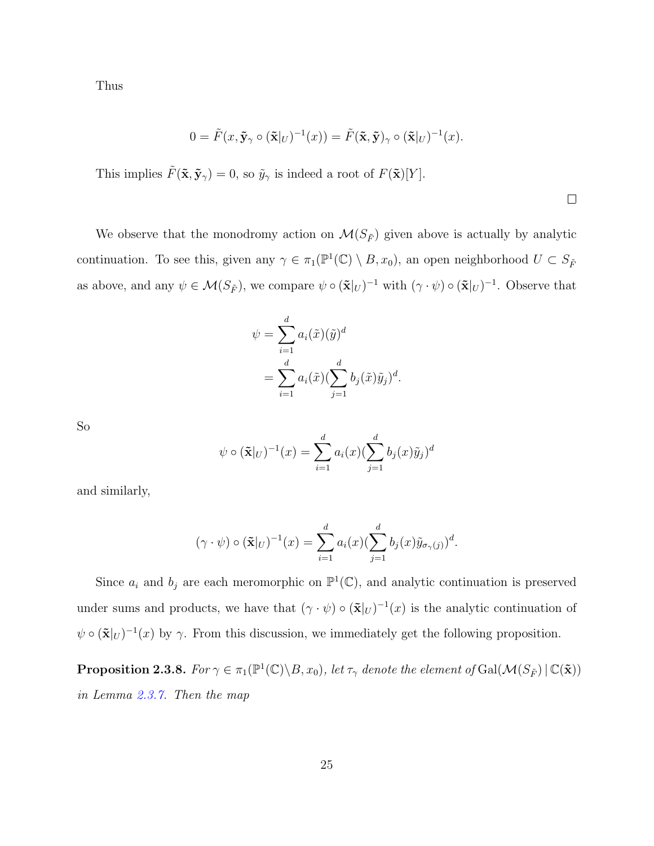Thus

$$
0 = \tilde{F}(x, \tilde{\mathbf{y}}_{\gamma} \circ (\tilde{\mathbf{x}}|_{U})^{-1}(x)) = \tilde{F}(\tilde{\mathbf{x}}, \tilde{\mathbf{y}})_{\gamma} \circ (\tilde{\mathbf{x}}|_{U})^{-1}(x).
$$

This implies  $\tilde{F}(\tilde{\mathbf{x}}, \tilde{\mathbf{y}}_{\gamma}) = 0$ , so  $\tilde{y}_{\gamma}$  is indeed a root of  $F(\tilde{\mathbf{x}})[Y]$ .

We observe that the monodromy action on  $\mathcal{M}(S_{\tilde{F}})$  given above is actually by analytic continuation. To see this, given any  $\gamma \in \pi_1(\mathbb{P}^1(\mathbb{C}) \setminus B, x_0)$ , an open neighborhood  $U \subset S_{\tilde{F}}$ as above, and any  $\psi \in \mathcal{M}(S_{\tilde{F}})$ , we compare  $\psi \circ (\tilde{\mathbf{x}}|_U)^{-1}$  with  $(\gamma \cdot \psi) \circ (\tilde{\mathbf{x}}|_U)^{-1}$ . Observe that

$$
\psi = \sum_{i=1}^d a_i(\tilde{x})(\tilde{y})^d
$$

$$
= \sum_{i=1}^d a_i(\tilde{x})(\sum_{j=1}^d b_j(\tilde{x})\tilde{y}_j)^d.
$$

So

$$
\psi \circ (\mathbf{\tilde{x}}|_{U})^{-1}(x) = \sum_{i=1}^{d} a_i(x) (\sum_{j=1}^{d} b_j(x) \tilde{y}_j)^{d}
$$

and similarly,

$$
(\gamma \cdot \psi) \circ (\tilde{\mathbf{x}}|_{U})^{-1}(x) = \sum_{i=1}^{d} a_i(x) (\sum_{j=1}^{d} b_j(x) \tilde{y}_{\sigma_{\gamma}(j)})^{d}.
$$

Since  $a_i$  and  $b_j$  are each meromorphic on  $\mathbb{P}^1(\mathbb{C})$ , and analytic continuation is preserved under sums and products, we have that  $(\gamma \cdot \psi) \circ (\mathbf{\tilde{x}}|_U)^{-1}(x)$  is the analytic continuation of  $\psi \circ (\tilde{\mathbf{x}}|_U)^{-1}(x)$  by  $\gamma$ . From this discussion, we immediately get the following proposition.

**Proposition 2.3.8.** For  $\gamma \in \pi_1(\mathbb{P}^1(\mathbb{C}) \setminus B, x_0)$ , let  $\tau_\gamma$  denote the element of  $Gal(\mathcal{M}(S_{\tilde{F}}) | \mathbb{C}(\tilde{\mathbf{x}}))$ in Lemma [2.3.7.](#page-30-0) Then the map

 $\Box$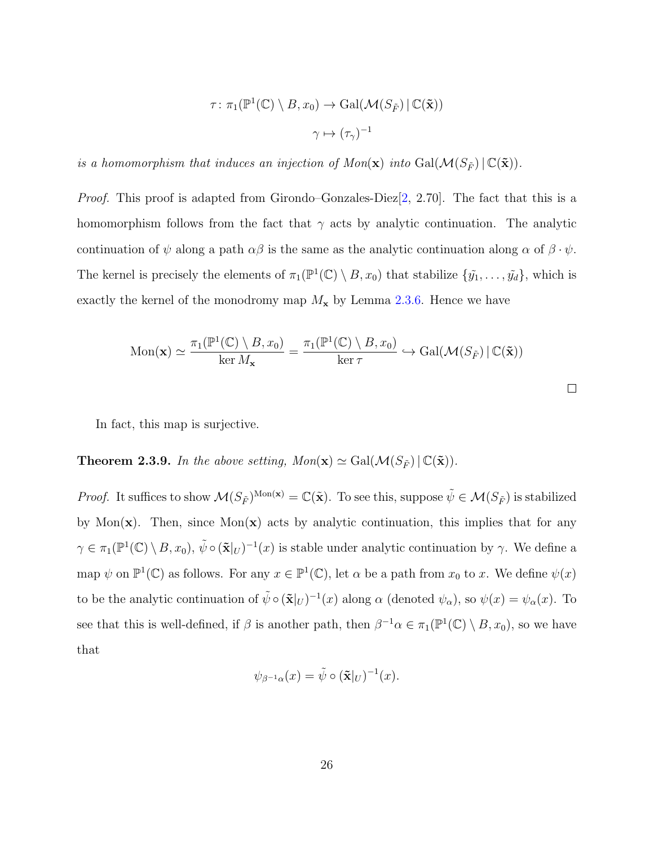$$
\tau \colon \pi_1(\mathbb{P}^1(\mathbb{C}) \setminus B, x_0) \to \text{Gal}(\mathcal{M}(S_{\tilde{F}}) \mid \mathbb{C}(\tilde{\mathbf{x}}))
$$

$$
\gamma \mapsto (\tau_\gamma)^{-1}
$$

is a homomorphism that induces an injection of  $Mon(\mathbf{x})$  into  $Gal(\mathcal{M}(S_{\tilde{F}}) | \mathbb{C}(\tilde{\mathbf{x}})).$ 

Proof. This proof is adapted from Girondo–Gonzales-Diez[\[2,](#page-77-2) 2.70]. The fact that this is a homomorphism follows from the fact that  $\gamma$  acts by analytic continuation. The analytic continuation of  $\psi$  along a path  $\alpha\beta$  is the same as the analytic continuation along  $\alpha$  of  $\beta \cdot \psi$ . The kernel is precisely the elements of  $\pi_1(\mathbb{P}^1(\mathbb{C}) \setminus B, x_0)$  that stabilize  $\{\tilde{y_1}, \ldots, \tilde{y_d}\}$ , which is exactly the kernel of the monodromy map  $M_{\rm\bf x}$  by Lemma [2.3.6.](#page-29-0) Hence we have

$$
\text{Mon}(\mathbf{x}) \simeq \frac{\pi_1(\mathbb{P}^1(\mathbb{C}) \setminus B, x_0)}{\ker M_{\mathbf{x}}} = \frac{\pi_1(\mathbb{P}^1(\mathbb{C}) \setminus B, x_0)}{\ker \tau} \hookrightarrow \text{Gal}(\mathcal{M}(S_{\tilde{F}}) \mid \mathbb{C}(\tilde{\mathbf{x}}))
$$

In fact, this map is surjective.

**Theorem 2.3.9.** In the above setting,  $Mon(\mathbf{x}) \simeq Gal(\mathcal{M}(S_{\tilde{F}}) | \mathbb{C}(\tilde{\mathbf{x}})).$ 

*Proof.* It suffices to show  $\mathcal{M}(S_{\tilde{F}})^{\text{Mon}(\mathbf{x})} = \mathbb{C}(\tilde{\mathbf{x}})$ . To see this, suppose  $\tilde{\psi} \in \mathcal{M}(S_{\tilde{F}})$  is stabilized by Mon $(x)$ . Then, since Mon $(x)$  acts by analytic continuation, this implies that for any  $\gamma \in \pi_1(\mathbb{P}^1(\mathbb{C}) \setminus B, x_0), \, \tilde{\psi} \circ (\tilde{\mathbf{x}}|_U)^{-1}(x)$  is stable under analytic continuation by  $\gamma$ . We define a map  $\psi$  on  $\mathbb{P}^1(\mathbb{C})$  as follows. For any  $x \in \mathbb{P}^1(\mathbb{C})$ , let  $\alpha$  be a path from  $x_0$  to x. We define  $\psi(x)$ to be the analytic continuation of  $\tilde{\psi} \circ (\tilde{\mathbf{x}}|_{U})^{-1}(x)$  along  $\alpha$  (denoted  $\psi_{\alpha}$ ), so  $\psi(x) = \psi_{\alpha}(x)$ . To see that this is well-defined, if  $\beta$  is another path, then  $\beta^{-1}\alpha \in \pi_1(\mathbb{P}^1(\mathbb{C}) \setminus B, x_0)$ , so we have that

$$
\psi_{\beta^{-1}\alpha}(x) = \tilde{\psi} \circ (\tilde{\mathbf{x}}|_{U})^{-1}(x).
$$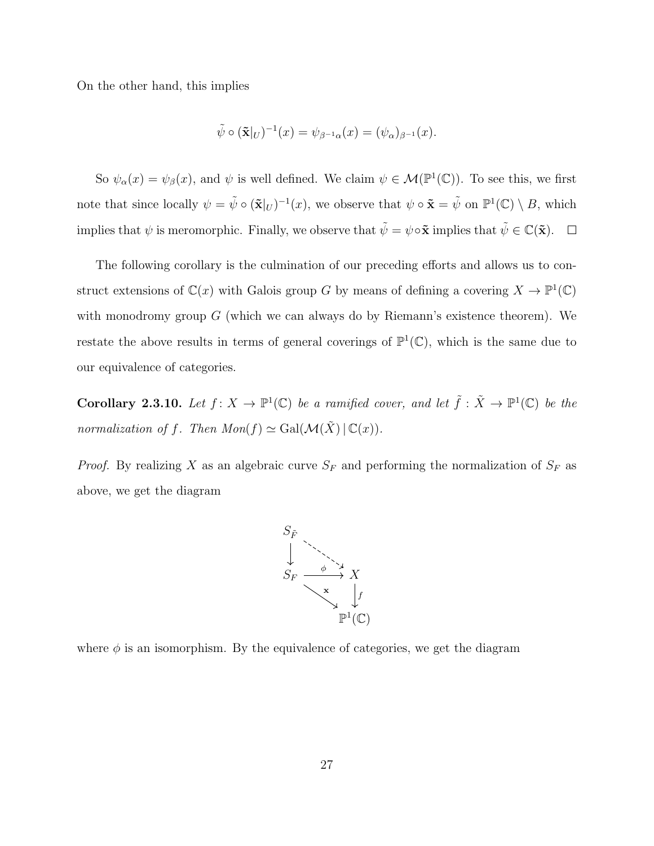On the other hand, this implies

$$
\tilde{\psi} \circ (\tilde{\mathbf{x}}|_{U})^{-1}(x) = \psi_{\beta^{-1}\alpha}(x) = (\psi_{\alpha})_{\beta^{-1}}(x).
$$

So  $\psi_{\alpha}(x) = \psi_{\beta}(x)$ , and  $\psi$  is well defined. We claim  $\psi \in \mathcal{M}(\mathbb{P}^1(\mathbb{C}))$ . To see this, we first note that since locally  $\psi = \tilde{\psi} \circ (\tilde{\mathbf{x}}|_{U})^{-1}(x)$ , we observe that  $\psi \circ \tilde{\mathbf{x}} = \tilde{\psi}$  on  $\mathbb{P}^{1}(\mathbb{C}) \setminus B$ , which implies that  $\psi$  is meromorphic. Finally, we observe that  $\tilde{\psi} = \psi \circ \tilde{\mathbf{x}}$  implies that  $\tilde{\psi} \in \mathbb{C}(\tilde{\mathbf{x}})$ .

The following corollary is the culmination of our preceding efforts and allows us to construct extensions of  $\mathbb{C}(x)$  with Galois group G by means of defining a covering  $X \to \mathbb{P}^1(\mathbb{C})$ with monodromy group  $G$  (which we can always do by Riemann's existence theorem). We restate the above results in terms of general coverings of  $\mathbb{P}^1(\mathbb{C})$ , which is the same due to our equivalence of categories.

**Corollary 2.3.10.** Let  $f: X \to \mathbb{P}^1(\mathbb{C})$  be a ramified cover, and let  $\tilde{f}: \tilde{X} \to \mathbb{P}^1(\mathbb{C})$  be the normalization of f. Then  $Mon(f) \simeq Gal(\mathcal{M}(\tilde{X}) \mid \mathbb{C}(x)).$ 

*Proof.* By realizing X as an algebraic curve  $S_F$  and performing the normalization of  $S_F$  as above, we get the diagram



where  $\phi$  is an isomorphism. By the equivalence of categories, we get the diagram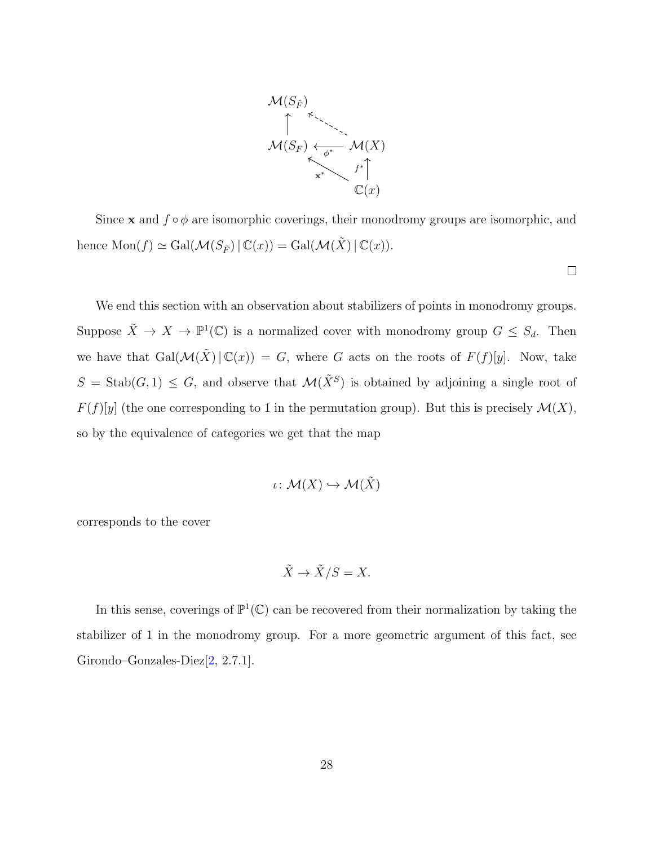

Since **x** and  $f \circ \phi$  are isomorphic coverings, their monodromy groups are isomorphic, and hence  $\text{Mon}(f) \simeq \text{Gal}(\mathcal{M}(S_{\tilde{F}}) | \mathbb{C}(x)) = \text{Gal}(\mathcal{M}(\tilde{X}) | \mathbb{C}(x)).$ 

 $\Box$ 

We end this section with an observation about stabilizers of points in monodromy groups. Suppose  $\tilde{X} \to X \to \mathbb{P}^1(\mathbb{C})$  is a normalized cover with monodromy group  $G \leq S_d$ . Then we have that  $Gal(\mathcal{M}(\tilde{X}) | \mathbb{C}(x)) = G$ , where G acts on the roots of  $F(f)[y]$ . Now, take  $S = \text{Stab}(G, 1) \leq G$ , and observe that  $\mathcal{M}(\tilde{X}^S)$  is obtained by adjoining a single root of  $F(f)[y]$  (the one corresponding to 1 in the permutation group). But this is precisely  $\mathcal{M}(X)$ , so by the equivalence of categories we get that the map

$$
\iota\colon \mathcal{M}(X)\hookrightarrow \mathcal{M}(\tilde{X})
$$

corresponds to the cover

$$
\tilde{X} \to \tilde{X}/S = X.
$$

In this sense, coverings of  $\mathbb{P}^1(\mathbb{C})$  can be recovered from their normalization by taking the stabilizer of 1 in the monodromy group. For a more geometric argument of this fact, see Girondo–Gonzales-Diez[\[2,](#page-77-2) 2.7.1].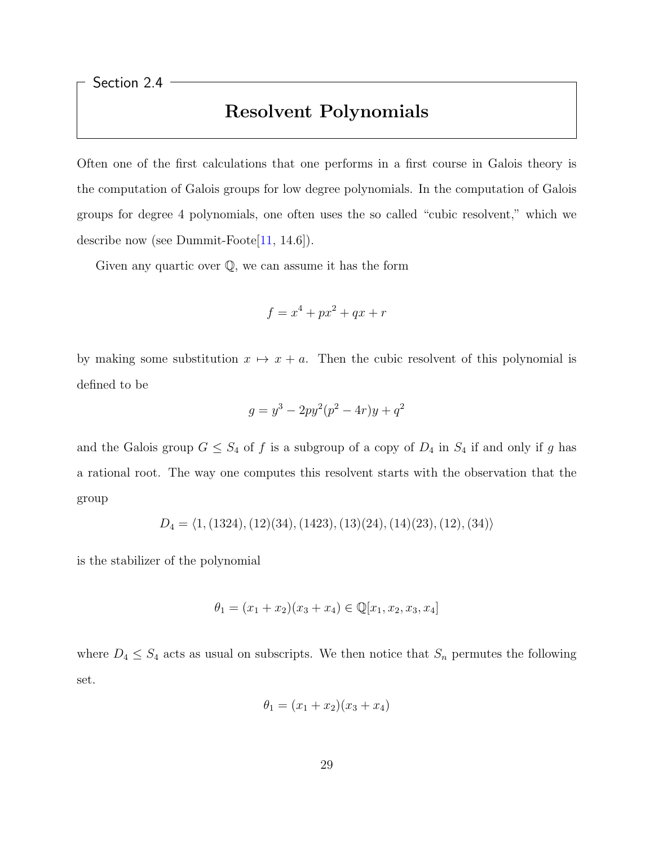<span id="page-35-0"></span>Section 2.4

### Resolvent Polynomials

Often one of the first calculations that one performs in a first course in Galois theory is the computation of Galois groups for low degree polynomials. In the computation of Galois groups for degree 4 polynomials, one often uses the so called "cubic resolvent," which we describe now (see Dummit-Foote[\[11,](#page-78-0) 14.6]).

Given any quartic over  $\mathbb{Q}$ , we can assume it has the form

$$
f = x^4 + px^2 + qx + r
$$

by making some substitution  $x \mapsto x + a$ . Then the cubic resolvent of this polynomial is defined to be

$$
g = y^3 - 2py^2(p^2 - 4r)y + q^2
$$

and the Galois group  $G \leq S_4$  of f is a subgroup of a copy of  $D_4$  in  $S_4$  if and only if g has a rational root. The way one computes this resolvent starts with the observation that the group

$$
D_4 = \langle 1, (1324), (12)(34), (1423), (13)(24), (14)(23), (12), (34) \rangle
$$

is the stabilizer of the polynomial

$$
\theta_1 = (x_1 + x_2)(x_3 + x_4) \in \mathbb{Q}[x_1, x_2, x_3, x_4]
$$

where  $D_4 \leq S_4$  acts as usual on subscripts. We then notice that  $S_n$  permutes the following set.

$$
\theta_1 = (x_1 + x_2)(x_3 + x_4)
$$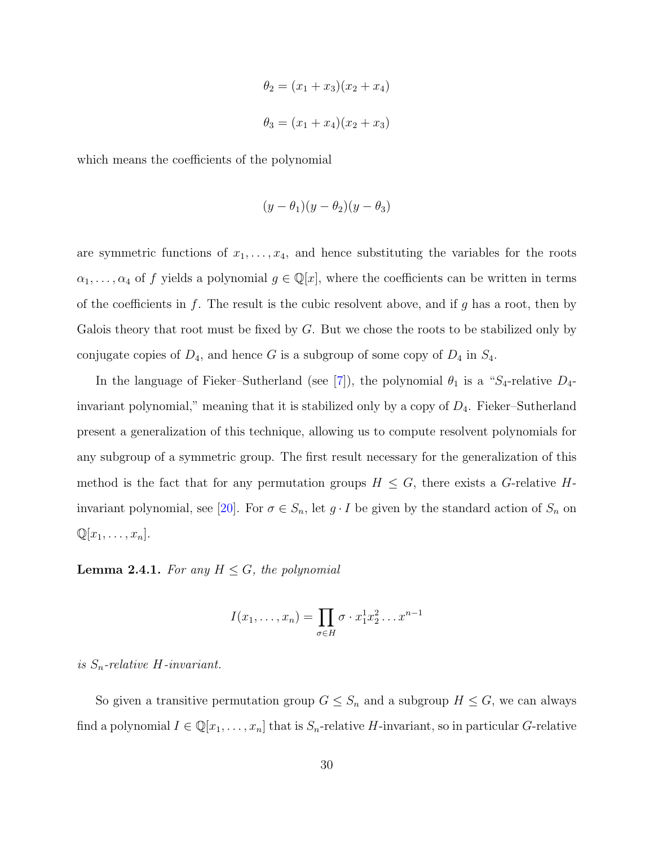$$
\theta_2 = (x_1 + x_3)(x_2 + x_4)
$$

$$
\theta_3 = (x_1 + x_4)(x_2 + x_3)
$$

which means the coefficients of the polynomial

$$
(y - \theta_1)(y - \theta_2)(y - \theta_3)
$$

are symmetric functions of  $x_1, \ldots, x_4$ , and hence substituting the variables for the roots  $\alpha_1, \ldots, \alpha_4$  of f yields a polynomial  $g \in \mathbb{Q}[x]$ , where the coefficients can be written in terms of the coefficients in  $f$ . The result is the cubic resolvent above, and if  $g$  has a root, then by Galois theory that root must be fixed by  $G$ . But we chose the roots to be stabilized only by conjugate copies of  $D_4$ , and hence G is a subgroup of some copy of  $D_4$  in  $S_4$ .

In the language of Fieker–Sutherland (see [\[7\]](#page-77-0)), the polynomial  $\theta_1$  is a "S<sub>4</sub>-relative  $D_4$ invariant polynomial," meaning that it is stabilized only by a copy of  $D_4$ . Fieker–Sutherland present a generalization of this technique, allowing us to compute resolvent polynomials for any subgroup of a symmetric group. The first result necessary for the generalization of this method is the fact that for any permutation groups  $H \leq G$ , there exists a G-relative H-invariant polynomial, see [\[20\]](#page-79-0). For  $\sigma \in S_n$ , let  $g \cdot I$  be given by the standard action of  $S_n$  on  $\mathbb{Q}[x_1,\ldots,x_n].$ 

**Lemma 2.4.1.** For any  $H \leq G$ , the polynomial

$$
I(x_1,\ldots,x_n)=\prod_{\sigma\in H}\sigma\cdot x_1^1x_2^2\ldots x^{n-1}
$$

is  $S_n$ -relative H-invariant.

So given a transitive permutation group  $G \leq S_n$  and a subgroup  $H \leq G$ , we can always find a polynomial  $I \in \mathbb{Q}[x_1, \ldots, x_n]$  that is  $S_n$ -relative H-invariant, so in particular G-relative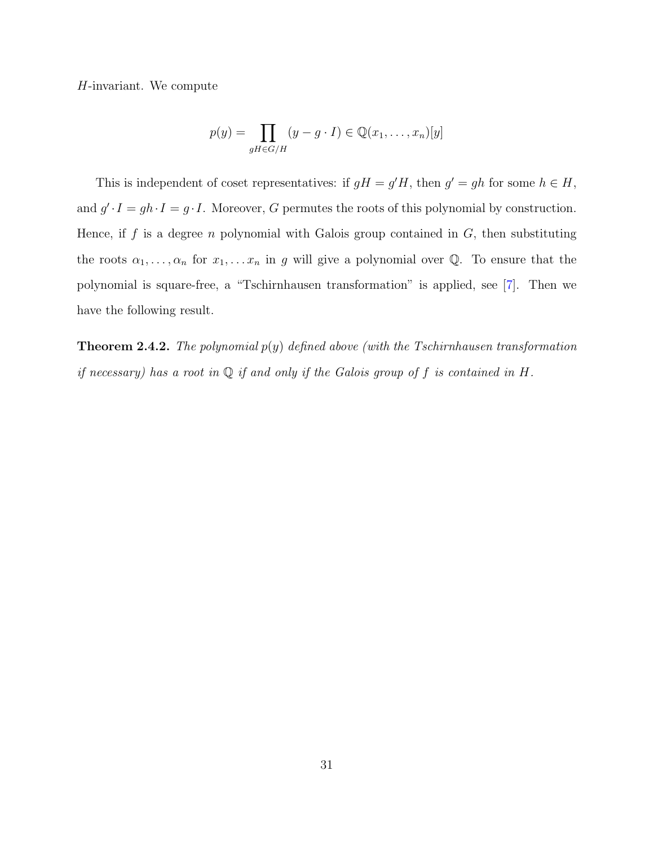H-invariant. We compute

$$
p(y) = \prod_{gH \in G/H} (y - g \cdot I) \in \mathbb{Q}(x_1, \dots, x_n)[y]
$$

This is independent of coset representatives: if  $gH = g'H$ , then  $g' = gh$  for some  $h \in H$ , and  $g' \cdot I = gh \cdot I = g \cdot I$ . Moreover, G permutes the roots of this polynomial by construction. Hence, if  $f$  is a degree  $n$  polynomial with Galois group contained in  $G$ , then substituting the roots  $\alpha_1, \ldots, \alpha_n$  for  $x_1, \ldots, x_n$  in g will give a polynomial over Q. To ensure that the polynomial is square-free, a "Tschirnhausen transformation" is applied, see [\[7\]](#page-77-0). Then we have the following result.

**Theorem 2.4.2.** The polynomial  $p(y)$  defined above (with the Tschirnhausen transformation if necessary) has a root in  $\mathbb Q$  if and only if the Galois group of f is contained in H.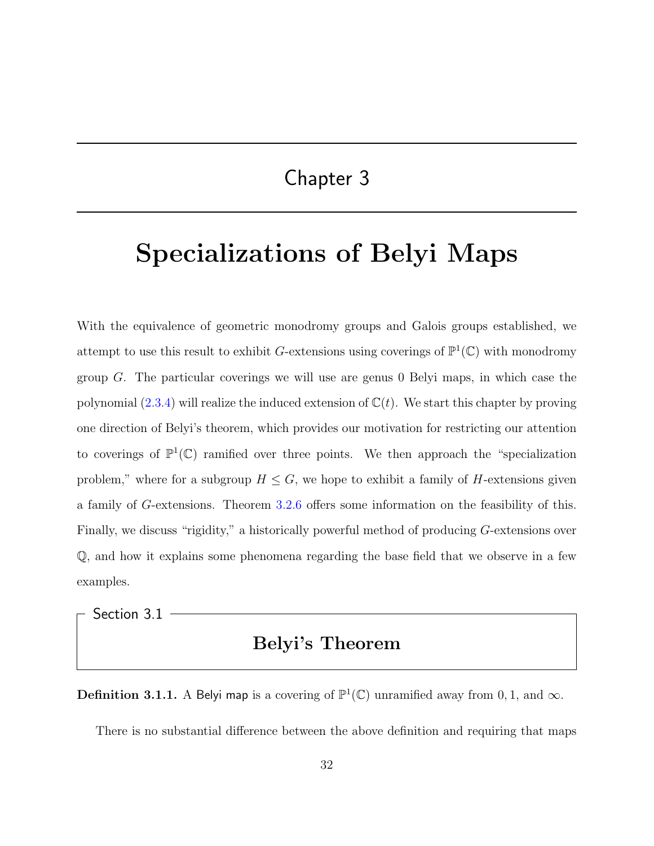### Chapter 3

# Specializations of Belyi Maps

With the equivalence of geometric monodromy groups and Galois groups established, we attempt to use this result to exhibit G-extensions using coverings of  $\mathbb{P}^1(\mathbb{C})$  with monodromy group  $G$ . The particular coverings we will use are genus 0 Belyi maps, in which case the polynomial  $(2.3.4)$  will realize the induced extension of  $\mathbb{C}(t)$ . We start this chapter by proving one direction of Belyi's theorem, which provides our motivation for restricting our attention to coverings of  $\mathbb{P}^1(\mathbb{C})$  ramified over three points. We then approach the "specialization" problem," where for a subgroup  $H \leq G$ , we hope to exhibit a family of H-extensions given a family of G-extensions. Theorem [3.2.6](#page-49-0) offers some information on the feasibility of this. Finally, we discuss "rigidity," a historically powerful method of producing G-extensions over Q, and how it explains some phenomena regarding the base field that we observe in a few examples.

Section 3.1

### Belyi's Theorem

**Definition 3.1.1.** A Belyi map is a covering of  $\mathbb{P}^1(\mathbb{C})$  unramified away from 0, 1, and  $\infty$ .

There is no substantial difference between the above definition and requiring that maps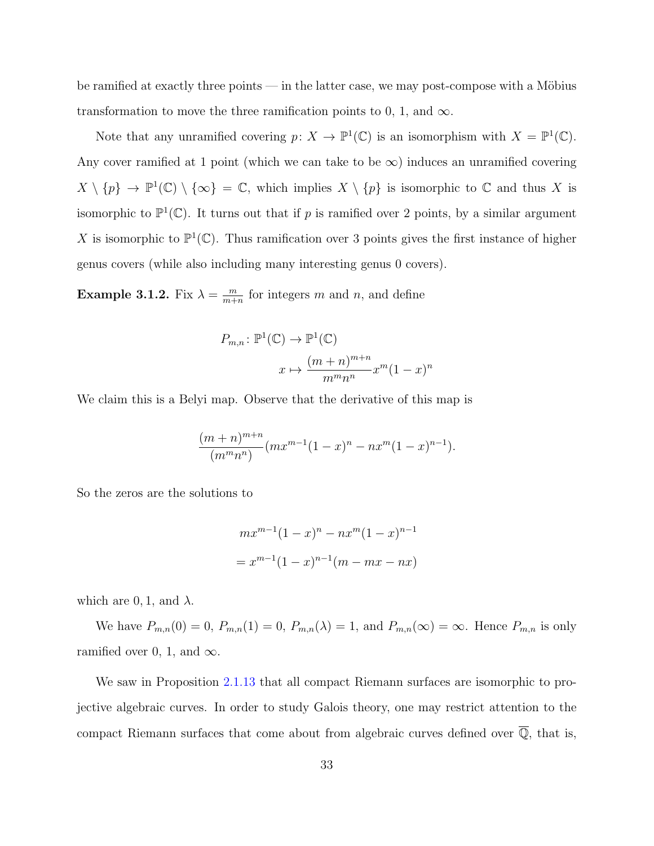be ramified at exactly three points — in the latter case, we may post-compose with a Möbius transformation to move the three ramification points to 0, 1, and  $\infty$ .

Note that any unramified covering  $p: X \to \mathbb{P}^1(\mathbb{C})$  is an isomorphism with  $X = \mathbb{P}^1(\mathbb{C})$ . Any cover ramified at 1 point (which we can take to be  $\infty$ ) induces an unramified covering  $X \setminus \{p\} \to \mathbb{P}^1(\mathbb{C}) \setminus \{\infty\} = \mathbb{C}$ , which implies  $X \setminus \{p\}$  is isomorphic to  $\mathbb{C}$  and thus X is isomorphic to  $\mathbb{P}^1(\mathbb{C})$ . It turns out that if p is ramified over 2 points, by a similar argument X is isomorphic to  $\mathbb{P}^1(\mathbb{C})$ . Thus ramification over 3 points gives the first instance of higher genus covers (while also including many interesting genus 0 covers).

Example 3.1.2. Fix  $\lambda = \frac{m}{m+1}$  $\frac{m}{m+n}$  for integers m and n, and define

$$
P_{m,n}: \mathbb{P}^1(\mathbb{C}) \to \mathbb{P}^1(\mathbb{C})
$$

$$
x \mapsto \frac{(m+n)^{m+n}}{m^m n^n} x^m (1-x)^n
$$

We claim this is a Belyi map. Observe that the derivative of this map is

$$
\frac{(m+n)^{m+n}}{(m^m n^n)}(mx^{m-1}(1-x)^n - nx^m(1-x)^{n-1}).
$$

So the zeros are the solutions to

$$
mx^{m-1}(1-x)^n - nx^m(1-x)^{n-1}
$$
  
=  $x^{m-1}(1-x)^{n-1}(m - mx - nx)$ 

which are 0, 1, and  $\lambda$ .

We have  $P_{m,n}(0) = 0$ ,  $P_{m,n}(1) = 0$ ,  $P_{m,n}(\lambda) = 1$ , and  $P_{m,n}(\infty) = \infty$ . Hence  $P_{m,n}$  is only ramified over 0, 1, and  $\infty$ .

We saw in Proposition [2.1.13](#page-22-0) that all compact Riemann surfaces are isomorphic to projective algebraic curves. In order to study Galois theory, one may restrict attention to the compact Riemann surfaces that come about from algebraic curves defined over  $\overline{\mathbb{Q}}$ , that is,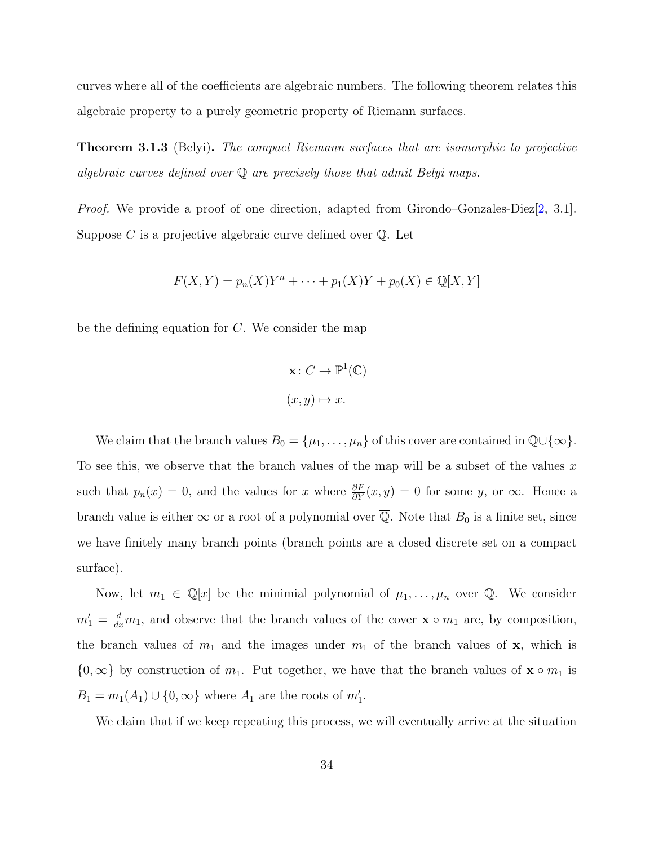curves where all of the coefficients are algebraic numbers. The following theorem relates this algebraic property to a purely geometric property of Riemann surfaces.

**Theorem 3.1.3** (Belyi). The compact Riemann surfaces that are isomorphic to projective algebraic curves defined over  $\overline{Q}$  are precisely those that admit Belyi maps.

*Proof.* We provide a proof of one direction, adapted from Girondo–Gonzales-Diez $[2, 3.1]$  $[2, 3.1]$ . Suppose  $C$  is a projective algebraic curve defined over  $\mathbb{Q}$ . Let

$$
F(X,Y) = p_n(X)Y^n + \dots + p_1(X)Y + p_0(X) \in \overline{\mathbb{Q}}[X,Y]
$$

be the defining equation for  $C$ . We consider the map

$$
\mathbf{x} \colon C \to \mathbb{P}^1(\mathbb{C})
$$

$$
(x, y) \mapsto x.
$$

We claim that the branch values  $B_0 = {\mu_1, \ldots, \mu_n}$  of this cover are contained in  $\overline{\mathbb{Q}} \cup {\infty}$ . To see this, we observe that the branch values of the map will be a subset of the values x such that  $p_n(x) = 0$ , and the values for x where  $\frac{\partial F}{\partial Y}(x, y) = 0$  for some y, or  $\infty$ . Hence a branch value is either  $\infty$  or a root of a polynomial over  $\overline{Q}$ . Note that  $B_0$  is a finite set, since we have finitely many branch points (branch points are a closed discrete set on a compact surface).

Now, let  $m_1 \in \mathbb{Q}[x]$  be the minimial polynomial of  $\mu_1, \ldots, \mu_n$  over  $\mathbb{Q}$ . We consider  $m'_1 = \frac{d}{dx}m_1$ , and observe that the branch values of the cover  $\mathbf{x} \circ m_1$  are, by composition, the branch values of  $m_1$  and the images under  $m_1$  of the branch values of  $x$ , which is  $\{0,\infty\}$  by construction of  $m_1$ . Put together, we have that the branch values of  $\mathbf{x} \circ m_1$  is  $B_1 = m_1(A_1) \cup \{0, \infty\}$  where  $A_1$  are the roots of  $m'_1$ .

We claim that if we keep repeating this process, we will eventually arrive at the situation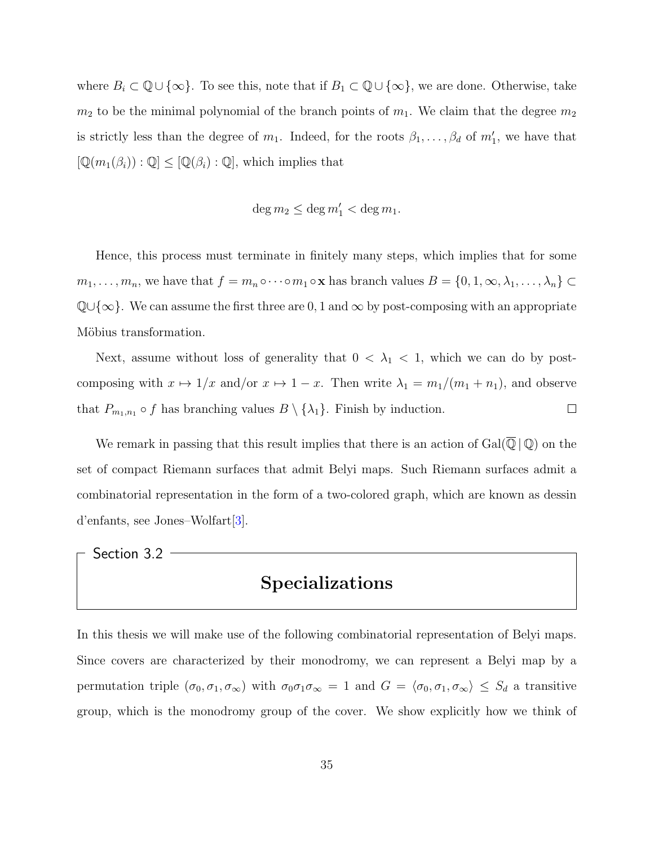where  $B_i \subset \mathbb{Q} \cup \{\infty\}$ . To see this, note that if  $B_1 \subset \mathbb{Q} \cup \{\infty\}$ , we are done. Otherwise, take  $m_2$  to be the minimal polynomial of the branch points of  $m_1$ . We claim that the degree  $m_2$ is strictly less than the degree of  $m_1$ . Indeed, for the roots  $\beta_1, \ldots, \beta_d$  of  $m'_1$ , we have that  $[\mathbb{Q}(m_1(\beta_i)) : \mathbb{Q}] \leq [\mathbb{Q}(\beta_i) : \mathbb{Q}]$ , which implies that

$$
\deg m_2\leq \deg m_1'<\deg m_1.
$$

Hence, this process must terminate in finitely many steps, which implies that for some  $m_1, \ldots, m_n$ , we have that  $f = m_n \circ \cdots \circ m_1 \circ \mathbf{x}$  has branch values  $B = \{0, 1, \infty, \lambda_1, \ldots, \lambda_n\} \subset$  $\mathbb{Q}\cup\{\infty\}$ . We can assume the first three are 0, 1 and  $\infty$  by post-composing with an appropriate Möbius transformation.

Next, assume without loss of generality that  $0 < \lambda_1 < 1$ , which we can do by postcomposing with  $x \mapsto 1/x$  and/or  $x \mapsto 1-x$ . Then write  $\lambda_1 = m_1/(m_1 + n_1)$ , and observe that  $P_{m_1,n_1} \circ f$  has branching values  $B \setminus {\{\lambda_1\}}$ . Finish by induction.  $\Box$ 

We remark in passing that this result implies that there is an action of  $Gal(\overline{\mathbb{Q}} \,|\, \mathbb{Q})$  on the set of compact Riemann surfaces that admit Belyi maps. Such Riemann surfaces admit a combinatorial representation in the form of a two-colored graph, which are known as dessin d'enfants, see Jones–Wolfart[\[3\]](#page-77-2).

Section 3.2

### Specializations

In this thesis we will make use of the following combinatorial representation of Belyi maps. Since covers are characterized by their monodromy, we can represent a Belyi map by a permutation triple  $(\sigma_0, \sigma_1, \sigma_\infty)$  with  $\sigma_0 \sigma_1 \sigma_\infty = 1$  and  $G = \langle \sigma_0, \sigma_1, \sigma_\infty \rangle \leq S_d$  a transitive group, which is the monodromy group of the cover. We show explicitly how we think of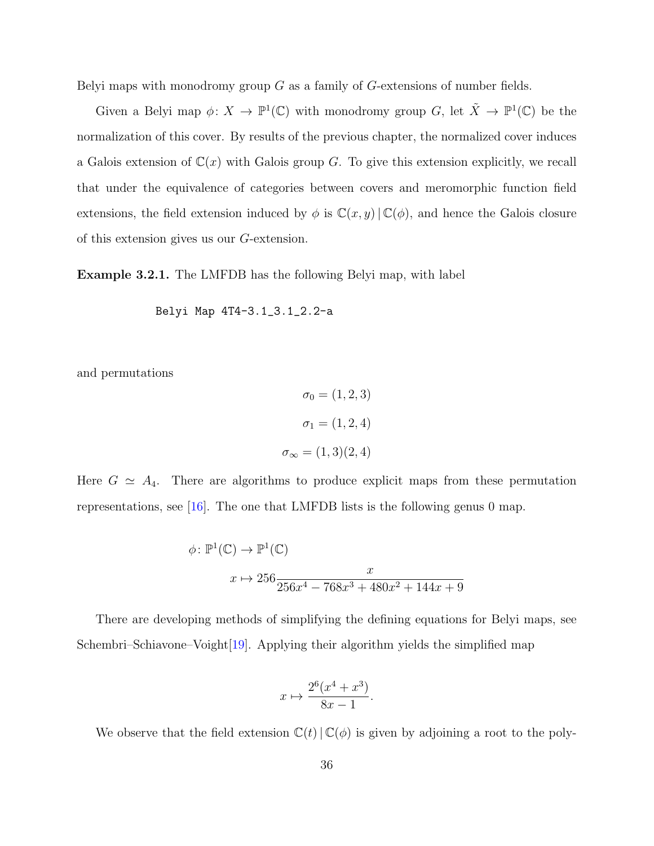Belyi maps with monodromy group  $G$  as a family of  $G$ -extensions of number fields.

Given a Belyi map  $\phi: X \to \mathbb{P}^1(\mathbb{C})$  with monodromy group G, let  $\tilde{X} \to \mathbb{P}^1(\mathbb{C})$  be the normalization of this cover. By results of the previous chapter, the normalized cover induces a Galois extension of  $\mathbb{C}(x)$  with Galois group G. To give this extension explicitly, we recall that under the equivalence of categories between covers and meromorphic function field extensions, the field extension induced by  $\phi$  is  $\mathbb{C}(x, y) | \mathbb{C}(\phi)$ , and hence the Galois closure of this extension gives us our G-extension.

Example 3.2.1. The LMFDB has the following Belyi map, with label

Belyi Map 4T4-3.1\_3.1\_2.2-a

and permutations

$$
\sigma_0 = (1, 2, 3)
$$

$$
\sigma_1 = (1, 2, 4)
$$

$$
\sigma_{\infty} = (1, 3)(2, 4)
$$

Here  $G \simeq A_4$ . There are algorithms to produce explicit maps from these permutation representations, see [\[16\]](#page-78-0). The one that LMFDB lists is the following genus 0 map.

$$
\phi \colon \mathbb{P}^1(\mathbb{C}) \to \mathbb{P}^1(\mathbb{C})
$$

$$
x \mapsto 256 \frac{x}{256x^4 - 768x^3 + 480x^2 + 144x + 9}
$$

There are developing methods of simplifying the defining equations for Belyi maps, see Schembri–Schiavone–Voight[\[19\]](#page-78-1). Applying their algorithm yields the simplified map

$$
x \mapsto \frac{2^6(x^4 + x^3)}{8x - 1}.
$$

We observe that the field extension  $\mathbb{C}(t) | \mathbb{C}(\phi)$  is given by adjoining a root to the poly-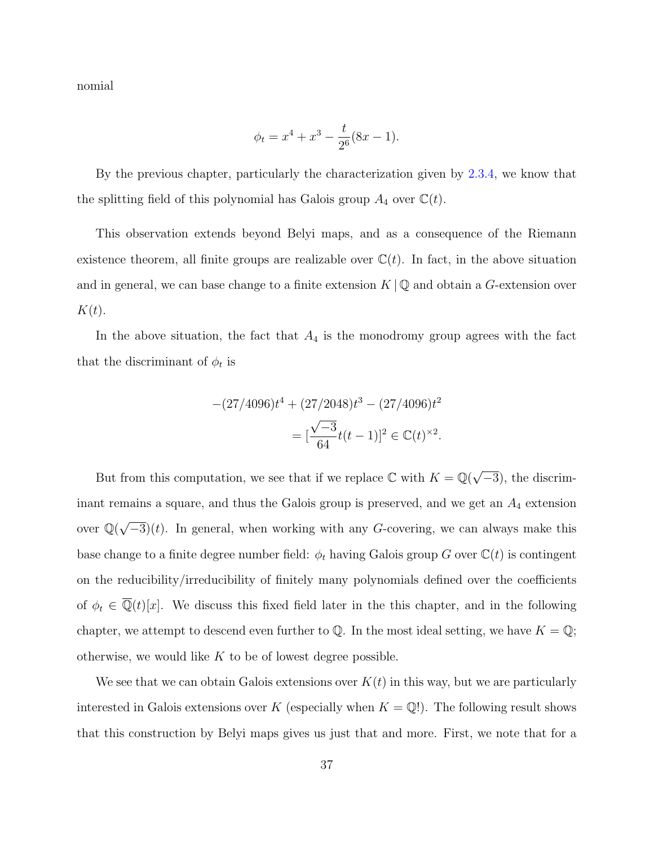nomial

$$
\phi_t = x^4 + x^3 - \frac{t}{2^6}(8x - 1).
$$

By the previous chapter, particularly the characterization given by [2.3.4,](#page-28-0) we know that the splitting field of this polynomial has Galois group  $A_4$  over  $\mathbb{C}(t)$ .

This observation extends beyond Belyi maps, and as a consequence of the Riemann existence theorem, all finite groups are realizable over  $\mathbb{C}(t)$ . In fact, in the above situation and in general, we can base change to a finite extension  $K \mathbb{Q}$  and obtain a G-extension over  $K(t)$ .

In the above situation, the fact that  $A_4$  is the monodromy group agrees with the fact that the discriminant of  $\phi_t$  is

$$
-(27/4096)t4 + (27/2048)t3 - (27/4096)t2
$$

$$
= [\frac{\sqrt{-3}}{64}t(t-1)]^{2} \in \mathbb{C}(t)^{2}.
$$

But from this computation, we see that if we replace  $\mathbb C$  with  $K = \mathbb Q(\sqrt{2})$  $\overline{-3}$ , the discriminant remains a square, and thus the Galois group is preserved, and we get an  $A_4$  extension over  $\mathbb{Q}(\sqrt{2})$  $-\overline{3}(t)$ . In general, when working with any G-covering, we can always make this base change to a finite degree number field:  $\phi_t$  having Galois group G over  $\mathbb{C}(t)$  is contingent on the reducibility/irreducibility of finitely many polynomials defined over the coefficients of  $\phi_t \in \overline{\mathbb{Q}}(t)[x]$ . We discuss this fixed field later in the this chapter, and in the following chapter, we attempt to descend even further to  $\mathbb Q$ . In the most ideal setting, we have  $K = \mathbb Q$ ; otherwise, we would like  $K$  to be of lowest degree possible.

We see that we can obtain Galois extensions over  $K(t)$  in this way, but we are particularly interested in Galois extensions over K (especially when  $K = \mathbb{Q}$ !). The following result shows that this construction by Belyi maps gives us just that and more. First, we note that for a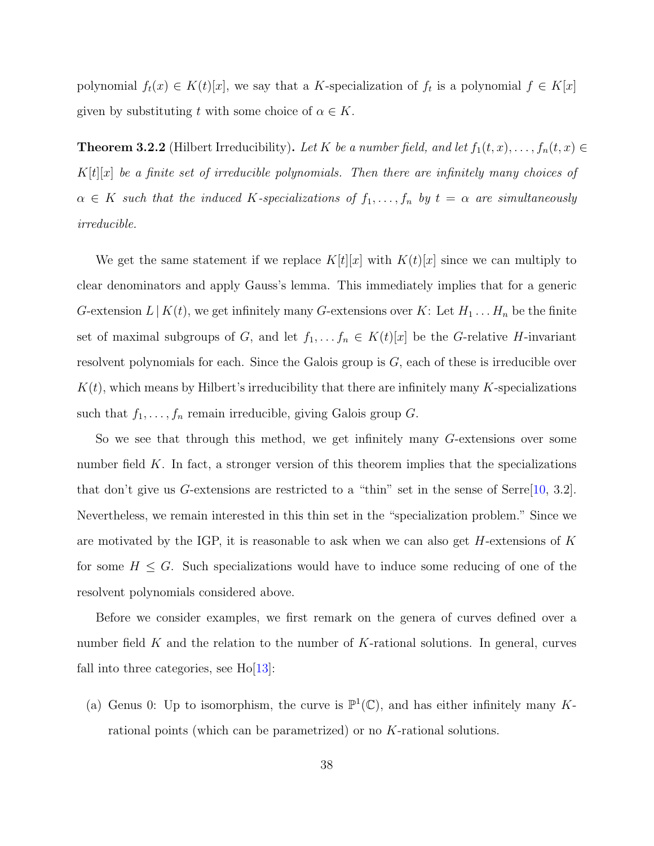polynomial  $f_t(x) \in K(t)[x]$ , we say that a K-specialization of  $f_t$  is a polynomial  $f \in K[x]$ given by substituting t with some choice of  $\alpha \in K$ .

**Theorem 3.2.2** (Hilbert Irreducibility). Let K be a number field, and let  $f_1(t, x), \ldots, f_n(t, x) \in$  $K[t][x]$  be a finite set of irreducible polynomials. Then there are infinitely many choices of  $\alpha \in K$  such that the induced K-specializations of  $f_1, \ldots, f_n$  by  $t = \alpha$  are simultaneously irreducible.

We get the same statement if we replace  $K[t][x]$  with  $K(t)[x]$  since we can multiply to clear denominators and apply Gauss's lemma. This immediately implies that for a generic G-extension  $L | K(t)$ , we get infinitely many G-extensions over K: Let  $H_1 \dots H_n$  be the finite set of maximal subgroups of G, and let  $f_1, \ldots, f_n \in K(t)[x]$  be the G-relative H-invariant resolvent polynomials for each. Since the Galois group is  $G$ , each of these is irreducible over  $K(t)$ , which means by Hilbert's irreducibility that there are infinitely many K-specializations such that  $f_1, \ldots, f_n$  remain irreducible, giving Galois group G.

So we see that through this method, we get infinitely many G-extensions over some number field  $K$ . In fact, a stronger version of this theorem implies that the specializations that don't give us G-extensions are restricted to a "thin" set in the sense of Serre $[10, 3.2]$  $[10, 3.2]$ . Nevertheless, we remain interested in this thin set in the "specialization problem." Since we are motivated by the IGP, it is reasonable to ask when we can also get  $H$ -extensions of K for some  $H \leq G$ . Such specializations would have to induce some reducing of one of the resolvent polynomials considered above.

Before we consider examples, we first remark on the genera of curves defined over a number field  $K$  and the relation to the number of  $K$ -rational solutions. In general, curves fall into three categories, see  $Ho[13]$  $Ho[13]$ :

(a) Genus 0: Up to isomorphism, the curve is  $\mathbb{P}^1(\mathbb{C})$ , and has either infinitely many Krational points (which can be parametrized) or no K-rational solutions.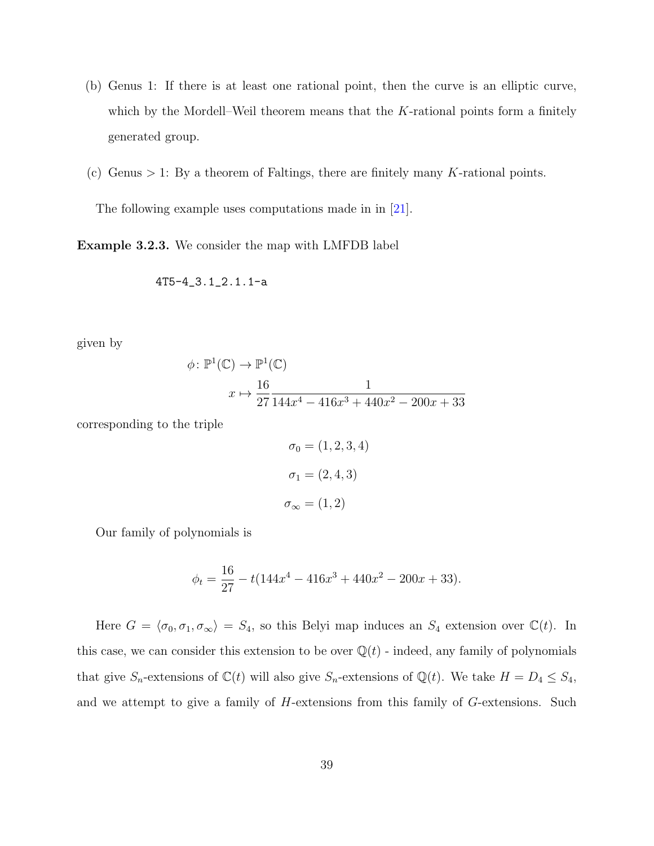- (b) Genus 1: If there is at least one rational point, then the curve is an elliptic curve, which by the Mordell–Weil theorem means that the  $K$ -rational points form a finitely generated group.
- (c) Genus  $> 1$ : By a theorem of Faltings, there are finitely many K-rational points.

The following example uses computations made in in [\[21\]](#page-79-1).

<span id="page-45-0"></span>Example 3.2.3. We consider the map with LMFDB label

$$
4T5\hbox{-} 4\_3.1\_2.1.1\hbox{-}a
$$

given by

$$
\phi \colon \mathbb{P}^1(\mathbb{C}) \to \mathbb{P}^1(\mathbb{C})
$$

$$
x \mapsto \frac{16}{27} \frac{1}{144x^4 - 416x^3 + 440x^2 - 200x + 33}
$$

corresponding to the triple

$$
\sigma_0 = (1, 2, 3, 4)
$$

$$
\sigma_1 = (2, 4, 3)
$$

$$
\sigma_{\infty} = (1, 2)
$$

Our family of polynomials is

$$
\phi_t = \frac{16}{27} - t(144x^4 - 416x^3 + 440x^2 - 200x + 33).
$$

Here  $G = \langle \sigma_0, \sigma_1, \sigma_\infty \rangle = S_4$ , so this Belyi map induces an  $S_4$  extension over  $\mathbb{C}(t)$ . In this case, we can consider this extension to be over  $\mathbb{Q}(t)$  - indeed, any family of polynomials that give  $S_n$ -extensions of  $\mathbb{C}(t)$  will also give  $S_n$ -extensions of  $\mathbb{Q}(t)$ . We take  $H = D_4 \leq S_4$ , and we attempt to give a family of H-extensions from this family of G-extensions. Such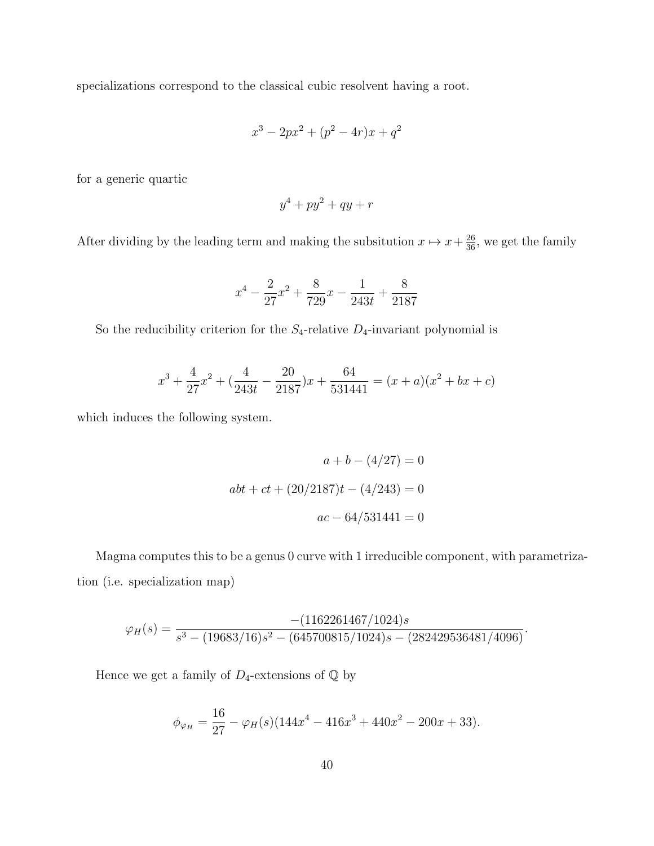specializations correspond to the classical cubic resolvent having a root.

$$
x^3 - 2px^2 + (p^2 - 4r)x + q^2
$$

for a generic quartic

$$
y^4 + py^2 + qy + r
$$

After dividing by the leading term and making the subsitution  $x \mapsto x + \frac{26}{36}$ , we get the family

$$
x^4 - \frac{2}{27}x^2 + \frac{8}{729}x - \frac{1}{243t} + \frac{8}{2187}
$$

So the reducibility criterion for the  $S_4$ -relative  $D_4$ -invariant polynomial is

$$
x^{3} + \frac{4}{27}x^{2} + \left(\frac{4}{243t} - \frac{20}{2187}\right)x + \frac{64}{531441} = (x+a)(x^{2} + bx + c)
$$

which induces the following system.

$$
a + b - (4/27) = 0
$$
  

$$
abt + ct + (20/2187)t - (4/243) = 0
$$
  

$$
ac - 64/531441 = 0
$$

Magma computes this to be a genus 0 curve with 1 irreducible component, with parametrization (i.e. specialization map)

$$
\varphi_H(s) = \frac{-(1162261467/1024)s}{s^3 - (19683/16)s^2 - (645700815/1024)s - (282429536481/4096)}.
$$

Hence we get a family of  $D_4\text{-extension}$  of  $\mathbb Q$  by

$$
\phi_{\varphi_H} = \frac{16}{27} - \varphi_H(s)(144x^4 - 416x^3 + 440x^2 - 200x + 33).
$$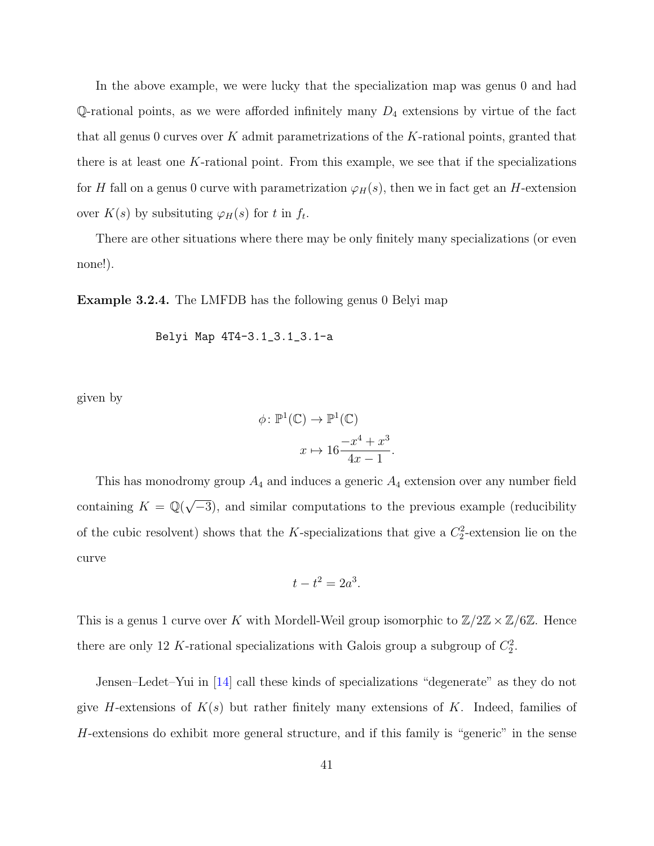In the above example, we were lucky that the specialization map was genus 0 and had Q-rational points, as we were afforded infinitely many  $D_4$  extensions by virtue of the fact that all genus 0 curves over  $K$  admit parametrizations of the  $K$ -rational points, granted that there is at least one  $K$ -rational point. From this example, we see that if the specializations for H fall on a genus 0 curve with parametrization  $\varphi_H(s)$ , then we in fact get an H-extension over  $K(s)$  by subsituting  $\varphi_H(s)$  for t in  $f_t$ .

There are other situations where there may be only finitely many specializations (or even none!).

<span id="page-47-0"></span>Example 3.2.4. The LMFDB has the following genus 0 Belyi map

Belyi Map 4T4-3.1\_3.1\_3.1-a

given by

$$
\phi \colon \mathbb{P}^1(\mathbb{C}) \to \mathbb{P}^1(\mathbb{C})
$$

$$
x \mapsto 16 \frac{-x^4 + x^3}{4x - 1}.
$$

This has monodromy group  $A_4$  and induces a generic  $A_4$  extension over any number field containing  $K = \mathbb{Q}(\sqrt{2})$ −3), and similar computations to the previous example (reducibility of the cubic resolvent) shows that the K-specializations that give a  $C_2^2$ -extension lie on the curve

$$
t - t^2 = 2a^3.
$$

This is a genus 1 curve over K with Mordell-Weil group isomorphic to  $\mathbb{Z}/2\mathbb{Z} \times \mathbb{Z}/6\mathbb{Z}$ . Hence there are only 12 K-rational specializations with Galois group a subgroup of  $C_2^2$ .

Jensen–Ledet–Yui in [\[14\]](#page-78-4) call these kinds of specializations "degenerate" as they do not give H-extensions of  $K(s)$  but rather finitely many extensions of K. Indeed, families of H-extensions do exhibit more general structure, and if this family is "generic" in the sense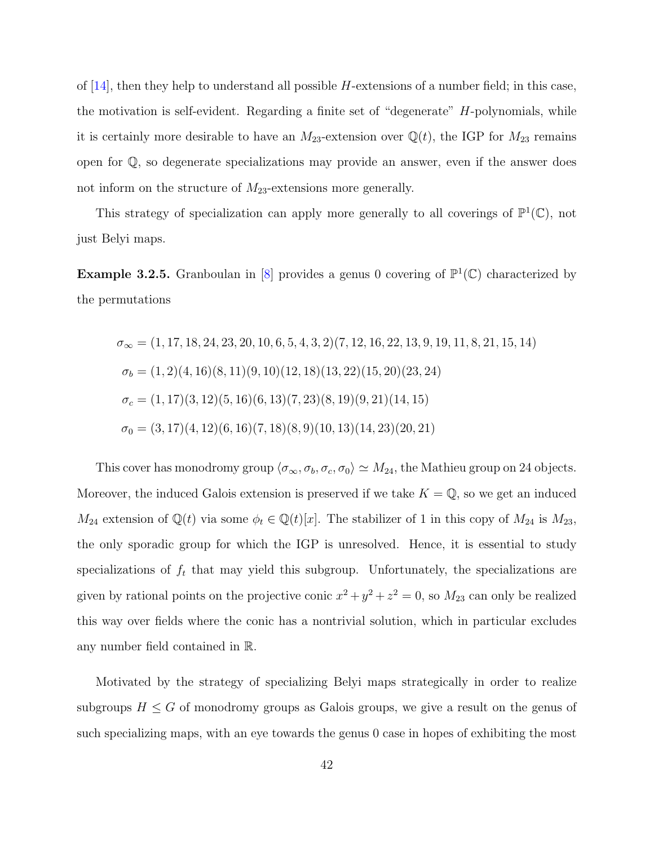of  $[14]$ , then they help to understand all possible H-extensions of a number field; in this case, the motivation is self-evident. Regarding a finite set of "degenerate" H-polynomials, while it is certainly more desirable to have an  $M_{23}$ -extension over  $\mathbb{Q}(t)$ , the IGP for  $M_{23}$  remains open for Q, so degenerate specializations may provide an answer, even if the answer does not inform on the structure of  $M_{23}$ -extensions more generally.

This strategy of specialization can apply more generally to all coverings of  $\mathbb{P}^1(\mathbb{C})$ , not just Belyi maps.

**Example 3.2.5.** Granboulan in [\[8\]](#page-77-3) provides a genus 0 covering of  $\mathbb{P}^1(\mathbb{C})$  characterized by the permutations

$$
\sigma_{\infty} = (1, 17, 18, 24, 23, 20, 10, 6, 5, 4, 3, 2)(7, 12, 16, 22, 13, 9, 19, 11, 8, 21, 15, 14)
$$
  
\n
$$
\sigma_b = (1, 2)(4, 16)(8, 11)(9, 10)(12, 18)(13, 22)(15, 20)(23, 24)
$$
  
\n
$$
\sigma_c = (1, 17)(3, 12)(5, 16)(6, 13)(7, 23)(8, 19)(9, 21)(14, 15)
$$
  
\n
$$
\sigma_0 = (3, 17)(4, 12)(6, 16)(7, 18)(8, 9)(10, 13)(14, 23)(20, 21)
$$

This cover has monodromy group  $\langle \sigma_\infty, \sigma_b, \sigma_c, \sigma_0 \rangle \simeq M_{24}$ , the Mathieu group on 24 objects. Moreover, the induced Galois extension is preserved if we take  $K = \mathbb{Q}$ , so we get an induced  $M_{24}$  extension of  $\mathbb{Q}(t)$  via some  $\phi_t \in \mathbb{Q}(t)[x]$ . The stabilizer of 1 in this copy of  $M_{24}$  is  $M_{23}$ , the only sporadic group for which the IGP is unresolved. Hence, it is essential to study specializations of  $f_t$  that may yield this subgroup. Unfortunately, the specializations are given by rational points on the projective conic  $x^2 + y^2 + z^2 = 0$ , so  $M_{23}$  can only be realized this way over fields where the conic has a nontrivial solution, which in particular excludes any number field contained in R.

Motivated by the strategy of specializing Belyi maps strategically in order to realize subgroups  $H \leq G$  of monodromy groups as Galois groups, we give a result on the genus of such specializing maps, with an eye towards the genus 0 case in hopes of exhibiting the most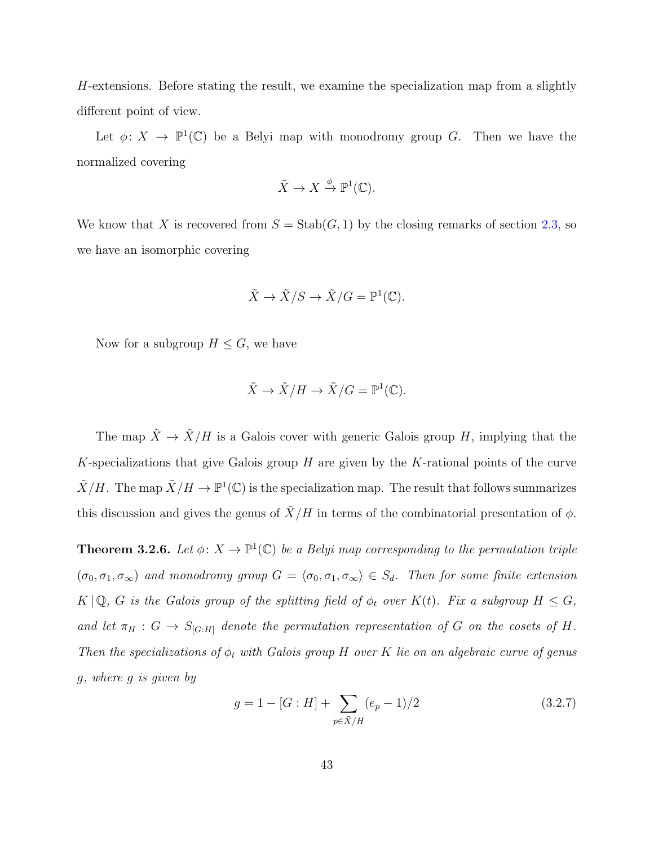H-extensions. Before stating the result, we examine the specialization map from a slightly different point of view.

Let  $\phi: X \to \mathbb{P}^1(\mathbb{C})$  be a Belyi map with monodromy group G. Then we have the normalized covering

$$
\tilde{X} \to X \xrightarrow{\phi} \mathbb{P}^1(\mathbb{C}).
$$

We know that X is recovered from  $S = \text{Stab}(G, 1)$  by the closing remarks of section [2.3,](#page-26-0) so we have an isomorphic covering

$$
\tilde{X} \to \tilde{X}/S \to \tilde{X}/G = \mathbb{P}^1(\mathbb{C}).
$$

Now for a subgroup  $H \leq G$ , we have

$$
\tilde{X} \to \tilde{X}/H \to \tilde{X}/G = \mathbb{P}^1(\mathbb{C}).
$$

The map  $\tilde{X} \to \tilde{X}/H$  is a Galois cover with generic Galois group H, implying that the K-specializations that give Galois group  $H$  are given by the K-rational points of the curve  $\tilde{X}/H$ . The map  $\tilde{X}/H \to \mathbb{P}^1(\mathbb{C})$  is the specialization map. The result that follows summarizes this discussion and gives the genus of  $\tilde{X}/H$  in terms of the combinatorial presentation of  $\phi$ .

<span id="page-49-0"></span>**Theorem 3.2.6.** Let  $\phi: X \to \mathbb{P}^1(\mathbb{C})$  be a Belyi map corresponding to the permutation triple  $(\sigma_0, \sigma_1, \sigma_\infty)$  and monodromy group  $G = \langle \sigma_0, \sigma_1, \sigma_\infty \rangle \in S_d$ . Then for some finite extension  $K \mid \mathbb{Q}$ , G is the Galois group of the splitting field of  $\phi_t$  over  $K(t)$ . Fix a subgroup  $H \leq G$ , and let  $\pi_H : G \to S_{[G:H]}$  denote the permutation representation of G on the cosets of H. Then the specializations of  $\phi_t$  with Galois group H over K lie on an algebraic curve of genus g, where g is given by

<span id="page-49-1"></span>
$$
g = 1 - [G : H] + \sum_{p \in \tilde{X}/H} (e_p - 1)/2
$$
 (3.2.7)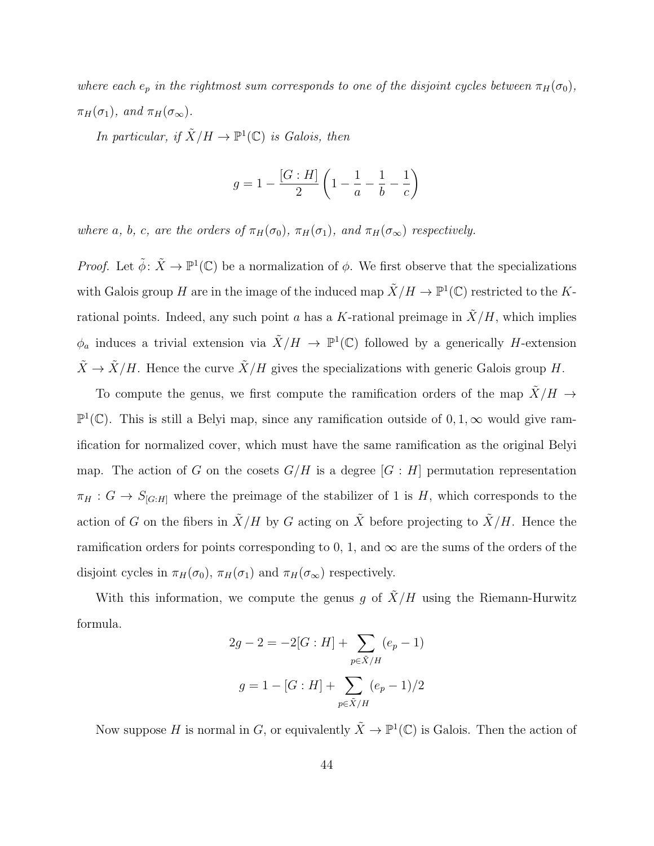where each  $e_p$  in the rightmost sum corresponds to one of the disjoint cycles between  $\pi_H(\sigma_0)$ ,  $\pi_H(\sigma_1)$ , and  $\pi_H(\sigma_\infty)$ .

In particular, if  $\tilde{X}/H \to \mathbb{P}^1(\mathbb{C})$  is Galois, then

$$
g = 1 - \frac{[G:H]}{2} \left( 1 - \frac{1}{a} - \frac{1}{b} - \frac{1}{c} \right)
$$

where a, b, c, are the orders of  $\pi_H(\sigma_0)$ ,  $\pi_H(\sigma_1)$ , and  $\pi_H(\sigma_{\infty})$  respectively.

*Proof.* Let  $\tilde{\phi} \colon \tilde{X} \to \mathbb{P}^1(\mathbb{C})$  be a normalization of  $\phi$ . We first observe that the specializations with Galois group H are in the image of the induced map  $\tilde{X}/H \to \mathbb{P}^1(\mathbb{C})$  restricted to the Krational points. Indeed, any such point a has a K-rational preimage in  $\tilde{X}/H$ , which implies  $\phi_a$  induces a trivial extension via  $\tilde{X}/H \to \mathbb{P}^1(\mathbb{C})$  followed by a generically H-extension  $\tilde{X} \to \tilde{X}/H$ . Hence the curve  $\tilde{X}/H$  gives the specializations with generic Galois group H.

To compute the genus, we first compute the ramification orders of the map  $\tilde{X}/H \rightarrow$  $\mathbb{P}^1(\mathbb{C})$ . This is still a Belyi map, since any ramification outside of 0, 1, ∞ would give ramification for normalized cover, which must have the same ramification as the original Belyi map. The action of G on the cosets  $G/H$  is a degree  $[G:H]$  permutation representation  $\pi_H : G \to S_{[G:H]}$  where the preimage of the stabilizer of 1 is H, which corresponds to the action of G on the fibers in  $\tilde{X}/H$  by G acting on  $\tilde{X}$  before projecting to  $\tilde{X}/H$ . Hence the ramification orders for points corresponding to 0, 1, and  $\infty$  are the sums of the orders of the disjoint cycles in  $\pi_H(\sigma_0)$ ,  $\pi_H(\sigma_1)$  and  $\pi_H(\sigma_\infty)$  respectively.

With this information, we compute the genus g of  $\tilde{X}/H$  using the Riemann-Hurwitz formula.

$$
2g - 2 = -2[G : H] + \sum_{p \in \tilde{X}/H} (e_p - 1)
$$

$$
g = 1 - [G : H] + \sum_{p \in \tilde{X}/H} (e_p - 1)/2
$$

Now suppose H is normal in G, or equivalently  $\tilde{X} \to \mathbb{P}^1(\mathbb{C})$  is Galois. Then the action of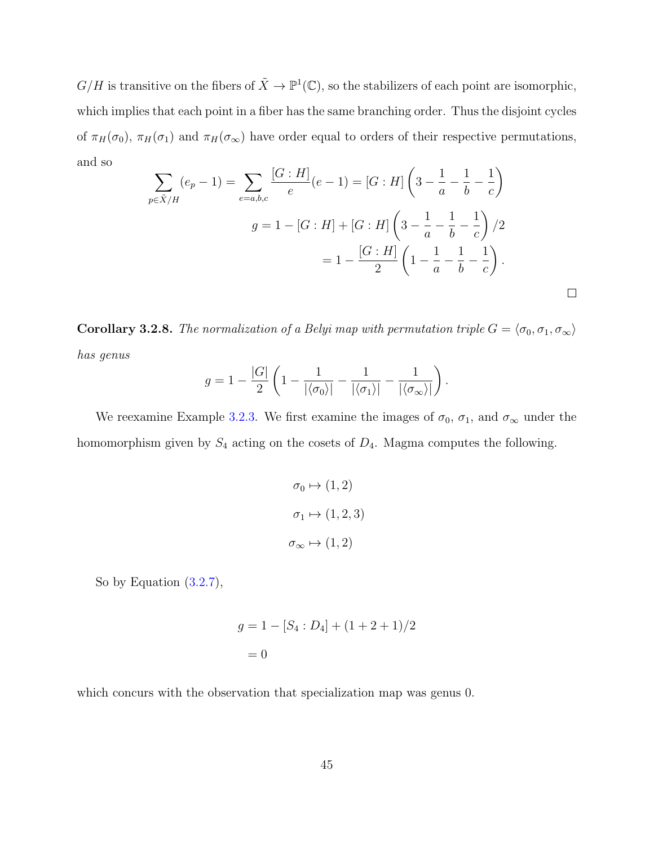$G/H$  is transitive on the fibers of  $\tilde{X} \to \mathbb{P}^1(\mathbb{C})$ , so the stabilizers of each point are isomorphic, which implies that each point in a fiber has the same branching order. Thus the disjoint cycles of  $\pi_H(\sigma_0)$ ,  $\pi_H(\sigma_1)$  and  $\pi_H(\sigma_\infty)$  have order equal to orders of their respective permutations, and so

$$
\sum_{p \in \tilde{X}/H} (e_p - 1) = \sum_{e=a,b,c} \frac{[G:H]}{e} (e - 1) = [G:H] \left( 3 - \frac{1}{a} - \frac{1}{b} - \frac{1}{c} \right)
$$
  

$$
g = 1 - [G:H] + [G:H] \left( 3 - \frac{1}{a} - \frac{1}{b} - \frac{1}{c} \right) / 2
$$
  

$$
= 1 - \frac{[G:H]}{2} \left( 1 - \frac{1}{a} - \frac{1}{b} - \frac{1}{c} \right).
$$

**Corollary 3.2.8.** The normalization of a Belyi map with permutation triple  $G = \langle \sigma_0, \sigma_1, \sigma_\infty \rangle$ has genus

$$
g = 1 - \frac{|G|}{2} \left( 1 - \frac{1}{|\langle \sigma_0 \rangle|} - \frac{1}{|\langle \sigma_1 \rangle|} - \frac{1}{|\langle \sigma_\infty \rangle|} \right).
$$

We reexamine Example [3.2.3.](#page-45-0) We first examine the images of  $\sigma_0$ ,  $\sigma_1$ , and  $\sigma_{\infty}$  under the homomorphism given by  $S_4$  acting on the cosets of  $D_4$ . Magma computes the following.

$$
\sigma_0 \mapsto (1, 2)
$$

$$
\sigma_1 \mapsto (1, 2, 3)
$$

$$
\sigma_{\infty} \mapsto (1, 2)
$$

So by Equation [\(3.2.7\)](#page-49-1),

$$
g = 1 - [S_4 : D_4] + (1 + 2 + 1)/2
$$
  
= 0

which concurs with the observation that specialization map was genus 0.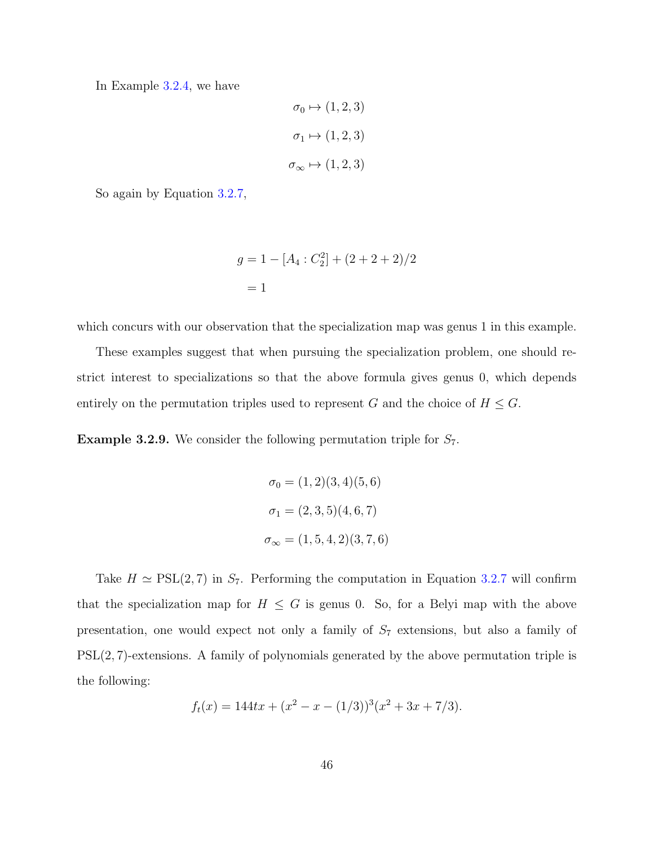In Example [3.2.4,](#page-47-0) we have

$$
\sigma_0 \mapsto (1, 2, 3)
$$

$$
\sigma_1 \mapsto (1, 2, 3)
$$

$$
\sigma_{\infty} \mapsto (1, 2, 3)
$$

So again by Equation [3.2.7,](#page-49-1)

$$
g = 1 - [A_4 : C_2^2] + (2 + 2 + 2)/2
$$
  
= 1

which concurs with our observation that the specialization map was genus 1 in this example.

These examples suggest that when pursuing the specialization problem, one should restrict interest to specializations so that the above formula gives genus 0, which depends entirely on the permutation triples used to represent G and the choice of  $H \leq G$ .

**Example 3.2.9.** We consider the following permutation triple for  $S_7$ .

$$
\sigma_0 = (1, 2)(3, 4)(5, 6)
$$

$$
\sigma_1 = (2, 3, 5)(4, 6, 7)
$$

$$
\sigma_{\infty} = (1, 5, 4, 2)(3, 7, 6)
$$

Take  $H \simeq \text{PSL}(2, 7)$  in  $S_7$ . Performing the computation in Equation [3.2.7](#page-49-1) will confirm that the specialization map for  $H \leq G$  is genus 0. So, for a Belyi map with the above presentation, one would expect not only a family of  $S_7$  extensions, but also a family of PSL(2, 7)-extensions. A family of polynomials generated by the above permutation triple is the following:

$$
f_t(x) = 144tx + (x^2 - x - (1/3))^3(x^2 + 3x + 7/3).
$$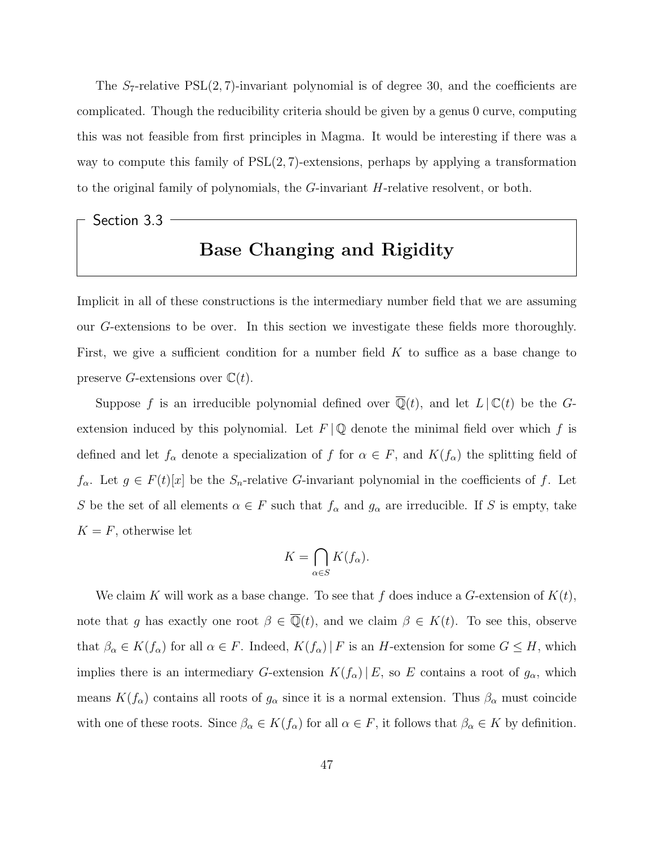The  $S_7$ -relative  $PSL(2, 7)$ -invariant polynomial is of degree 30, and the coefficients are complicated. Though the reducibility criteria should be given by a genus 0 curve, computing this was not feasible from first principles in Magma. It would be interesting if there was a way to compute this family of  $PSL(2, 7)$ -extensions, perhaps by applying a transformation to the original family of polynomials, the G-invariant H-relative resolvent, or both.

## Section 3.3 Base Changing and Rigidity

Implicit in all of these constructions is the intermediary number field that we are assuming our G-extensions to be over. In this section we investigate these fields more thoroughly. First, we give a sufficient condition for a number field  $K$  to suffice as a base change to preserve G-extensions over  $\mathbb{C}(t)$ .

Suppose f is an irreducible polynomial defined over  $\mathbb{Q}(t)$ , and let  $L \mid \mathbb{C}(t)$  be the Gextension induced by this polynomial. Let  $F \mid \mathbb{Q}$  denote the minimal field over which f is defined and let  $f_{\alpha}$  denote a specialization of f for  $\alpha \in F$ , and  $K(f_{\alpha})$  the splitting field of  $f_{\alpha}$ . Let  $g \in F(t)[x]$  be the  $S_n$ -relative G-invariant polynomial in the coefficients of f. Let S be the set of all elements  $\alpha \in F$  such that  $f_{\alpha}$  and  $g_{\alpha}$  are irreducible. If S is empty, take  $K = F$ , otherwise let

$$
K = \bigcap_{\alpha \in S} K(f_{\alpha}).
$$

We claim K will work as a base change. To see that f does induce a G-extension of  $K(t)$ , note that g has exactly one root  $\beta \in \overline{\mathbb{Q}}(t)$ , and we claim  $\beta \in K(t)$ . To see this, observe that  $\beta_{\alpha} \in K(f_{\alpha})$  for all  $\alpha \in F$ . Indeed,  $K(f_{\alpha}) \mid F$  is an H-extension for some  $G \leq H$ , which implies there is an intermediary G-extension  $K(f_\alpha) | E$ , so E contains a root of  $g_\alpha$ , which means  $K(f_\alpha)$  contains all roots of  $g_\alpha$  since it is a normal extension. Thus  $\beta_\alpha$  must coincide with one of these roots. Since  $\beta_{\alpha} \in K(f_{\alpha})$  for all  $\alpha \in F$ , it follows that  $\beta_{\alpha} \in K$  by definition.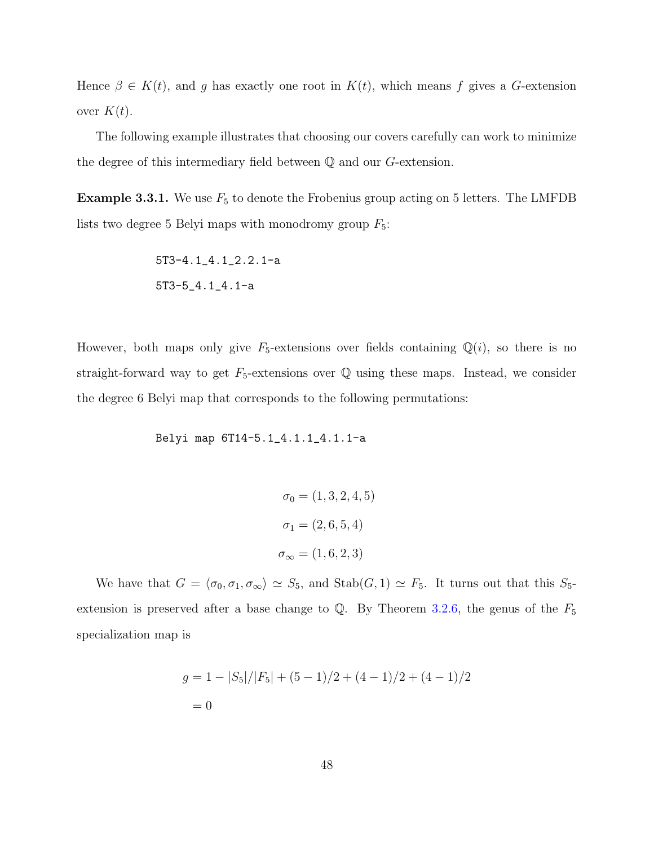Hence  $\beta \in K(t)$ , and g has exactly one root in  $K(t)$ , which means f gives a G-extension over  $K(t)$ .

The following example illustrates that choosing our covers carefully can work to minimize the degree of this intermediary field between Q and our G-extension.

**Example 3.3.1.** We use  $F_5$  to denote the Frobenius group acting on 5 letters. The LMFDB lists two degree 5 Belyi maps with monodromy group  $F_5$ :

$$
5T3-4.1\_4.1\_2.2.1-a
$$
  

$$
5T3-5\_4.1\_4.1-a
$$

However, both maps only give  $F_5$ -extensions over fields containing  $\mathbb{Q}(i)$ , so there is no straight-forward way to get  $F_5$ -extensions over  $\mathbb Q$  using these maps. Instead, we consider the degree 6 Belyi map that corresponds to the following permutations:

Belyi map 6T14-5.1\_4.1.1\_4.1.1-a

$$
\sigma_0 = (1, 3, 2, 4, 5)
$$

$$
\sigma_1 = (2, 6, 5, 4)
$$

$$
\sigma_{\infty} = (1, 6, 2, 3)
$$

We have that  $G = \langle \sigma_0, \sigma_1, \sigma_\infty \rangle \simeq S_5$ , and  $\text{Stab}(G, 1) \simeq F_5$ . It turns out that this  $S_5$ extension is preserved after a base change to  $\mathbb{Q}$ . By Theorem [3.2.6,](#page-49-0) the genus of the  $F_5$ specialization map is

$$
g = 1 - |S_5|/|F_5| + (5 - 1)/2 + (4 - 1)/2 + (4 - 1)/2
$$
  
= 0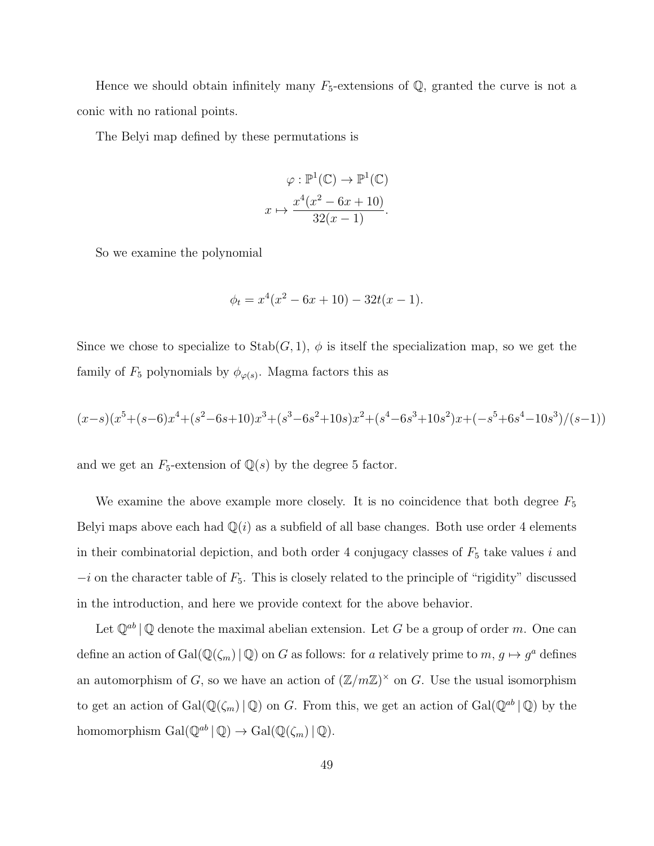Hence we should obtain infinitely many  $F_5$ -extensions of Q, granted the curve is not a conic with no rational points.

The Belyi map defined by these permutations is

$$
\varphi : \mathbb{P}^1(\mathbb{C}) \to \mathbb{P}^1(\mathbb{C})
$$

$$
x \mapsto \frac{x^4(x^2 - 6x + 10)}{32(x - 1)}.
$$

So we examine the polynomial

$$
\phi_t = x^4(x^2 - 6x + 10) - 32t(x - 1).
$$

Since we chose to specialize to  $\text{Stab}(G, 1)$ ,  $\phi$  is itself the specialization map, so we get the family of  $F_5$  polynomials by  $\phi_{\varphi(s)}$ . Magma factors this as

$$
(x-s)(x^5 + (s-6)x^4 + (s^2-6s+10)x^3 + (s^3-6s^2+10s)x^2 + (s^4-6s^3+10s^2)x + (-s^5+6s^4-10s^3)/(s-1))
$$

and we get an  $F_5$ -extension of  $\mathbb{Q}(s)$  by the degree 5 factor.

We examine the above example more closely. It is no coincidence that both degree  $F_5$ Belyi maps above each had  $\mathbb{Q}(i)$  as a subfield of all base changes. Both use order 4 elements in their combinatorial depiction, and both order 4 conjugacy classes of  $F_5$  take values i and  $-i$  on the character table of  $F_5$ . This is closely related to the principle of "rigidity" discussed in the introduction, and here we provide context for the above behavior.

Let  $\mathbb{Q}^{ab}$  |  $\mathbb Q$  denote the maximal abelian extension. Let G be a group of order m. One can define an action of  $Gal(\mathbb{Q}(\zeta_m) | \mathbb{Q})$  on G as follows: for a relatively prime to  $m, g \mapsto g^a$  defines an automorphism of G, so we have an action of  $(\mathbb{Z}/m\mathbb{Z})^{\times}$  on G. Use the usual isomorphism to get an action of  $Gal(\mathbb{Q}(\zeta_m) | \mathbb{Q})$  on G. From this, we get an action of  $Gal(\mathbb{Q}^{ab} | \mathbb{Q})$  by the homomorphism  $\operatorname{Gal}(\mathbb{Q}^{ab} \mid \mathbb{Q}) \to \operatorname{Gal}(\mathbb{Q}(\zeta_m) \mid \mathbb{Q})$ .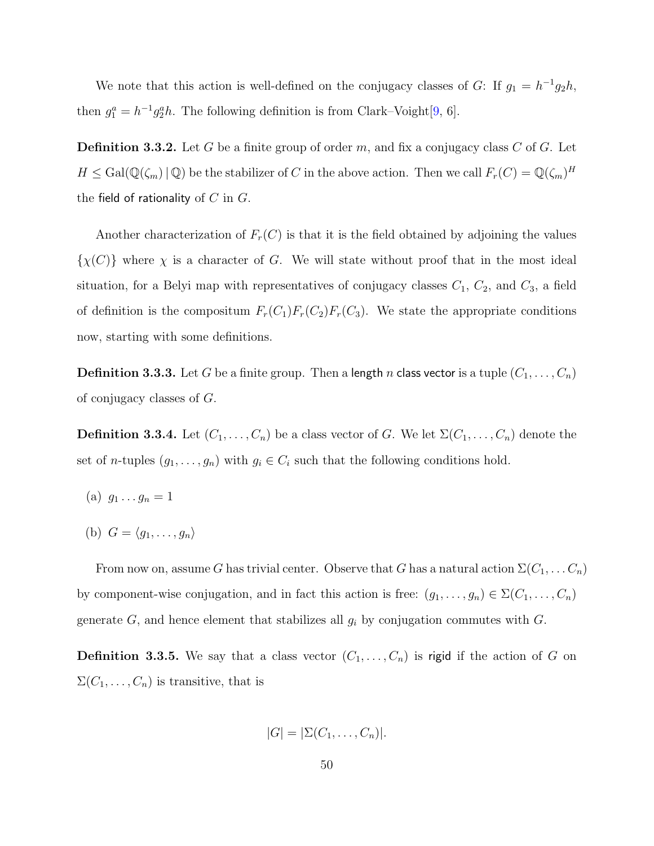We note that this action is well-defined on the conjugacy classes of G: If  $g_1 = h^{-1}g_2h$ , then  $g_1^a = h^{-1}g_2^ah$ . The following definition is from Clark–Voight[\[9,](#page-78-5) 6].

**Definition 3.3.2.** Let G be a finite group of order m, and fix a conjugacy class C of G. Let  $H \leq \text{Gal}(\mathbb{Q}(\zeta_m) \mid \mathbb{Q})$  be the stabilizer of C in the above action. Then we call  $F_r(C) = \mathbb{Q}(\zeta_m)^H$ the field of rationality of  $C$  in  $G$ .

Another characterization of  $F_r(C)$  is that it is the field obtained by adjoining the values  $\{\chi(C)\}\$  where  $\chi$  is a character of G. We will state without proof that in the most ideal situation, for a Belyi map with representatives of conjugacy classes  $C_1$ ,  $C_2$ , and  $C_3$ , a field of definition is the compositum  $F_r(C_1)F_r(C_2)F_r(C_3)$ . We state the appropriate conditions now, starting with some definitions.

**Definition 3.3.3.** Let G be a finite group. Then a length n class vector is a tuple  $(C_1, \ldots, C_n)$ of conjugacy classes of G.

**Definition 3.3.4.** Let  $(C_1, \ldots, C_n)$  be a class vector of G. We let  $\Sigma(C_1, \ldots, C_n)$  denote the set of n-tuples  $(g_1, \ldots, g_n)$  with  $g_i \in C_i$  such that the following conditions hold.

- (a)  $g_1 \ldots g_n = 1$
- (b)  $G = \langle q_1, \ldots, q_n \rangle$

From now on, assume G has trivial center. Observe that G has a natural action  $\Sigma(C_1, \ldots C_n)$ by component-wise conjugation, and in fact this action is free:  $(g_1, \ldots, g_n) \in \Sigma(C_1, \ldots, C_n)$ generate  $G$ , and hence element that stabilizes all  $g_i$  by conjugation commutes with  $G$ .

**Definition 3.3.5.** We say that a class vector  $(C_1, \ldots, C_n)$  is rigid if the action of G on  $\Sigma(C_1,\ldots,C_n)$  is transitive, that is

$$
|G| = |\Sigma(C_1, \ldots, C_n)|.
$$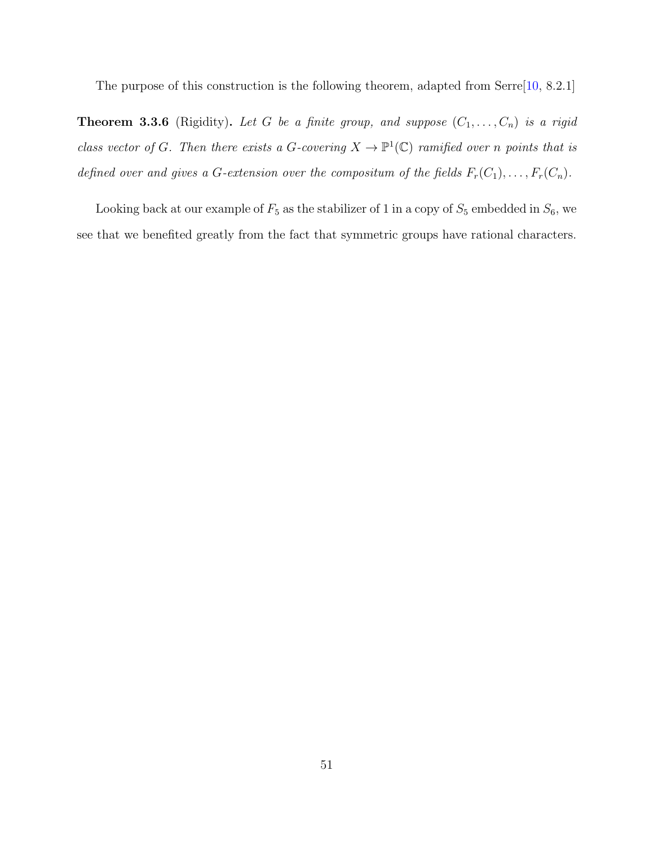The purpose of this construction is the following theorem, adapted from Serre<sup>[\[10,](#page-78-2) 8.2.1]</sup>

**Theorem 3.3.6** (Rigidity). Let G be a finite group, and suppose  $(C_1, \ldots, C_n)$  is a rigid class vector of G. Then there exists a G-covering  $X \to \mathbb{P}^1(\mathbb{C})$  ramified over n points that is defined over and gives a G-extension over the compositum of the fields  $F_r(C_1), \ldots, F_r(C_n)$ .

Looking back at our example of  $F_5$  as the stabilizer of 1 in a copy of  $S_5$  embedded in  $S_6$ , we see that we benefited greatly from the fact that symmetric groups have rational characters.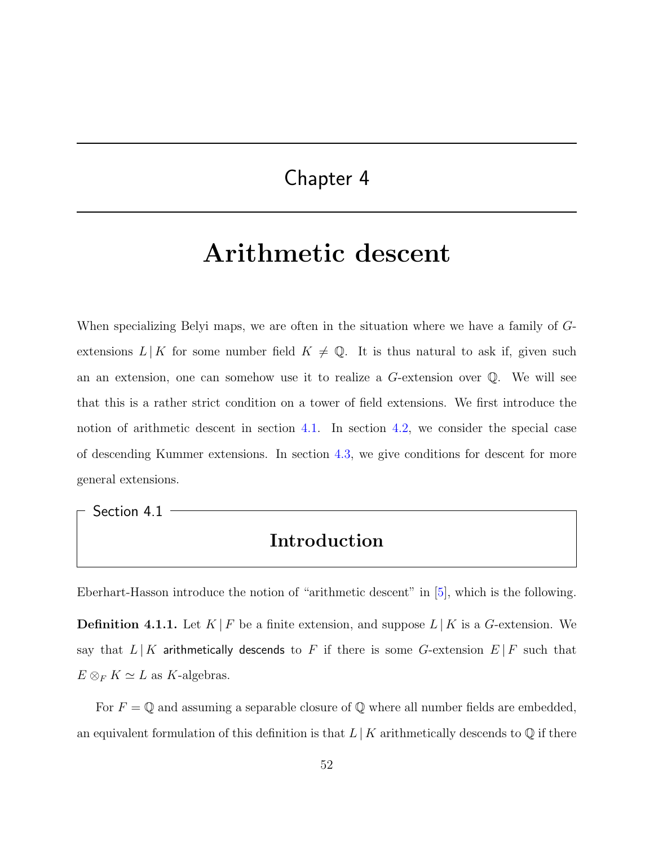## Chapter 4

## Arithmetic descent

When specializing Belyi maps, we are often in the situation where we have a family of Gextensions  $L | K$  for some number field  $K \neq \mathbb{Q}$ . It is thus natural to ask if, given such an an extension, one can somehow use it to realize a G-extension over Q. We will see that this is a rather strict condition on a tower of field extensions. We first introduce the notion of arithmetic descent in section [4.1.](#page-58-0) In section [4.2,](#page-59-0) we consider the special case of descending Kummer extensions. In section [4.3,](#page-69-0) we give conditions for descent for more general extensions.

<span id="page-58-0"></span>Section 4.1

#### Introduction

Eberhart-Hasson introduce the notion of "arithmetic descent" in [\[5\]](#page-77-4), which is the following.

**Definition 4.1.1.** Let  $K \mid F$  be a finite extension, and suppose  $L \mid K$  is a G-extension. We say that  $L | K$  arithmetically descends to F if there is some G-extension  $E | F$  such that  $E \otimes_F K \simeq L$  as K-algebras.

For  $F = \mathbb{Q}$  and assuming a separable closure of  $\mathbb{Q}$  where all number fields are embedded, an equivalent formulation of this definition is that  $L | K$  arithmetically descends to  $\mathbb Q$  if there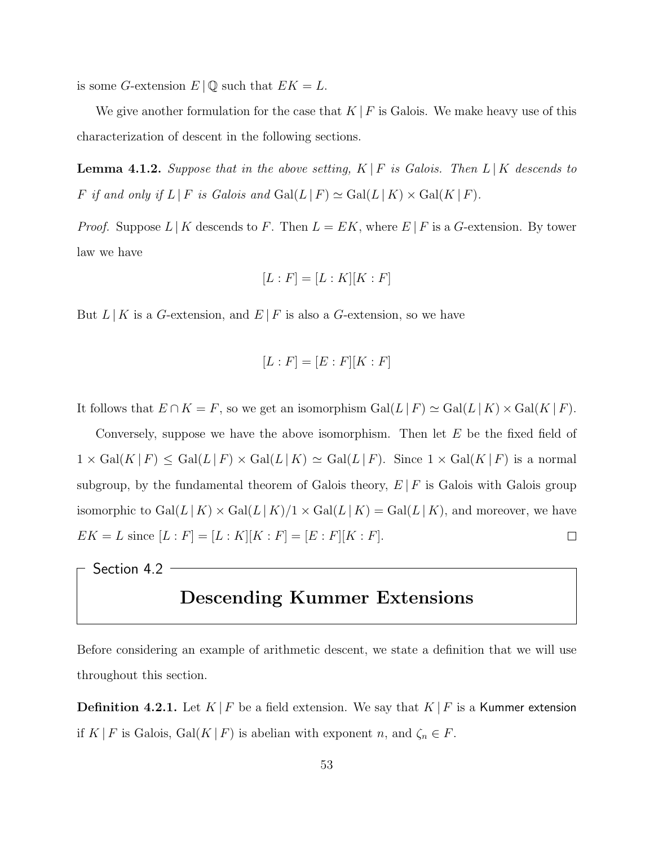is some G-extension  $E | \mathbb{Q}$  such that  $EK = L$ .

We give another formulation for the case that  $K \,|\, F$  is Galois. We make heavy use of this characterization of descent in the following sections.

<span id="page-59-1"></span>**Lemma 4.1.2.** Suppose that in the above setting,  $K \mid F$  is Galois. Then  $L \mid K$  descends to F if and only if  $L | F$  is Galois and  $Gal(L | F) \simeq Gal(L | K) \times Gal(K | F)$ .

*Proof.* Suppose  $L | K$  descends to F. Then  $L = E K$ , where  $E | F$  is a G-extension. By tower law we have

$$
[L:F] = [L:K][K:F]
$$

But  $L | K$  is a G-extension, and  $E | F$  is also a G-extension, so we have

$$
[L:F] = [E:F][K:F]
$$

It follows that  $E \cap K = F$ , so we get an isomorphism  $Gal(L | F) \simeq Gal(L | K) \times Gal(K | F)$ .

Conversely, suppose we have the above isomorphism. Then let  $E$  be the fixed field of  $1 \times Gal(K | F) \le Gal(L | F) \times Gal(L | K) \simeq Gal(L | F)$ . Since  $1 \times Gal(K | F)$  is a normal subgroup, by the fundamental theorem of Galois theory,  $E | F$  is Galois with Galois group isomorphic to  $Gal(L|K) \times Gal(L|K)/1 \times Gal(L|K) = Gal(L|K)$ , and moreover, we have  $EK = L$  since  $[L : F] = [L : K][K : F] = [E : F][K : F].$  $\Box$ 

<span id="page-59-0"></span>Section 4.2 -

### Descending Kummer Extensions

Before considering an example of arithmetic descent, we state a definition that we will use throughout this section.

**Definition 4.2.1.** Let  $K \mid F$  be a field extension. We say that  $K \mid F$  is a Kummer extension if K | F is Galois, Gal $(K | F)$  is abelian with exponent n, and  $\zeta_n \in F$ .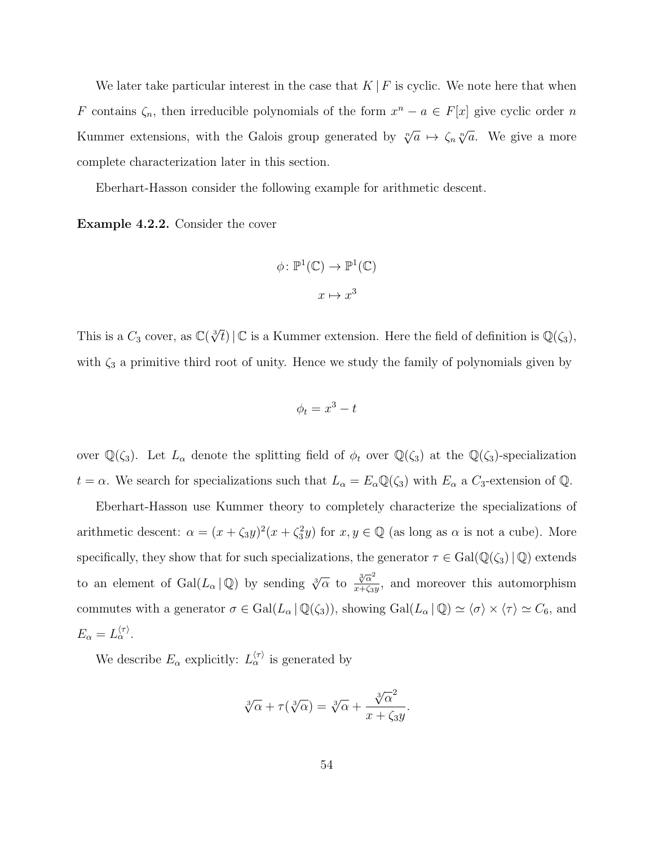We later take particular interest in the case that  $K \,|\, F$  is cyclic. We note here that when F contains  $\zeta_n$ , then irreducible polynomials of the form  $x^n - a \in F[x]$  give cyclic order n Kummer extensions, with the Galois group generated by  $\sqrt[n]{a} \mapsto \zeta_n \sqrt[n]{a}$ . We give a more complete characterization later in this section.

Eberhart-Hasson consider the following example for arithmetic descent.

Example 4.2.2. Consider the cover

$$
\phi \colon \mathbb{P}^1(\mathbb{C}) \to \mathbb{P}^1(\mathbb{C})
$$

$$
x \mapsto x^3
$$

This is a  $C_3$  cover, as  $\mathbb{C}(\sqrt[3]{t}) \,|\, \mathbb{C}$  is a Kummer extension. Here the field of definition is  $\mathbb{Q}(\zeta_3)$ , with  $\zeta_3$  a primitive third root of unity. Hence we study the family of polynomials given by

$$
\phi_t = x^3 - t
$$

over  $\mathbb{Q}(\zeta_3)$ . Let  $L_\alpha$  denote the splitting field of  $\phi_t$  over  $\mathbb{Q}(\zeta_3)$  at the  $\mathbb{Q}(\zeta_3)$ -specialization  $t = \alpha$ . We search for specializations such that  $L_{\alpha} = E_{\alpha} \mathbb{Q}(\zeta_3)$  with  $E_{\alpha}$  a  $C_3$ -extension of  $\mathbb{Q}$ .

Eberhart-Hasson use Kummer theory to completely characterize the specializations of arithmetic descent:  $\alpha = (x + \zeta_3 y)^2 (x + \zeta_3^2 y)$  for  $x, y \in \mathbb{Q}$  (as long as  $\alpha$  is not a cube). More specifically, they show that for such specializations, the generator  $\tau \in Gal(\mathbb{Q}(\zeta_3)|\mathbb{Q})$  extends to an element of Gal $(L_{\alpha} | \mathbb{Q})$  by sending  $\sqrt[3]{\alpha}$  to  $\frac{\sqrt[3]{\alpha}^2}{x+\zeta_2}$  $\frac{\sqrt[3]{\alpha}}{x+\zeta_3y}$ , and moreover this automorphism commutes with a generator  $\sigma \in \text{Gal}(L_{\alpha} \mid \mathbb{Q}(\zeta_3))$ , showing  $\text{Gal}(L_{\alpha} \mid \mathbb{Q}) \simeq \langle \sigma \rangle \times \langle \tau \rangle \simeq C_6$ , and  $E_{\alpha}=L_{\alpha}^{\langle\tau\rangle}$ .

We describe  $E_{\alpha}$  explicitly:  $L_{\alpha}^{\langle \tau \rangle}$  is generated by

$$
\sqrt[3]{\alpha} + \tau(\sqrt[3]{\alpha}) = \sqrt[3]{\alpha} + \frac{\sqrt[3]{\alpha}^2}{x + \zeta_3 y}.
$$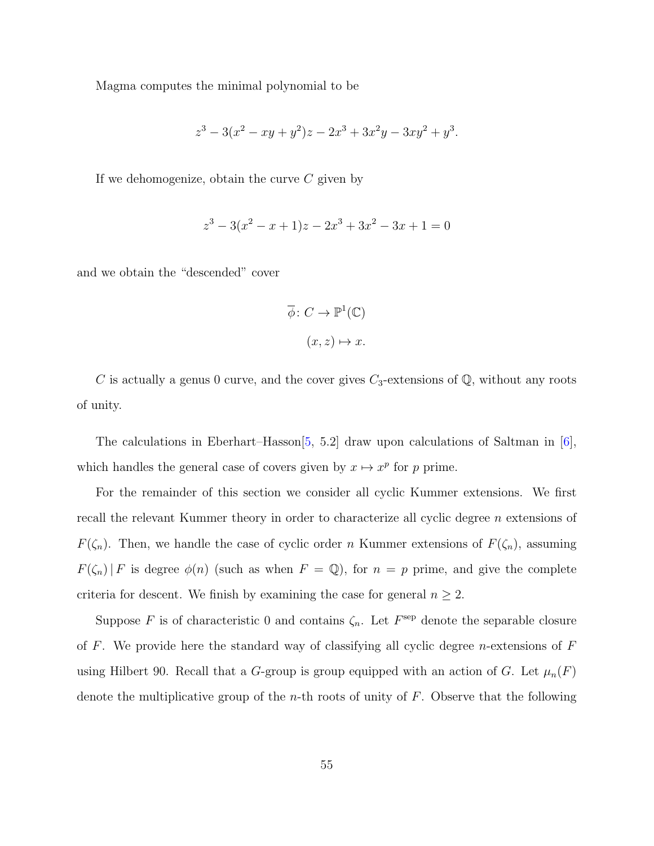Magma computes the minimal polynomial to be

$$
z^3 - 3(x^2 - xy + y^2)z - 2x^3 + 3x^2y - 3xy^2 + y^3.
$$

If we dehomogenize, obtain the curve  $C$  given by

$$
z^3 - 3(x^2 - x + 1)z - 2x^3 + 3x^2 - 3x + 1 = 0
$$

and we obtain the "descended" cover

$$
\overline{\phi} \colon C \to \mathbb{P}^1(\mathbb{C})
$$

$$
(x, z) \mapsto x.
$$

C is actually a genus 0 curve, and the cover gives  $C_3$ -extensions of  $\mathbb{Q}$ , without any roots of unity.

The calculations in Eberhart–Hasson[\[5,](#page-77-4) 5.2] draw upon calculations of Saltman in [\[6\]](#page-77-5), which handles the general case of covers given by  $x \mapsto x^p$  for p prime.

For the remainder of this section we consider all cyclic Kummer extensions. We first recall the relevant Kummer theory in order to characterize all cyclic degree n extensions of  $F(\zeta_n)$ . Then, we handle the case of cyclic order n Kummer extensions of  $F(\zeta_n)$ , assuming  $F(\zeta_n)|F$  is degree  $\phi(n)$  (such as when  $F = \mathbb{Q}$ ), for  $n = p$  prime, and give the complete criteria for descent. We finish by examining the case for general  $n \geq 2$ .

Suppose F is of characteristic 0 and contains  $\zeta_n$ . Let  $F^{\text{sep}}$  denote the separable closure of F. We provide here the standard way of classifying all cyclic degree *n*-extensions of  $F$ using Hilbert 90. Recall that a G-group is group equipped with an action of G. Let  $\mu_n(F)$ denote the multiplicative group of the *n*-th roots of unity of  $F$ . Observe that the following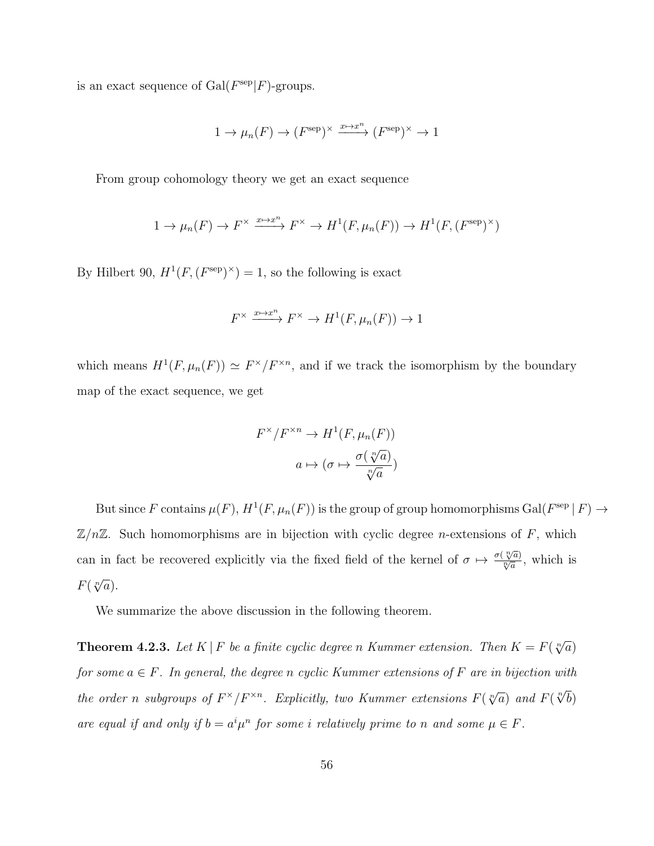is an exact sequence of  $Gal(F^{\text{sep}}|F)$ -groups.

$$
1 \to \mu_n(F) \to (F^{\text{sep}})^\times \xrightarrow{x \mapsto x^n} (F^{\text{sep}})^\times \to 1
$$

From group cohomology theory we get an exact sequence

$$
1 \to \mu_n(F) \to F^\times \xrightarrow{x \mapsto x^n} F^\times \to H^1(F, \mu_n(F)) \to H^1(F, (F^{\text{sep}})^\times)
$$

By Hilbert 90,  $H^1(F, (F^{\text{sep}})^{\times}) = 1$ , so the following is exact

$$
F^{\times} \xrightarrow{x \mapsto x^{n}} F^{\times} \to H^{1}(F, \mu_{n}(F)) \to 1
$$

which means  $H^1(F,\mu_n(F)) \simeq F^{\times}/F^{\times n}$ , and if we track the isomorphism by the boundary map of the exact sequence, we get

$$
F^{\times}/F^{\times n} \to H^1(F, \mu_n(F))
$$

$$
a \mapsto (\sigma \mapsto \frac{\sigma(\sqrt[n]{a})}{\sqrt[n]{a}})
$$

But since F contains  $\mu(F), H^1(F, \mu_n(F))$  is the group of group homomorphisms  $Gal(F^{\text{sep}} | F) \rightarrow$  $\mathbb{Z}/n\mathbb{Z}$ . Such homomorphisms are in bijection with cyclic degree *n*-extensions of F, which can in fact be recovered explicitly via the fixed field of the kernel of  $\sigma \mapsto \frac{\sigma(\sqrt[n]{a}}{n/a}$  $\frac{\sqrt[n]{a}}{\sqrt[n]{a}},$  which is  $F(\sqrt[n]{a})$ .

We summarize the above discussion in the following theorem.

**Theorem 4.2.3.** Let K | F be a finite cyclic degree n Kummer extension. Then  $K = F(\sqrt[n]{a})$ for some  $a \in F$ . In general, the degree n cyclic Kummer extensions of F are in bijection with the order n subgroups of  $F^{\times}/F^{\times n}$ . Explicitly, two Kummer extensions  $F(\sqrt[n]{a})$  and  $F(\sqrt[n]{b})$ are equal if and only if  $b = a^i \mu^n$  for some i relatively prime to n and some  $\mu \in F$ .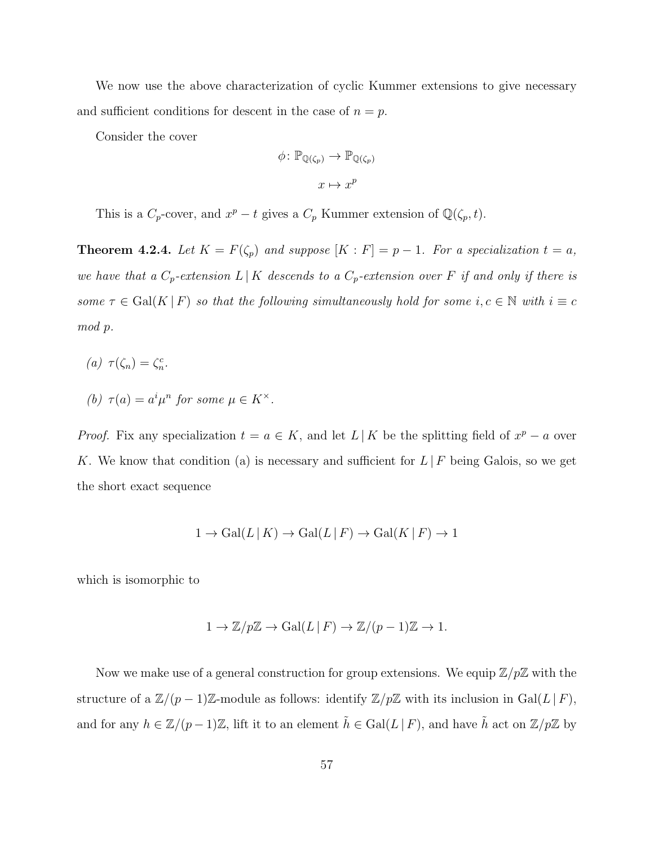We now use the above characterization of cyclic Kummer extensions to give necessary and sufficient conditions for descent in the case of  $n = p$ .

Consider the cover

$$
\phi \colon \mathbb{P}_{\mathbb{Q}(\zeta_p)} \to \mathbb{P}_{\mathbb{Q}(\zeta_p)}
$$

$$
x \mapsto x^p
$$

This is a  $C_p$ -cover, and  $x^p - t$  gives a  $C_p$  Kummer extension of  $\mathbb{Q}(\zeta_p, t)$ .

**Theorem 4.2.4.** Let  $K = F(\zeta_p)$  and suppose  $[K : F] = p - 1$ . For a specialization  $t = a$ , we have that a  $C_p$ -extension  $L | K$  descends to a  $C_p$ -extension over F if and only if there is some  $\tau \in \text{Gal}(K \mid F)$  so that the following simultaneously hold for some  $i, c \in \mathbb{N}$  with  $i \equiv c$ mod p.

- (a)  $\tau(\zeta_n) = \zeta_n^c$ .
- (b)  $\tau(a) = a^i \mu^n$  for some  $\mu \in K^{\times}$ .

*Proof.* Fix any specialization  $t = a \in K$ , and let  $L | K$  be the splitting field of  $x^p - a$  over K. We know that condition (a) is necessary and sufficient for  $L \, | \, F$  being Galois, so we get the short exact sequence

$$
1 \to \text{Gal}(L | K) \to \text{Gal}(L | F) \to \text{Gal}(K | F) \to 1
$$

which is isomorphic to

$$
1 \to \mathbb{Z}/p\mathbb{Z} \to \operatorname{Gal}(L \,|\, F) \to \mathbb{Z}/(p-1)\mathbb{Z} \to 1.
$$

Now we make use of a general construction for group extensions. We equip  $\mathbb{Z}/p\mathbb{Z}$  with the structure of a  $\mathbb{Z}/(p-1)\mathbb{Z}$ -module as follows: identify  $\mathbb{Z}/p\mathbb{Z}$  with its inclusion in Gal(L|F), and for any  $h \in \mathbb{Z}/(p-1)\mathbb{Z}$ , lift it to an element  $\tilde{h} \in \text{Gal}(L \mid F)$ , and have  $\tilde{h}$  act on  $\mathbb{Z}/p\mathbb{Z}$  by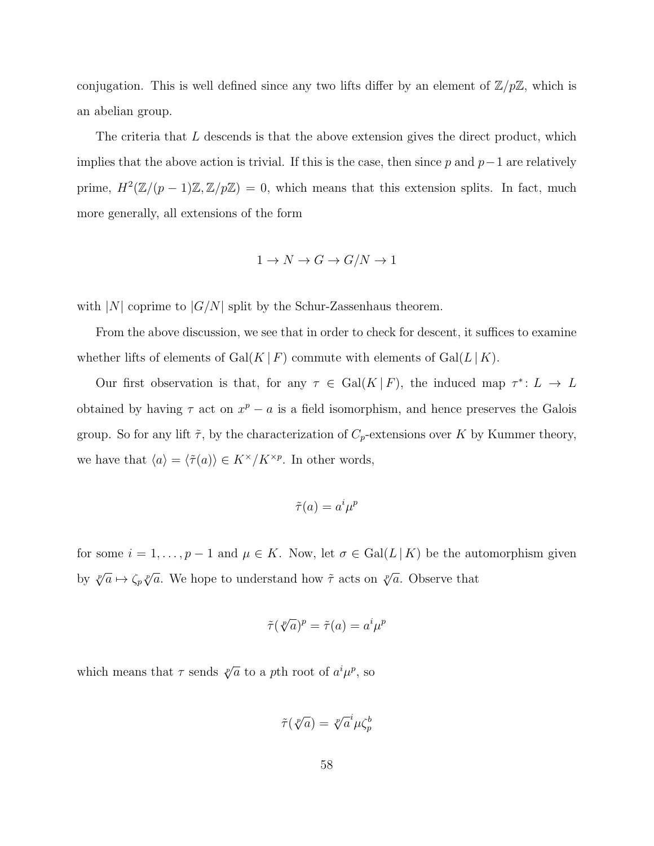conjugation. This is well defined since any two lifts differ by an element of  $\mathbb{Z}/p\mathbb{Z}$ , which is an abelian group.

The criteria that  $L$  descends is that the above extension gives the direct product, which implies that the above action is trivial. If this is the case, then since p and  $p-1$  are relatively prime,  $H^2(\mathbb{Z}/(p-1)\mathbb{Z}, \mathbb{Z}/p\mathbb{Z}) = 0$ , which means that this extension splits. In fact, much more generally, all extensions of the form

$$
1 \to N \to G \to G/N \to 1
$$

with |N| coprime to  $|G/N|$  split by the Schur-Zassenhaus theorem.

From the above discussion, we see that in order to check for descent, it suffices to examine whether lifts of elements of Gal(K | F) commute with elements of Gal(L | K).

Our first observation is that, for any  $\tau \in \text{Gal}(K | F)$ , the induced map  $\tau^* \colon L \to L$ obtained by having  $\tau$  act on  $x^p - a$  is a field isomorphism, and hence preserves the Galois group. So for any lift  $\tilde{\tau}$ , by the characterization of  $C_p$ -extensions over K by Kummer theory, we have that  $\langle a \rangle = \langle \tilde{\tau}(a) \rangle \in K^{\times}/K^{\times p}$ . In other words,

$$
\tilde{\tau}(a) = a^i \mu^p
$$

for some  $i = 1, ..., p - 1$  and  $\mu \in K$ . Now, let  $\sigma \in \text{Gal}(L | K)$  be the automorphism given by  $\sqrt[p]{a} \mapsto \zeta_p \sqrt[p]{a}$ . We hope to understand how  $\tilde{\tau}$  acts on  $\sqrt[p]{a}$ . Observe that

$$
\tilde{\tau}(\sqrt[p]{a})^p = \tilde{\tau}(a) = a^i \mu^p
$$

which means that  $\tau$  sends  $\sqrt[p]{a}$  to a pth root of  $a^i \mu^p$ , so

$$
\tilde{\tau}(\sqrt[p]{a}) = \sqrt[p]{a}^i \mu \zeta_p^b
$$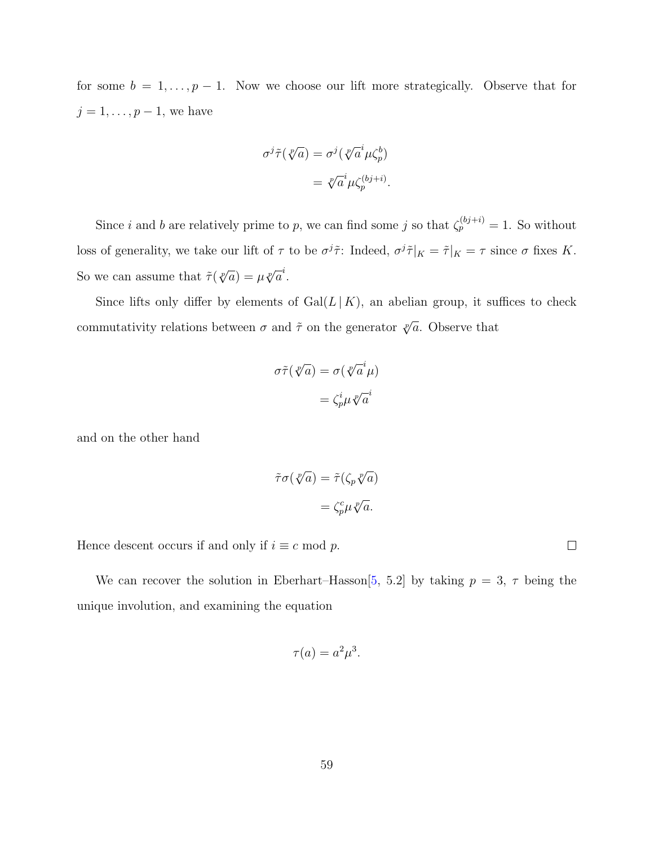for some  $b = 1, \ldots, p - 1$ . Now we choose our lift more strategically. Observe that for  $j = 1, \ldots, p - 1$ , we have

$$
\sigma^{j}\tilde{\tau}(\sqrt[p]{a}) = \sigma^{j}(\sqrt[p]{a}^{i}\mu\zeta_{p}^{b})
$$

$$
= \sqrt[p]{a}^{i}\mu\zeta_{p}^{(bj+i)}.
$$

Since i and b are relatively prime to p, we can find some j so that  $\zeta_p^{(bj+i)} = 1$ . So without loss of generality, we take our lift of  $\tau$  to be  $\sigma^{j}\tilde{\tau}$ : Indeed,  $\sigma^{j}\tilde{\tau}|_{K} = \tilde{\tau}|_{K} = \tau$  since  $\sigma$  fixes K. So we can assume that  $\tilde{\tau}(\sqrt[p]{a}) = \mu \sqrt[p]{a}^i$ .

Since lifts only differ by elements of  $Gal(L | K)$ , an abelian group, it suffices to check commutativity relations between  $\sigma$  and  $\tilde{\tau}$  on the generator  $\sqrt[p]{a}$ . Observe that

$$
\sigma \tilde{\tau}(\sqrt[p]{a}) = \sigma(\sqrt[p]{a}^i \mu)
$$

$$
= \zeta_p^i \mu \sqrt[p]{a}^i
$$

and on the other hand

$$
\tilde{\tau}\sigma(\sqrt[p]{a}) = \tilde{\tau}(\zeta_p \sqrt[p]{a})
$$

$$
= \zeta_p^c \mu \sqrt[p]{a}.
$$

Hence descent occurs if and only if  $i \equiv c \mod p$ .

We can recover the solution in Eberhart–Hasson[\[5,](#page-77-4) 5.2] by taking  $p = 3, \tau$  being the unique involution, and examining the equation

$$
\tau(a) = a^2 \mu^3.
$$

 $\Box$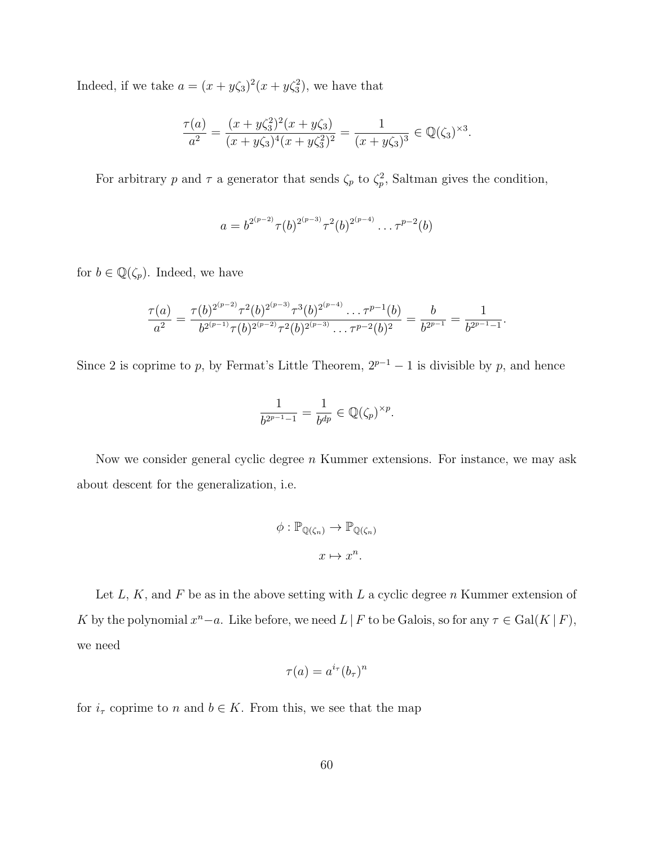Indeed, if we take  $a = (x + y\zeta_3)^2(x + y\zeta_3^2)$ , we have that

$$
\frac{\tau(a)}{a^2} = \frac{(x+y\zeta_3^2)^2(x+y\zeta_3)}{(x+y\zeta_3)^4(x+y\zeta_3^2)^2} = \frac{1}{(x+y\zeta_3)^3} \in \mathbb{Q}(\zeta_3)^{\times 3}.
$$

For arbitrary p and  $\tau$  a generator that sends  $\zeta_p$  to  $\zeta_p^2$ , Saltman gives the condition,

$$
a = b^{2^{(p-2)}} \tau(b)^{2^{(p-3)}} \tau^2(b)^{2^{(p-4)}} \dots \tau^{p-2}(b)
$$

for  $b \in \mathbb{Q}(\zeta_p)$ . Indeed, we have

$$
\frac{\tau(a)}{a^2} = \frac{\tau(b)^{2^{(p-2)}}\tau^2(b)^{2^{(p-3)}}\tau^3(b)^{2^{(p-4)}}\cdots \tau^{p-1}(b)}{b^{2^{(p-1)}}\tau(b)^{2^{(p-2)}}\tau^2(b)^{2^{(p-3)}}\cdots \tau^{p-2}(b)^2} = \frac{b}{b^{2^{p-1}}} = \frac{1}{b^{2^{p-1}-1}}.
$$

Since 2 is coprime to p, by Fermat's Little Theorem,  $2^{p-1} - 1$  is divisible by p, and hence

$$
\frac{1}{b^{2^{p-1}-1}} = \frac{1}{b^{dp}} \in \mathbb{Q}(\zeta_p)^{\times p}.
$$

Now we consider general cyclic degree  $n$  Kummer extensions. For instance, we may ask about descent for the generalization, i.e.

$$
\phi : \mathbb{P}_{\mathbb{Q}(\zeta_n)} \to \mathbb{P}_{\mathbb{Q}(\zeta_n)}
$$

$$
x \mapsto x^n.
$$

Let  $L, K$ , and  $F$  be as in the above setting with  $L$  a cyclic degree  $n$  Kummer extension of K by the polynomial  $x^{n}-a$ . Like before, we need  $L | F$  to be Galois, so for any  $\tau \in \text{Gal}(K | F)$ , we need

$$
\tau(a) = a^{i_{\tau}}(b_{\tau})^n
$$

for  $i_{\tau}$  coprime to n and  $b \in K$ . From this, we see that the map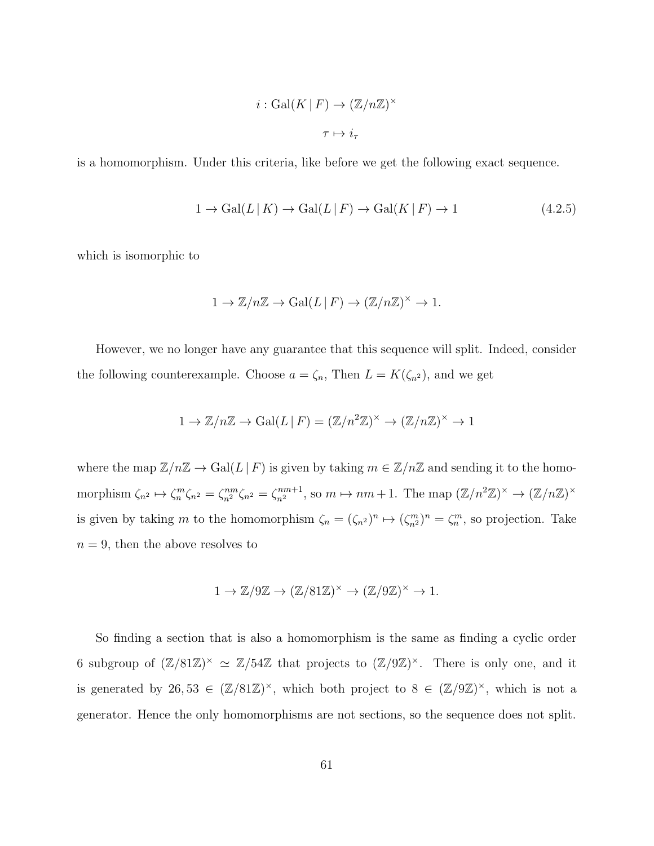$$
i: \mathrm{Gal}(K \,|\, F) \to (\mathbb{Z}/n\mathbb{Z})^{\times}
$$
  

$$
\tau \mapsto i_{\tau}
$$

is a homomorphism. Under this criteria, like before we get the following exact sequence.

<span id="page-67-0"></span>
$$
1 \to \text{Gal}(L \mid K) \to \text{Gal}(L \mid F) \to \text{Gal}(K \mid F) \to 1 \tag{4.2.5}
$$

which is isomorphic to

$$
1 \to \mathbb{Z}/n\mathbb{Z} \to \text{Gal}(L \mid F) \to (\mathbb{Z}/n\mathbb{Z})^{\times} \to 1.
$$

However, we no longer have any guarantee that this sequence will split. Indeed, consider the following counterexample. Choose  $a = \zeta_n$ , Then  $L = K(\zeta_{n^2})$ , and we get

$$
1 \to \mathbb{Z}/n\mathbb{Z} \to \text{Gal}(L \mid F) = (\mathbb{Z}/n^2\mathbb{Z})^{\times} \to (\mathbb{Z}/n\mathbb{Z})^{\times} \to 1
$$

where the map  $\mathbb{Z}/n\mathbb{Z} \to \text{Gal}(L \mid F)$  is given by taking  $m \in \mathbb{Z}/n\mathbb{Z}$  and sending it to the homomorphism  $\zeta_{n^2} \mapsto \zeta_n^m \zeta_{n^2} = \zeta_{n^2}^{nm} \zeta_{n^2} = \zeta_{n^2}^{nm+1}$ , so  $m \mapsto nm+1$ . The map  $(\mathbb{Z}/n^2\mathbb{Z})^{\times} \to (\mathbb{Z}/n\mathbb{Z})^{\times}$ is given by taking m to the homomorphism  $\zeta_n = (\zeta_{n^2})^n \mapsto (\zeta_{n^2}^m)^n = \zeta_n^m$ , so projection. Take  $n = 9$ , then the above resolves to

$$
1 \to \mathbb{Z}/9\mathbb{Z} \to (\mathbb{Z}/81\mathbb{Z})^{\times} \to (\mathbb{Z}/9\mathbb{Z})^{\times} \to 1.
$$

So finding a section that is also a homomorphism is the same as finding a cyclic order 6 subgroup of  $(\mathbb{Z}/81\mathbb{Z})^{\times} \simeq \mathbb{Z}/54\mathbb{Z}$  that projects to  $(\mathbb{Z}/9\mathbb{Z})^{\times}$ . There is only one, and it is generated by 26,53  $\in (\mathbb{Z}/81\mathbb{Z})^{\times}$ , which both project to  $8 \in (\mathbb{Z}/9\mathbb{Z})^{\times}$ , which is not a generator. Hence the only homomorphisms are not sections, so the sequence does not split.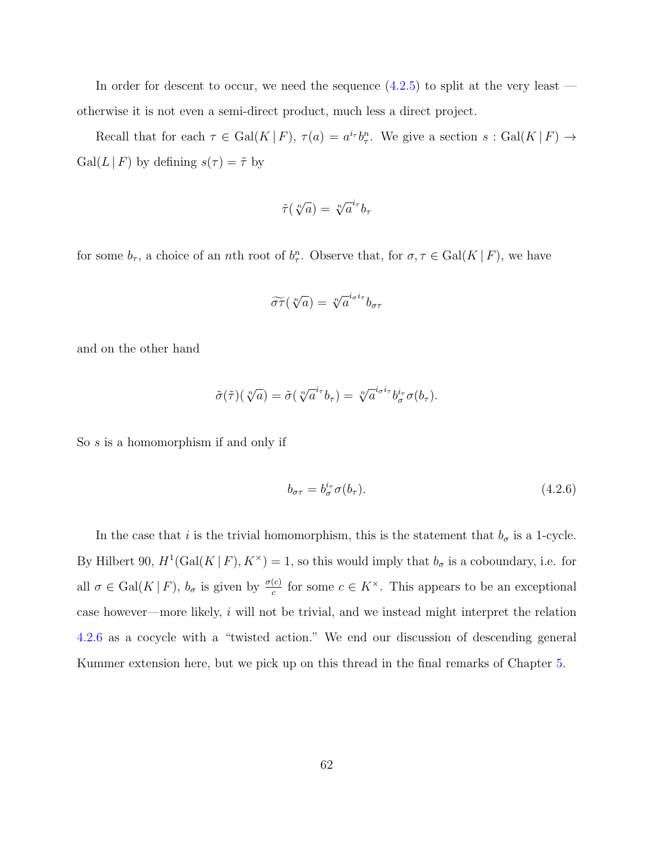In order for descent to occur, we need the sequence  $(4.2.5)$  to split at the very least otherwise it is not even a semi-direct product, much less a direct project.

Recall that for each  $\tau \in \text{Gal}(K | F)$ ,  $\tau(a) = a^{i_{\tau}} b_{\tau}^{n}$ . We give a section  $s : \text{Gal}(K | F) \to$  $Gal(L | F)$  by defining  $s(\tau) = \tilde{\tau}$  by

$$
\tilde{\tau}(\sqrt[n]{a}) = \sqrt[n]{a}^{i_{\tau}}b_{\tau}
$$

for some  $b_{\tau}$ , a choice of an *n*th root of  $b_{\tau}^n$ . Observe that, for  $\sigma, \tau \in \text{Gal}(K | F)$ , we have

$$
\widetilde{\sigma\tau}(\sqrt[n]{a}) = \sqrt[n]{a}^{i_{\sigma}i_{\tau}}b_{\sigma\tau}
$$

and on the other hand

$$
\tilde{\sigma}(\tilde{\tau})(\sqrt[n]{a}) = \tilde{\sigma}(\sqrt[n]{a}^{i_{\tau}}b_{\tau}) = \sqrt[n]{a}^{i_{\sigma}i_{\tau}}b_{\sigma}^{i_{\tau}}\sigma(b_{\tau}).
$$

So s is a homomorphism if and only if

<span id="page-68-0"></span>
$$
b_{\sigma\tau} = b_{\sigma}^{i_{\tau}} \sigma(b_{\tau}). \tag{4.2.6}
$$

In the case that i is the trivial homomorphism, this is the statement that  $b_{\sigma}$  is a 1-cycle. By Hilbert 90,  $H^1(\text{Gal}(K | F), K^{\times}) = 1$ , so this would imply that  $b_{\sigma}$  is a coboundary, i.e. for all  $\sigma \in \text{Gal}(K | F)$ ,  $b_{\sigma}$  is given by  $\frac{\sigma(c)}{c}$  for some  $c \in K^{\times}$ . This appears to be an exceptional case however—more likely,  $i$  will not be trivial, and we instead might interpret the relation [4](#page-68-0).2.6 as a cocycle with a "twisted action." We end our discussion of descending general Kummer extension here, but we pick up on this thread in the final remarks of Chapter [5.](#page-75-0)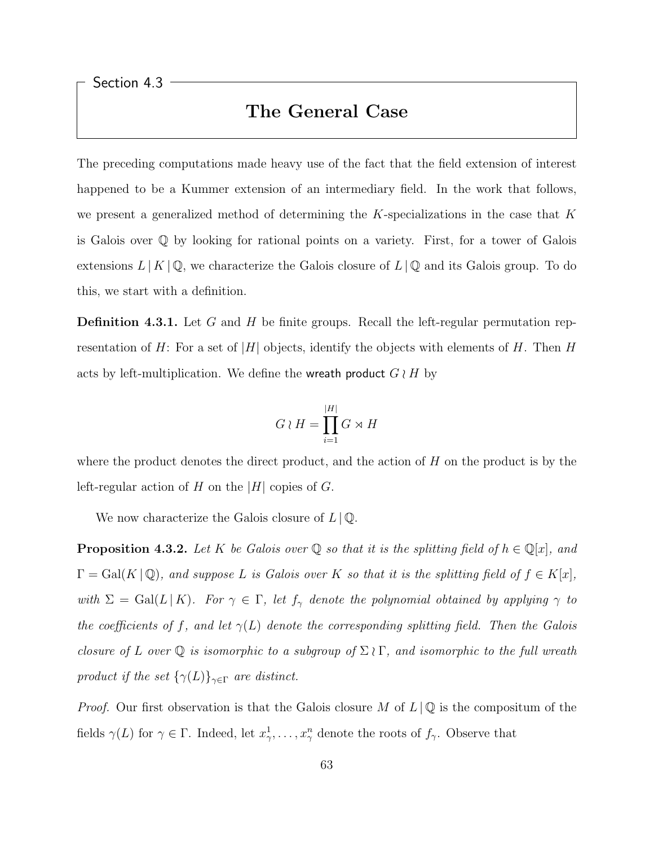<span id="page-69-0"></span>Section 4.3

#### The General Case

The preceding computations made heavy use of the fact that the field extension of interest happened to be a Kummer extension of an intermediary field. In the work that follows, we present a generalized method of determining the  $K$ -specializations in the case that  $K$ is Galois over Q by looking for rational points on a variety. First, for a tower of Galois extensions  $L | K | \mathbb{Q}$ , we characterize the Galois closure of  $L | \mathbb{Q}$  and its Galois group. To do this, we start with a definition.

**Definition 4.3.1.** Let G and H be finite groups. Recall the left-regular permutation representation of H: For a set of |H| objects, identify the objects with elements of H. Then H acts by left-multiplication. We define the wreath product  $G \wr H$  by

$$
G \wr H = \prod_{i=1}^{|H|} G \rtimes H
$$

where the product denotes the direct product, and the action of  $H$  on the product is by the left-regular action of H on the |H| copies of G.

We now characterize the Galois closure of  $L \, | \, \mathbb{Q}$ .

**Proposition 4.3.2.** Let K be Galois over  $\mathbb Q$  so that it is the splitting field of  $h \in \mathbb Q[x]$ , and  $\Gamma = \text{Gal}(K \mid \mathbb{Q})$ , and suppose L is Galois over K so that it is the splitting field of  $f \in K[x]$ , with  $\Sigma = \text{Gal}(L | K)$ . For  $\gamma \in \Gamma$ , let  $f_{\gamma}$  denote the polynomial obtained by applying  $\gamma$  to the coefficients of f, and let  $\gamma(L)$  denote the corresponding splitting field. Then the Galois closure of L over Q is isomorphic to a subgroup of  $\Sigma \wr \Gamma$ , and isomorphic to the full wreath product if the set  $\{\gamma(L)\}_{\gamma \in \Gamma}$  are distinct.

*Proof.* Our first observation is that the Galois closure M of  $L \downarrow \mathbb{Q}$  is the compositum of the fields  $\gamma(L)$  for  $\gamma \in \Gamma$ . Indeed, let  $x_{\gamma}^1, \ldots, x_{\gamma}^n$  denote the roots of  $f_{\gamma}$ . Observe that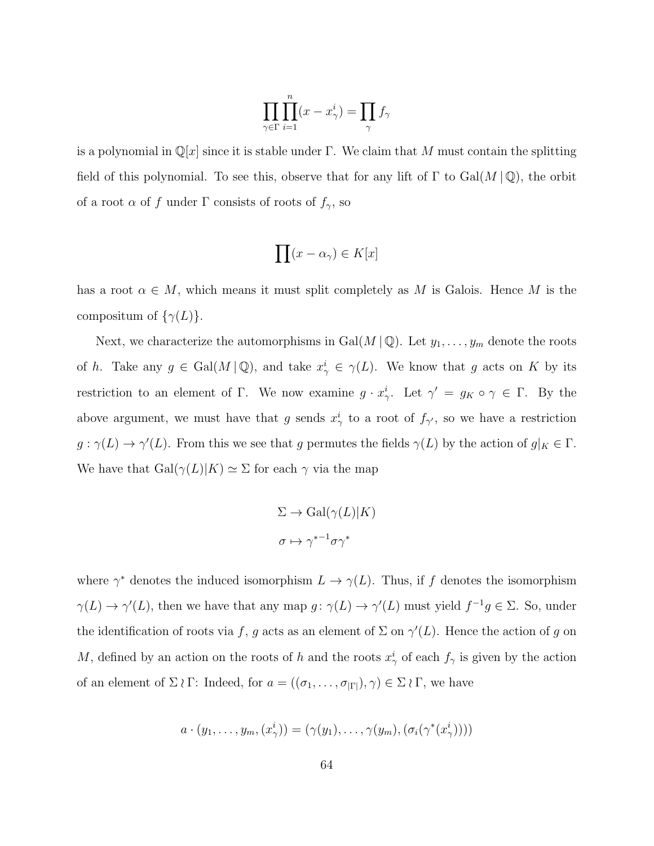$$
\prod_{\gamma \in \Gamma} \prod_{i=1}^n (x - x_{\gamma}^i) = \prod_{\gamma} f_{\gamma}
$$

is a polynomial in  $\mathbb{Q}[x]$  since it is stable under Γ. We claim that M must contain the splitting field of this polynomial. To see this, observe that for any lift of  $\Gamma$  to  $Gal(M \mid \mathbb{Q})$ , the orbit of a root  $\alpha$  of  $f$  under  $\Gamma$  consists of roots of  $f_\gamma,$  so

$$
\prod (x - \alpha_\gamma) \in K[x]
$$

has a root  $\alpha \in M$ , which means it must split completely as M is Galois. Hence M is the compositum of  $\{\gamma(L)\}.$ 

Next, we characterize the automorphisms in Gal $(M | \mathbb{Q})$ . Let  $y_1, \ldots, y_m$  denote the roots of h. Take any  $g \in \text{Gal}(M \mid \mathbb{Q})$ , and take  $x_{\gamma}^i \in \gamma(L)$ . We know that g acts on K by its restriction to an element of Γ. We now examine  $g \cdot x_{\gamma}^i$ . Let  $\gamma' = g_K \circ \gamma \in \Gamma$ . By the above argument, we must have that g sends  $x_{\gamma}^{i}$  to a root of  $f_{\gamma'}$ , so we have a restriction  $g: \gamma(L) \to \gamma'(L)$ . From this we see that g permutes the fields  $\gamma(L)$  by the action of  $g|_K \in \Gamma$ . We have that  $Gal(\gamma(L)|K) \simeq \Sigma$  for each  $\gamma$  via the map

$$
\Sigma \to \text{Gal}(\gamma(L)|K)
$$

$$
\sigma \mapsto \gamma^{*-1}\sigma\gamma^*
$$

where  $\gamma^*$  denotes the induced isomorphism  $L \to \gamma(L)$ . Thus, if f denotes the isomorphism  $\gamma(L) \to \gamma'(L)$ , then we have that any map  $g: \gamma(L) \to \gamma'(L)$  must yield  $f^{-1}g \in \Sigma$ . So, under the identification of roots via f, g acts as an element of  $\Sigma$  on  $\gamma'(L)$ . Hence the action of g on M, defined by an action on the roots of h and the roots  $x_{\gamma}^{i}$  of each  $f_{\gamma}$  is given by the action of an element of  $\Sigma \wr \Gamma$ : Indeed, for  $a = ((\sigma_1, \ldots, \sigma_{|\Gamma|}), \gamma) \in \Sigma \wr \Gamma$ , we have

$$
a \cdot (y_1, \ldots, y_m, (x_\gamma^i)) = (\gamma(y_1), \ldots, \gamma(y_m), (\sigma_i(\gamma^*(x_\gamma^i))))
$$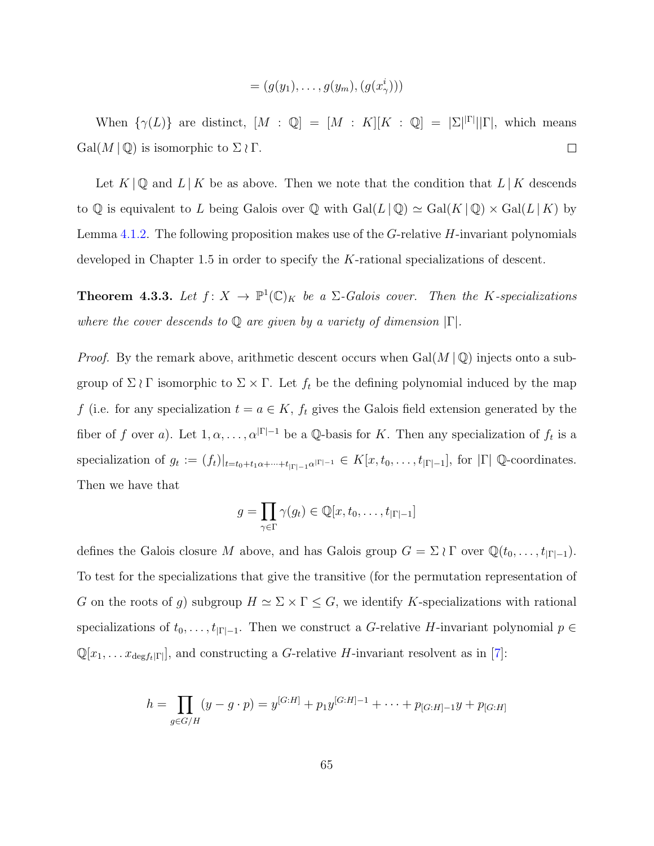$$
= (g(y_1), \ldots, g(y_m), (g(x_\gamma^i)))
$$

When  $\{\gamma(L)\}\$  are distinct,  $[M : \mathbb{Q}] = [M : K][K : \mathbb{Q}] = |\Sigma|^{\vert \Gamma \vert} \vert \vert \Gamma \vert$ , which means  $Gal(M | \mathbb{Q})$  is isomorphic to  $\Sigma \wr \Gamma$ .  $\Box$ 

Let  $K \otimes \mathbb{Q}$  and  $L \otimes K$  be as above. Then we note that the condition that  $L \otimes K$  descends to Q is equivalent to L being Galois over Q with  $Gal(L | \mathbb{Q}) \simeq Gal(K | \mathbb{Q}) \times Gal(L | K)$  by Lemma [4.1.2.](#page-59-1) The following proposition makes use of the  $G$ -relative  $H$ -invariant polynomials developed in Chapter 1.5 in order to specify the K-rational specializations of descent.

**Theorem 4.3.3.** Let  $f: X \to \mathbb{P}^1(\mathbb{C})_K$  be a  $\Sigma$ -Galois cover. Then the K-specializations where the cover descends to  $\mathbb Q$  are given by a variety of dimension  $|\Gamma|$ .

*Proof.* By the remark above, arithmetic descent occurs when  $Gal(M \mid \mathbb{Q})$  injects onto a subgroup of  $\Sigma \wr \Gamma$  isomorphic to  $\Sigma \times \Gamma$ . Let  $f_t$  be the defining polynomial induced by the map f (i.e. for any specialization  $t = a \in K$ ,  $f_t$  gives the Galois field extension generated by the fiber of f over a). Let  $1, \alpha, \ldots, \alpha^{|\Gamma|-1}$  be a Q-basis for K. Then any specialization of  $f_t$  is a specialization of  $g_t := (f_t)|_{t=t_0+t_1\alpha+\cdots+t_{|\Gamma|-1}\alpha^{|\Gamma|-1}} \in K[x, t_0, \ldots, t_{|\Gamma|-1}],$  for  $|\Gamma| \mathbb{Q}$ -coordinates. Then we have that

$$
g = \prod_{\gamma \in \Gamma} \gamma(g_t) \in \mathbb{Q}[x, t_0, \dots, t_{|\Gamma|-1}]
$$

defines the Galois closure M above, and has Galois group  $G = \Sigma \wr \Gamma$  over  $\mathbb{Q}(t_0, \ldots, t_{|\Gamma|-1})$ . To test for the specializations that give the transitive (for the permutation representation of G on the roots of g) subgroup  $H \simeq \Sigma \times \Gamma \leq G$ , we identify K-specializations with rational specializations of  $t_0, \ldots, t_{|\Gamma|-1}$ . Then we construct a G-relative H-invariant polynomial  $p \in$  $\mathbb{Q}[x_1, \ldots x_{\deg f_t|\Gamma|}]$ , and constructing a G-relative H-invariant resolvent as in [\[7\]](#page-77-0):

$$
h = \prod_{g \in G/H} (y - g \cdot p) = y^{[G:H]} + p_1 y^{[G:H]-1} + \dots + p_{[G:H]-1} y + p_{[G:H]}
$$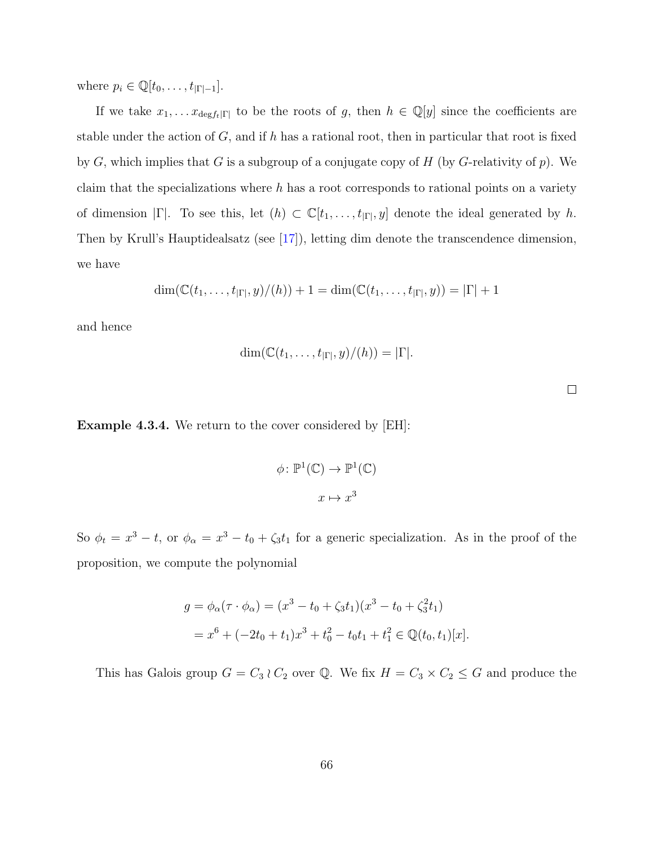where  $p_i \in \mathbb{Q}[t_0, \ldots, t_{|\Gamma|-1}].$ 

If we take  $x_1, \ldots x_{\text{deg }f_t|\Gamma|}$  to be the roots of g, then  $h \in \mathbb{Q}[y]$  since the coefficients are stable under the action of  $G$ , and if h has a rational root, then in particular that root is fixed by  $G$ , which implies that  $G$  is a subgroup of a conjugate copy of  $H$  (by  $G$ -relativity of  $p$ ). We claim that the specializations where  $h$  has a root corresponds to rational points on a variety of dimension  $|\Gamma|$ . To see this, let  $(h) \subset \mathbb{C}[t_1,\ldots,t_{|\Gamma|},y]$  denote the ideal generated by h. Then by Krull's Hauptidealsatz (see [\[17\]](#page-78-0)), letting dim denote the transcendence dimension, we have

$$
\dim(\mathbb{C}(t_1,\ldots,t_{|\Gamma|},y)/(h))+1=\dim(\mathbb{C}(t_1,\ldots,t_{|\Gamma|},y))=|\Gamma|+1
$$

and hence

$$
\dim(\mathbb{C}(t_1,\ldots,t_{|\Gamma|},y)/(h))=|\Gamma|.
$$

Example 4.3.4. We return to the cover considered by [EH]:

$$
\phi \colon \mathbb{P}^1(\mathbb{C}) \to \mathbb{P}^1(\mathbb{C})
$$

$$
x \mapsto x^3
$$

So  $\phi_t = x^3 - t$ , or  $\phi_\alpha = x^3 - t_0 + \zeta_3 t_1$  for a generic specialization. As in the proof of the proposition, we compute the polynomial

$$
g = \phi_{\alpha}(\tau \cdot \phi_{\alpha}) = (x^3 - t_0 + \zeta_3 t_1)(x^3 - t_0 + \zeta_3^2 t_1)
$$
  
=  $x^6 + (-2t_0 + t_1)x^3 + t_0^2 - t_0t_1 + t_1^2 \in \mathbb{Q}(t_0, t_1)[x].$ 

This has Galois group  $G = C_3 \wr C_2$  over  $\mathbb{Q}$ . We fix  $H = C_3 \times C_2 \leq G$  and produce the

 $\Box$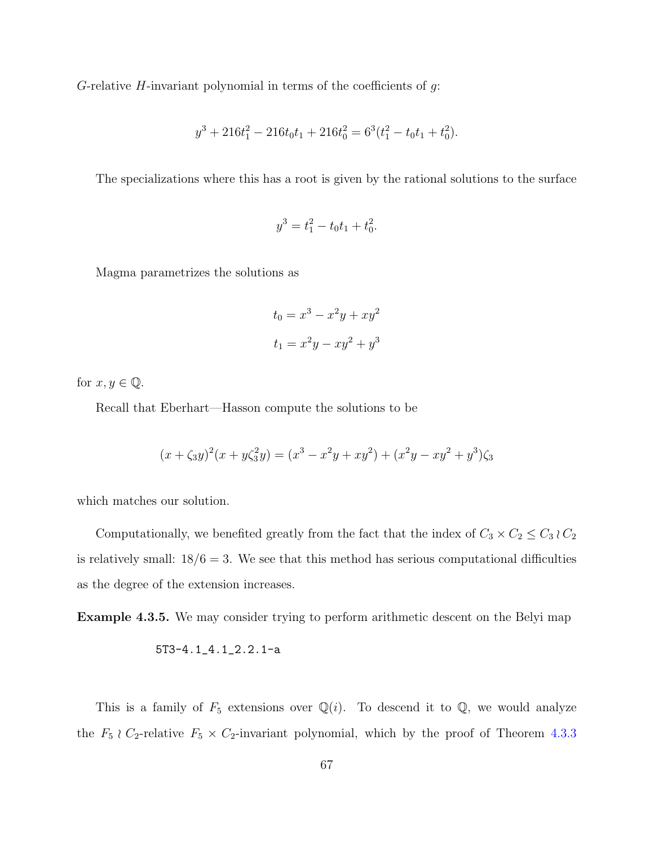G-relative  $H$ -invariant polynomial in terms of the coefficients of  $g$ :

$$
y^3 + 216t_1^2 - 216t_0t_1 + 216t_0^2 = 6^3(t_1^2 - t_0t_1 + t_0^2).
$$

The specializations where this has a root is given by the rational solutions to the surface

$$
y^3 = t_1^2 - t_0 t_1 + t_0^2.
$$

Magma parametrizes the solutions as

$$
t_0 = x^3 - x^2y + xy^2
$$

$$
t_1 = x^2y - xy^2 + y^3
$$

for  $x, y \in \mathbb{Q}$ .

Recall that Eberhart—Hasson compute the solutions to be

$$
(x + \zeta_3 y)^2 (x + y\zeta_3^2 y) = (x^3 - x^2y + xy^2) + (x^2y - xy^2 + y^3)\zeta_3
$$

which matches our solution.

Computationally, we benefited greatly from the fact that the index of  $C_3 \times C_2 \leq C_3 \wr C_2$ is relatively small:  $18/6 = 3$ . We see that this method has serious computational difficulties as the degree of the extension increases.

Example 4.3.5. We may consider trying to perform arithmetic descent on the Belyi map

$$
5T3-4.1\_4.1\_2.2.1\_a
$$

This is a family of  $F_5$  extensions over  $\mathbb{Q}(i)$ . To descend it to  $\mathbb{Q}$ , we would analyze the  $F_5 \nvert C_2$ -relative  $F_5 \times C_2$ -invariant polynomial, which by the proof of Theorem [4.3.3](#page-71-0)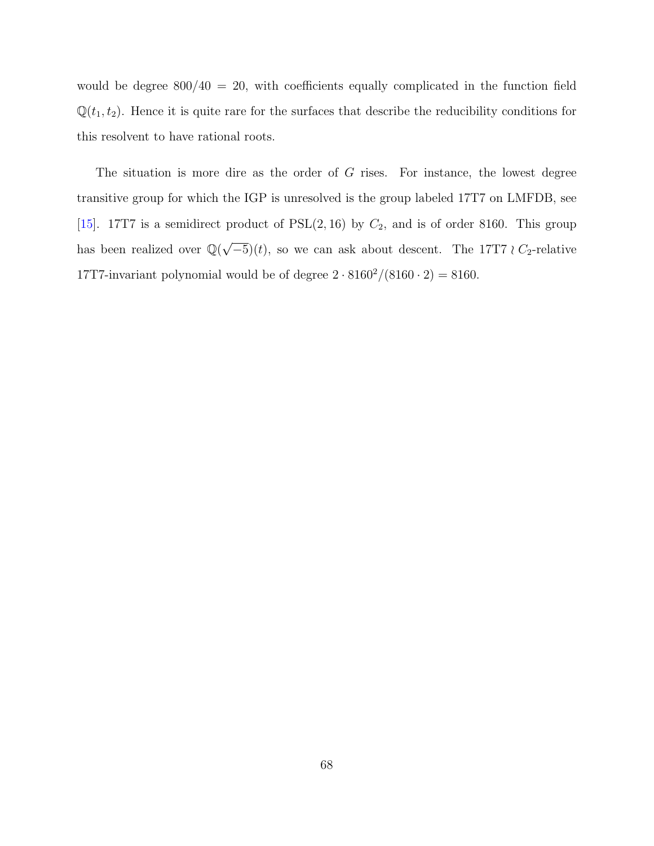would be degree  $800/40 = 20$ , with coefficients equally complicated in the function field  $\mathbb{Q}(t_1, t_2)$ . Hence it is quite rare for the surfaces that describe the reducibility conditions for this resolvent to have rational roots.

The situation is more dire as the order of G rises. For instance, the lowest degree transitive group for which the IGP is unresolved is the group labeled 17T7 on LMFDB, see [\[15\]](#page-78-1). 17T7 is a semidirect product of  $PSL(2, 16)$  by  $C_2$ , and is of order 8160. This group has been realized over  $\mathbb{Q}(\sqrt{2})$  $(-5)(t)$ , so we can ask about descent. The 17T7 *i* C<sub>2</sub>-relative 17T7-invariant polynomial would be of degree  $2 \cdot 8160^2/(8160 \cdot 2) = 8160$ .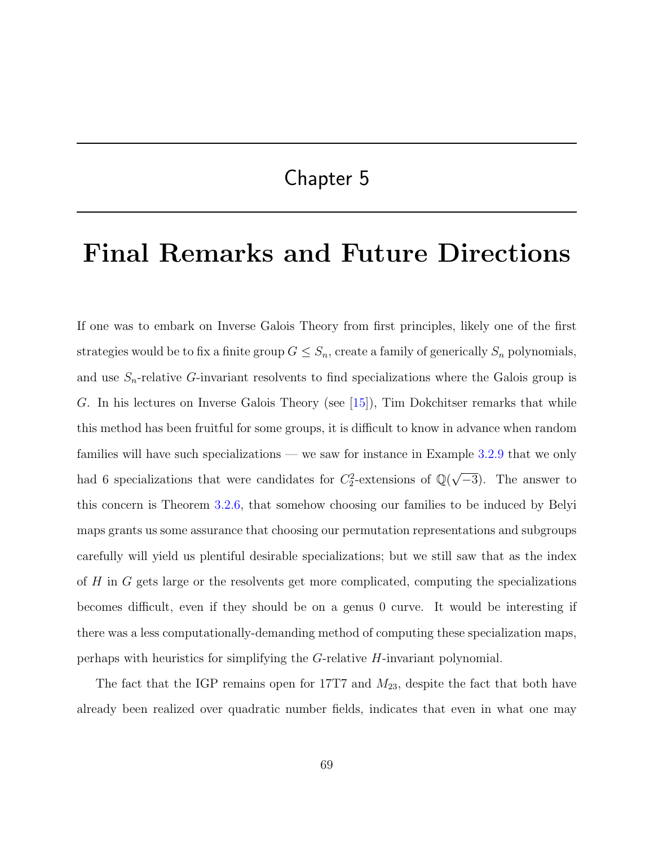## Chapter 5

## Final Remarks and Future Directions

If one was to embark on Inverse Galois Theory from first principles, likely one of the first strategies would be to fix a finite group  $G \leq S_n$ , create a family of generically  $S_n$  polynomials, and use  $S_n$ -relative G-invariant resolvents to find specializations where the Galois group is G. In his lectures on Inverse Galois Theory (see [\[15\]](#page-78-1)), Tim Dokchitser remarks that while this method has been fruitful for some groups, it is difficult to know in advance when random families will have such specializations — we saw for instance in Example [3.2.9](#page-52-0) that we only had 6 specializations that were candidates for  $C_2^2$ -extensions of  $\mathbb{Q}(\sqrt{\ }$  $\overline{-3}$ ). The answer to this concern is Theorem [3.2.6,](#page-49-0) that somehow choosing our families to be induced by Belyi maps grants us some assurance that choosing our permutation representations and subgroups carefully will yield us plentiful desirable specializations; but we still saw that as the index of H in G gets large or the resolvents get more complicated, computing the specializations becomes difficult, even if they should be on a genus 0 curve. It would be interesting if there was a less computationally-demanding method of computing these specialization maps, perhaps with heuristics for simplifying the G-relative H-invariant polynomial.

The fact that the IGP remains open for 17T7 and  $M_{23}$ , despite the fact that both have already been realized over quadratic number fields, indicates that even in what one may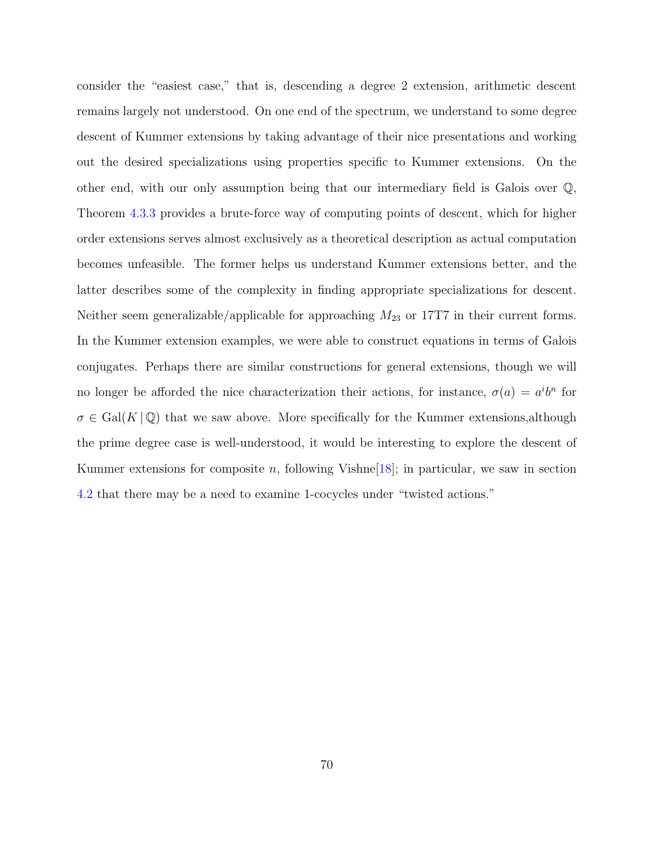consider the "easiest case," that is, descending a degree 2 extension, arithmetic descent remains largely not understood. On one end of the spectrum, we understand to some degree descent of Kummer extensions by taking advantage of their nice presentations and working out the desired specializations using properties specific to Kummer extensions. On the other end, with our only assumption being that our intermediary field is Galois over Q, Theorem [4.3.3](#page-71-0) provides a brute-force way of computing points of descent, which for higher order extensions serves almost exclusively as a theoretical description as actual computation becomes unfeasible. The former helps us understand Kummer extensions better, and the latter describes some of the complexity in finding appropriate specializations for descent. Neither seem generalizable/applicable for approaching  $M_{23}$  or 17T7 in their current forms. In the Kummer extension examples, we were able to construct equations in terms of Galois conjugates. Perhaps there are similar constructions for general extensions, though we will no longer be afforded the nice characterization their actions, for instance,  $\sigma(a) = a^i b^n$  for  $\sigma \in \text{Gal}(K|\mathbb{Q})$  that we saw above. More specifically for the Kummer extensions, although the prime degree case is well-understood, it would be interesting to explore the descent of Kummer extensions for composite n, following Vishne  $[18]$ ; in particular, we saw in section [4.2](#page-59-0) that there may be a need to examine 1-cocycles under "twisted actions."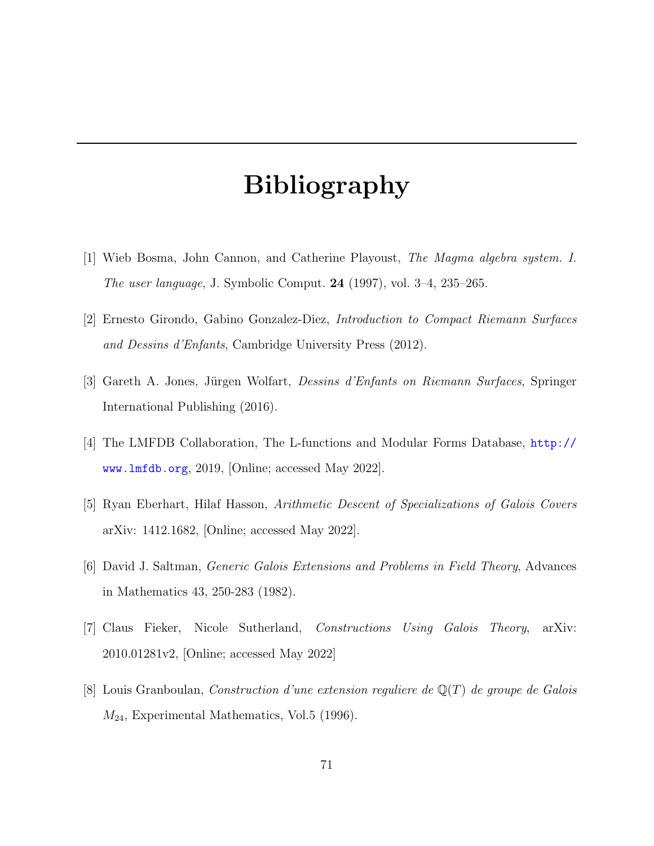## Bibliography

- [1] Wieb Bosma, John Cannon, and Catherine Playoust, The Magma algebra system. I. The user language, J. Symbolic Comput. 24 (1997), vol. 3–4, 235–265.
- [2] Ernesto Girondo, Gabino Gonzalez-Diez, Introduction to Compact Riemann Surfaces and Dessins d'Enfants, Cambridge University Press (2012).
- [3] Gareth A. Jones, Jürgen Wolfart, *Dessins d'Enfants on Riemann Surfaces*, Springer International Publishing (2016).
- [4] The LMFDB Collaboration, The L-functions and Modular Forms Database, [http://](http://www.lmfdb.org) [www.lmfdb.org](http://www.lmfdb.org), 2019, [Online; accessed May 2022].
- [5] Ryan Eberhart, Hilaf Hasson, Arithmetic Descent of Specializations of Galois Covers arXiv: 1412.1682, [Online; accessed May 2022].
- [6] David J. Saltman, Generic Galois Extensions and Problems in Field Theory, Advances in Mathematics 43, 250-283 (1982).
- [7] Claus Fieker, Nicole Sutherland, Constructions Using Galois Theory, arXiv: 2010.01281v2, [Online; accessed May 2022]
- [8] Louis Granboulan, Construction d'une extension reguliere de  $\mathbb{Q}(T)$  de groupe de Galois  $M_{24}$ , Experimental Mathematics, Vol.5 (1996).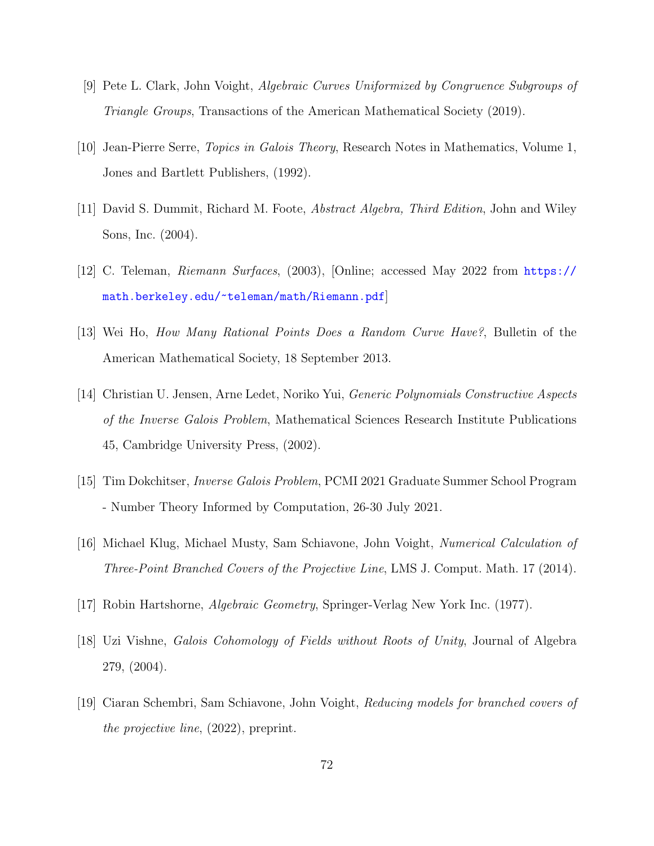- [9] Pete L. Clark, John Voight, Algebraic Curves Uniformized by Congruence Subgroups of Triangle Groups, Transactions of the American Mathematical Society (2019).
- [10] Jean-Pierre Serre, Topics in Galois Theory, Research Notes in Mathematics, Volume 1, Jones and Bartlett Publishers, (1992).
- [11] David S. Dummit, Richard M. Foote, Abstract Algebra, Third Edition, John and Wiley Sons, Inc. (2004).
- [12] C. Teleman, Riemann Surfaces, (2003), [Online; accessed May 2022 from [https://](https://math.berkeley.edu/~teleman/math/Riemann.pdf) [math.berkeley.edu/~teleman/math/Riemann.pdf](https://math.berkeley.edu/~teleman/math/Riemann.pdf)]
- [13] Wei Ho, How Many Rational Points Does a Random Curve Have?, Bulletin of the American Mathematical Society, 18 September 2013.
- [14] Christian U. Jensen, Arne Ledet, Noriko Yui, Generic Polynomials Constructive Aspects of the Inverse Galois Problem, Mathematical Sciences Research Institute Publications 45, Cambridge University Press, (2002).
- <span id="page-78-1"></span>[15] Tim Dokchitser, Inverse Galois Problem, PCMI 2021 Graduate Summer School Program - Number Theory Informed by Computation, 26-30 July 2021.
- [16] Michael Klug, Michael Musty, Sam Schiavone, John Voight, Numerical Calculation of Three-Point Branched Covers of the Projective Line, LMS J. Comput. Math. 17 (2014).
- <span id="page-78-2"></span><span id="page-78-0"></span>[17] Robin Hartshorne, Algebraic Geometry, Springer-Verlag New York Inc. (1977).
- [18] Uzi Vishne, Galois Cohomology of Fields without Roots of Unity, Journal of Algebra 279, (2004).
- [19] Ciaran Schembri, Sam Schiavone, John Voight, Reducing models for branched covers of the projective line, (2022), preprint.